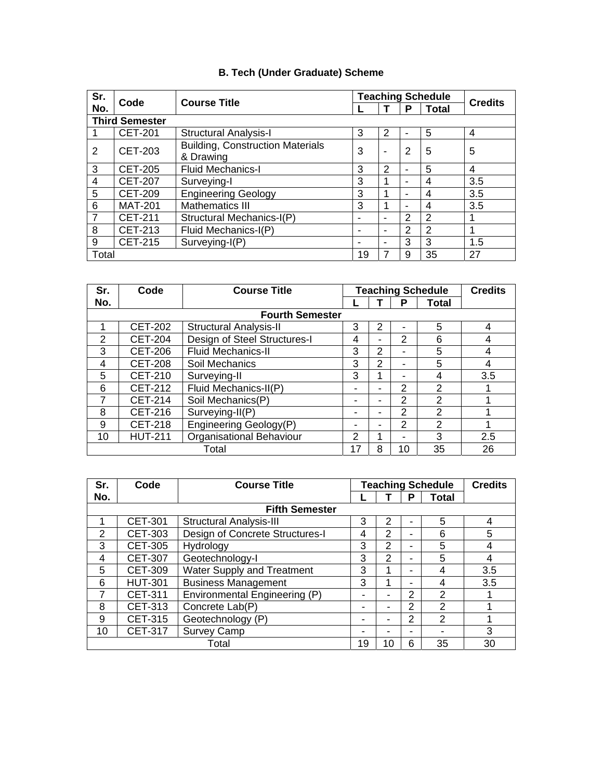# **B. Tech (Under Graduate) Scheme**

| Sr.                   | Code           | <b>Course Title</b>                                                          |                | <b>Teaching Schedule</b> |   | <b>Credits</b> |     |
|-----------------------|----------------|------------------------------------------------------------------------------|----------------|--------------------------|---|----------------|-----|
| No.                   |                |                                                                              |                |                          | P | <b>Total</b>   |     |
| <b>Third Semester</b> |                |                                                                              |                |                          |   |                |     |
|                       | <b>CET-201</b> | <b>Structural Analysis-I</b>                                                 | 3<br>2         |                          |   | 5              | 4   |
| 2                     | CET-203        | <b>Building, Construction Materials</b><br>3<br>& Drawing                    |                |                          | 2 | 5              | 5   |
| 3                     | <b>CET-205</b> | <b>Fluid Mechanics-I</b>                                                     | 3              | 2                        | - | 5              | 4   |
| 4                     | <b>CET-207</b> | Surveying-I                                                                  | 3              | 1                        |   | 4              | 3.5 |
| 5                     | <b>CET-209</b> | <b>Engineering Geology</b>                                                   | 3              |                          |   | 4              | 3.5 |
| 6                     | <b>MAT-201</b> | <b>Mathematics III</b>                                                       | 3              |                          | - | 4              | 3.5 |
| $\overline{7}$        | <b>CET-211</b> | Structural Mechanics-I(P)                                                    | $\blacksquare$ | $\overline{\phantom{0}}$ | 2 | 2              |     |
| 8                     | CET-213        | 2<br>$\overline{2}$<br>Fluid Mechanics-I(P)<br>$\overline{\phantom{0}}$<br>- |                |                          |   |                |     |
| 9                     | <b>CET-215</b> | 3<br>Surveying-I(P)<br>$\overline{\phantom{0}}$<br>-                         |                |                          |   | 3              | 1.5 |
| Total                 |                |                                                                              | 19             |                          | 9 | 35             | 27  |

| Sr. | Code                                              | <b>Course Title</b>           |                   |   | <b>Teaching Schedule</b> | <b>Credits</b> |     |
|-----|---------------------------------------------------|-------------------------------|-------------------|---|--------------------------|----------------|-----|
| No. |                                                   |                               | <b>Total</b><br>P |   |                          |                |     |
|     |                                                   | <b>Fourth Semester</b>        |                   |   |                          |                |     |
|     | <b>CET-202</b>                                    | <b>Structural Analysis-II</b> | 2<br>3            |   |                          |                | 4   |
| 2   | <b>CET-204</b>                                    | Design of Steel Structures-I  | 4                 |   | $\mathcal{P}$            | 6              | 4   |
| 3   | <b>CET-206</b>                                    | <b>Fluid Mechanics-II</b>     | 3                 | 2 |                          | 5              | 4   |
| 4   | <b>CET-208</b>                                    | Soil Mechanics                | 3                 | 2 |                          | 5              | 4   |
| 5   | <b>CET-210</b>                                    | Surveying-II                  | 3                 |   |                          | 4              | 3.5 |
| 6   | <b>CET-212</b>                                    | Fluid Mechanics-II(P)         | -                 |   | $\mathcal{P}$            | 2              |     |
| 7   | <b>CET-214</b>                                    | Soil Mechanics(P)             |                   |   | 2                        | $\mathfrak{p}$ |     |
| 8   | CET-216                                           | Surveying-II(P)               |                   |   | 2                        | $\mathcal{P}$  |     |
| 9   | <b>CET-218</b>                                    | Engineering Geology(P)        | -                 |   | 2                        | 2              |     |
| 10  | <b>Organisational Behaviour</b><br><b>HUT-211</b> |                               | 2                 |   |                          | 3              | 2.5 |
|     |                                                   | Total                         |                   | 8 | 10                       | 35             | 26  |

| Sr.           | Code                   | <b>Course Title</b>               |    |    | <b>Teaching Schedule</b> | <b>Credits</b> |     |  |
|---------------|------------------------|-----------------------------------|----|----|--------------------------|----------------|-----|--|
| No.           |                        |                                   | P  |    |                          |                |     |  |
|               |                        | <b>Fifth Semester</b>             |    |    |                          |                |     |  |
|               | <b>CET-301</b>         | <b>Structural Analysis-III</b>    | 3  | 2  |                          | 5              | 4   |  |
| $\mathcal{P}$ | <b>CET-303</b>         | Design of Concrete Structures-I   | 4  | 2  |                          | 6              | 5   |  |
| 3             | <b>CET-305</b>         | Hydrology                         | 3  | 2  |                          | 5              | 4   |  |
| 4             | <b>CET-307</b>         | Geotechnology-I                   | 3  | 2  |                          | 5              | 4   |  |
| 5             | <b>CET-309</b>         | <b>Water Supply and Treatment</b> | 3  | 4  |                          | 4              | 3.5 |  |
| 6             | <b>HUT-301</b>         | <b>Business Management</b>        | 3  | 1  |                          | 4              | 3.5 |  |
| 7             | <b>CET-311</b>         | Environmental Engineering (P)     | ۰  |    | 2                        | 2              |     |  |
| 8             | CET-313                | Concrete Lab(P)                   |    |    | 2                        | $\mathfrak{D}$ |     |  |
| 9             | CET-315                | Geotechnology (P)                 |    |    | 2                        | $\overline{2}$ |     |  |
| 10            | CET-317<br>Survey Camp |                                   | -  |    | ۰                        |                | 3   |  |
|               |                        | Total                             | 19 | 10 | 6                        | 35             | 30  |  |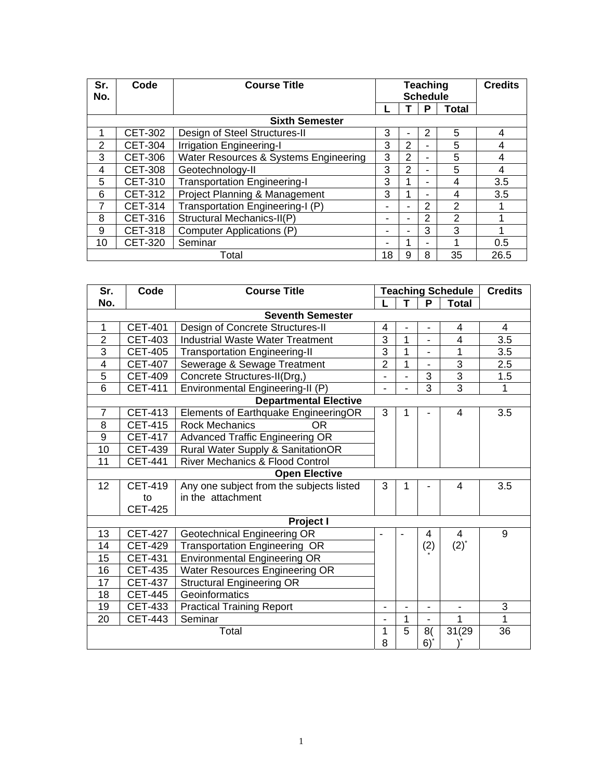| Sr.<br>No. | Code           | <b>Course Title</b>                   |    | <b>Teaching</b><br><b>Schedule</b> | <b>Credits</b> |                |      |
|------------|----------------|---------------------------------------|----|------------------------------------|----------------|----------------|------|
|            |                |                                       |    |                                    | Р              | <b>Total</b>   |      |
|            |                | <b>Sixth Semester</b>                 |    |                                    |                |                |      |
| 1          | <b>CET-302</b> | Design of Steel Structures-II         | 3  |                                    | 2              | 5              | 4    |
| 2          | <b>CET-304</b> | <b>Irrigation Engineering-I</b>       | 3  | 2                                  | $\blacksquare$ | 5              | 4    |
| 3          | CET-306        | Water Resources & Systems Engineering | 3  | $\overline{2}$                     | -              | 5              | 4    |
| 4          | <b>CET-308</b> | Geotechnology-II                      | 3  | 2                                  | ۰              | 5              | 4    |
| 5          | <b>CET-310</b> | <b>Transportation Engineering-I</b>   | 3  |                                    | -              | 4              | 3.5  |
| 6          | CET-312        | Project Planning & Management         | 3  |                                    | ۰              | 4              | 3.5  |
| 7          | <b>CET-314</b> | Transportation Engineering-I (P)      | -  |                                    | 2              | $\mathfrak{p}$ |      |
| 8          | CET-316        | Structural Mechanics-II(P)            |    |                                    | 2              | $\mathfrak{p}$ | 4    |
| 9          | <b>CET-318</b> | Computer Applications (P)             |    |                                    | 3              | 3              |      |
| 10         | <b>CET-320</b> | Seminar                               |    |                                    |                | 4              | 0.5  |
|            |                | Total                                 | 18 | 9                                  | 8              | 35             | 26.5 |

| Sr.             | Code           | <b>Course Title</b><br><b>Teaching Schedule</b> |                          |                |                | <b>Credits</b> |              |
|-----------------|----------------|-------------------------------------------------|--------------------------|----------------|----------------|----------------|--------------|
| No.             |                |                                                 |                          | T.             | P              | <b>Total</b>   |              |
|                 |                | <b>Seventh Semester</b>                         |                          |                |                |                |              |
| $\mathbf{1}$    | <b>CET-401</b> | Design of Concrete Structures-II                | 4                        |                | ä,             | 4              | 4            |
| $\overline{2}$  | <b>CET-403</b> | <b>Industrial Waste Water Treatment</b>         | 3                        | 1              | ä,             | 4              | 3.5          |
| 3               | <b>CET-405</b> | <b>Transportation Engineering-II</b>            | 3                        | $\overline{1}$ |                | 1              | 3.5          |
| 4               | <b>CET-407</b> | Sewerage & Sewage Treatment                     | $\overline{2}$           | $\mathbf{1}$   | $\blacksquare$ | 3              | 2.5          |
| 5               | <b>CET-409</b> | Concrete Structures-II(Drg,)                    | $\blacksquare$           |                | 3              | 3              | 1.5          |
| 6               | <b>CET-411</b> | Environmental Engineering-II (P)                | $\blacksquare$           |                | 3              | 3              | $\mathbf{1}$ |
|                 |                | <b>Departmental Elective</b>                    |                          |                |                |                |              |
| $\overline{7}$  | <b>CET-413</b> | Elements of Earthquake EngineeringOR            | 3                        | 1              |                | 4              | 3.5          |
| 8               | <b>CET-415</b> | <b>Rock Mechanics</b><br>OR.                    |                          |                |                |                |              |
| $\mathsf g$     | <b>CET-417</b> | <b>Advanced Traffic Engineering OR</b>          |                          |                |                |                |              |
| 10              | <b>CET-439</b> | Rural Water Supply & SanitationOR               |                          |                |                |                |              |
| 11              | <b>CET-441</b> | <b>River Mechanics &amp; Flood Control</b>      |                          |                |                |                |              |
|                 |                | <b>Open Elective</b>                            |                          |                |                |                |              |
| 12 <sub>2</sub> | <b>CET-419</b> | Any one subject from the subjects listed        | 3                        | 1              |                | 4              | 3.5          |
|                 | to             | in the attachment                               |                          |                |                |                |              |
|                 | <b>CET-425</b> |                                                 |                          |                |                |                |              |
|                 |                | Project I                                       |                          |                |                |                |              |
| 13              | <b>CET-427</b> | <b>Geotechnical Engineering OR</b>              | $\blacksquare$           |                | 4              | 4              | 9            |
| 14              | <b>CET-429</b> | <b>Transportation Engineering OR</b>            |                          |                | (2)            | $(2)^{*}$      |              |
| 15              | <b>CET-431</b> | <b>Environmental Engineering OR</b>             |                          |                |                |                |              |
| 16              | <b>CET-435</b> | Water Resources Engineering OR                  |                          |                |                |                |              |
| 17              | <b>CET-437</b> | <b>Structural Engineering OR</b>                |                          |                |                |                |              |
| 18              | <b>CET-445</b> | Geoinformatics                                  |                          |                |                |                |              |
| 19              | <b>CET-433</b> | <b>Practical Training Report</b>                | $\overline{\phantom{a}}$ | ٠              | $\blacksquare$ | ٠              | 3            |
| 20              | <b>CET-443</b> | Seminar                                         | ä,                       | 1              |                | 1              | 1            |
|                 |                | Total                                           | 1                        | 5              | 8(             | 31(29)         | 36           |
|                 |                |                                                 | 8                        |                | 6)             |                |              |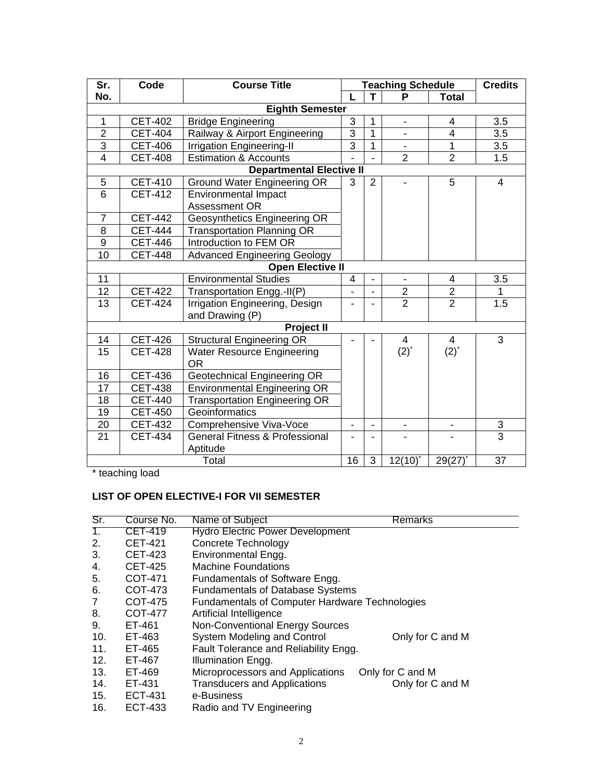| Sr.                     | Code           | <b>Course Title</b>                       |                                  |                | <b>Teaching Schedule</b> |                              | <b>Credits</b>  |
|-------------------------|----------------|-------------------------------------------|----------------------------------|----------------|--------------------------|------------------------------|-----------------|
| No.                     |                |                                           |                                  | T.             | P                        | <b>Total</b>                 |                 |
|                         |                | <b>Eighth Semester</b>                    |                                  |                |                          |                              |                 |
| $\mathbf{1}$            | <b>CET-402</b> | <b>Bridge Engineering</b>                 | 3                                | 1              | $\blacksquare$           | 4                            | 3.5             |
| $\overline{2}$          | <b>CET-404</b> | Railway & Airport Engineering             | $\overline{3}$                   | $\mathbf{1}$   |                          | $\overline{4}$               | 3.5             |
| $\overline{3}$          | <b>CET-406</b> | <b>Irrigation Engineering-II</b>          | $\overline{3}$                   | $\mathbf{1}$   |                          | 1                            | 3.5             |
| $\overline{4}$          | <b>CET-408</b> | <b>Estimation &amp; Accounts</b>          | $\overline{2}$<br>$\overline{2}$ |                |                          |                              |                 |
|                         |                | <b>Departmental Elective II</b>           |                                  |                |                          |                              |                 |
| 5                       | <b>CET-410</b> | <b>Ground Water Engineering OR</b>        | 3                                | 2              |                          | 5                            | $\overline{4}$  |
| 6                       | <b>CET-412</b> | <b>Environmental Impact</b>               |                                  |                |                          |                              |                 |
|                         |                | <b>Assessment OR</b>                      |                                  |                |                          |                              |                 |
| $\overline{7}$          | <b>CET-442</b> | Geosynthetics Engineering OR              |                                  |                |                          |                              |                 |
| 8                       | <b>CET-444</b> | <b>Transportation Planning OR</b>         |                                  |                |                          |                              |                 |
| 9                       | <b>CET-446</b> | Introduction to FEM OR                    |                                  |                |                          |                              |                 |
| 10                      | <b>CET-448</b> | <b>Advanced Engineering Geology</b>       |                                  |                |                          |                              |                 |
| <b>Open Elective II</b> |                |                                           |                                  |                |                          |                              |                 |
| 11                      |                | <b>Environmental Studies</b>              | 4                                |                |                          | 4                            | 3.5             |
| 12                      | <b>CET-422</b> | Transportation Engg.-II(P)                |                                  |                | $\mathbf{2}$             | $\mathbf{2}$                 | 1               |
| $\overline{13}$         | <b>CET-424</b> | <b>Irrigation Engineering, Design</b>     |                                  |                | $\overline{2}$           | $\overline{2}$               | 1.5             |
|                         |                | and Drawing (P)                           |                                  |                |                          |                              |                 |
|                         |                | <b>Project II</b>                         |                                  |                |                          |                              |                 |
| 14                      | <b>CET-426</b> | <b>Structural Engineering OR</b>          |                                  |                | $\overline{4}$           | $\overline{4}$               | 3               |
| 15                      | <b>CET-428</b> | <b>Water Resource Engineering</b>         |                                  |                | $(2)^{*}$                | $(2)^{*}$                    |                 |
|                         |                | 0R                                        |                                  |                |                          |                              |                 |
| 16                      | <b>CET-436</b> | Geotechnical Engineering OR               |                                  |                |                          |                              |                 |
| 17                      | <b>CET-438</b> | <b>Environmental Engineering OR</b>       |                                  |                |                          |                              |                 |
| 18                      | <b>CET-440</b> | <b>Transportation Engineering OR</b>      |                                  |                |                          |                              |                 |
| 19                      | <b>CET-450</b> | Geoinformatics                            |                                  |                |                          |                              |                 |
| 20                      | <b>CET-432</b> | Comprehensive Viva-Voce                   |                                  |                |                          | $\qquad \qquad \blacksquare$ | $\sqrt{3}$      |
| $\overline{21}$         | <b>CET-434</b> | <b>General Fitness &amp; Professional</b> |                                  |                |                          |                              | $\overline{3}$  |
|                         |                | Aptitude                                  | $\overline{16}$                  |                |                          |                              |                 |
| Total                   |                |                                           |                                  | $\overline{3}$ | 12(10)                   | 29(27)                       | $\overline{37}$ |

\* teaching load

# **LIST OF OPEN ELECTIVE-I FOR VII SEMESTER**

| Sr. | Course No.     | Name of Subject                                       | <b>Remarks</b>                          |  |  |  |  |
|-----|----------------|-------------------------------------------------------|-----------------------------------------|--|--|--|--|
| 1.  | CET-419        | <b>Hydro Electric Power Development</b>               |                                         |  |  |  |  |
| 2.  | <b>CET-421</b> | Concrete Technology                                   |                                         |  |  |  |  |
| 3.  | <b>CET-423</b> | Environmental Engg.                                   |                                         |  |  |  |  |
| 4.  | <b>CET-425</b> | <b>Machine Foundations</b>                            |                                         |  |  |  |  |
| 5.  | COT-471        | Fundamentals of Software Engg.                        |                                         |  |  |  |  |
| 6.  | COT-473        |                                                       | <b>Fundamentals of Database Systems</b> |  |  |  |  |
| 7   | COT-475        | <b>Fundamentals of Computer Hardware Technologies</b> |                                         |  |  |  |  |
| 8.  | COT-477        | Artificial Intelligence                               |                                         |  |  |  |  |
| 9.  | ET-461         | <b>Non-Conventional Energy Sources</b>                |                                         |  |  |  |  |
| 10. | ET-463         | <b>System Modeling and Control</b>                    | Only for C and M                        |  |  |  |  |
| 11. | ET-465         | Fault Tolerance and Reliability Engg.                 |                                         |  |  |  |  |
| 12. | ET-467         | Illumination Engg.                                    |                                         |  |  |  |  |
| 13. | ET-469         | Microprocessors and Applications                      | Only for C and M                        |  |  |  |  |
| 14. | ET-431         | <b>Transducers and Applications</b>                   | Only for C and M                        |  |  |  |  |
| 15. | ECT-431        | e-Business                                            |                                         |  |  |  |  |
| 16. | ECT-433        | Radio and TV Engineering                              |                                         |  |  |  |  |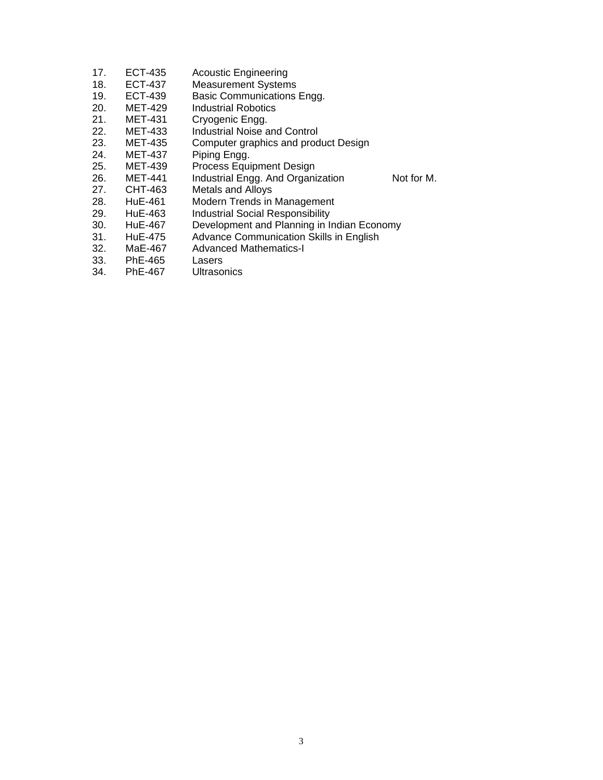| 17. | ECT-435        | <b>Acoustic Engineering</b>                |            |
|-----|----------------|--------------------------------------------|------------|
| 18. | <b>ECT-437</b> | <b>Measurement Systems</b>                 |            |
| 19. | <b>ECT-439</b> | Basic Communications Engg.                 |            |
| 20. | <b>MET-429</b> | <b>Industrial Robotics</b>                 |            |
| 21. | <b>MET-431</b> | Cryogenic Engg.                            |            |
| 22. | <b>MET-433</b> | Industrial Noise and Control               |            |
| 23. | <b>MET-435</b> | Computer graphics and product Design       |            |
| 24. | <b>MET-437</b> | Piping Engg.                               |            |
| 25. | MET-439        | <b>Process Equipment Design</b>            |            |
| 26. | <b>MET-441</b> | Industrial Engg. And Organization          | Not for M. |
| 27. | CHT-463        | Metals and Alloys                          |            |
| 28. | HuE-461        | Modern Trends in Management                |            |
| 29. | HuE-463        | <b>Industrial Social Responsibility</b>    |            |
| 30. | HuE-467        | Development and Planning in Indian Economy |            |
| 31. | HuE-475        | Advance Communication Skills in English    |            |
| 32. | MaE-467        | <b>Advanced Mathematics-I</b>              |            |
| 33. | PhE-465        | Lasers                                     |            |
| 34. | <b>PhE-467</b> | Ultrasonics                                |            |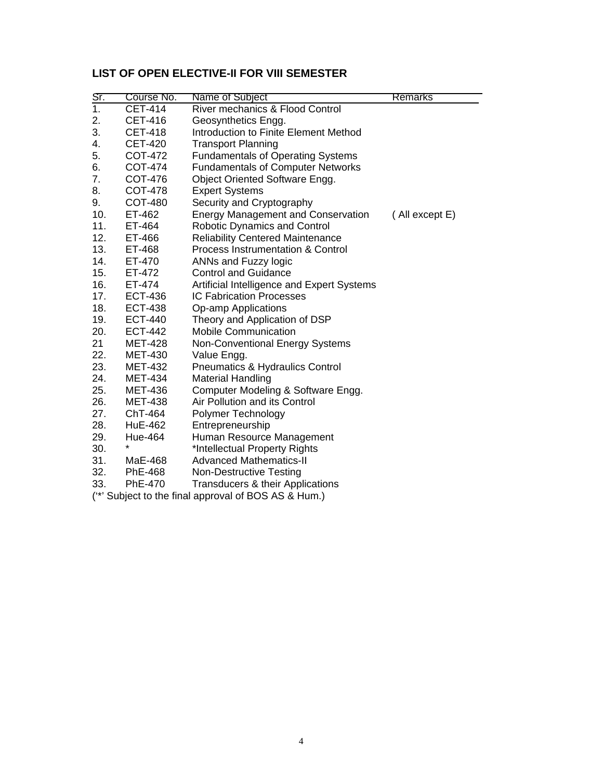# **LIST OF OPEN ELECTIVE-II FOR VIII SEMESTER**

| $Sr$ .           | Course No.     | Name of Subject                                      | <b>Remarks</b> |
|------------------|----------------|------------------------------------------------------|----------------|
| $\overline{1}$ . | <b>CET-414</b> | River mechanics & Flood Control                      |                |
| 2.               | CET-416        | Geosynthetics Engg.                                  |                |
| 3.               | <b>CET-418</b> | Introduction to Finite Element Method                |                |
| 4.               | <b>CET-420</b> | <b>Transport Planning</b>                            |                |
| 5.               | COT-472        | <b>Fundamentals of Operating Systems</b>             |                |
| 6.               | COT-474        | <b>Fundamentals of Computer Networks</b>             |                |
| 7.               | COT-476        | Object Oriented Software Engg.                       |                |
| 8.               | COT-478        | <b>Expert Systems</b>                                |                |
| 9.               | COT-480        | Security and Cryptography                            |                |
| 10.              | ET-462         | <b>Energy Management and Conservation</b>            | (All except E) |
| 11.              | ET-464         | <b>Robotic Dynamics and Control</b>                  |                |
| 12.              | ET-466         | <b>Reliability Centered Maintenance</b>              |                |
| 13.              | ET-468         | <b>Process Instrumentation &amp; Control</b>         |                |
| 14.              | ET-470         | ANNs and Fuzzy logic                                 |                |
| 15.              | ET-472         | <b>Control and Guidance</b>                          |                |
| 16.              | ET-474         | Artificial Intelligence and Expert Systems           |                |
| 17.              | <b>ECT-436</b> | <b>IC Fabrication Processes</b>                      |                |
| 18.              | <b>ECT-438</b> | Op-amp Applications                                  |                |
| 19.              | <b>ECT-440</b> | Theory and Application of DSP                        |                |
| 20.              | <b>ECT-442</b> | <b>Mobile Communication</b>                          |                |
| 21               | <b>MET-428</b> | <b>Non-Conventional Energy Systems</b>               |                |
| 22.              | <b>MET-430</b> | Value Engg.                                          |                |
| 23.              | <b>MET-432</b> | Pneumatics & Hydraulics Control                      |                |
| 24.              | <b>MET-434</b> | <b>Material Handling</b>                             |                |
| 25.              | <b>MET-436</b> | Computer Modeling & Software Engg.                   |                |
| 26.              | <b>MET-438</b> | Air Pollution and its Control                        |                |
| 27.              | ChT-464        | Polymer Technology                                   |                |
| 28.              | <b>HuE-462</b> | Entrepreneurship                                     |                |
| 29.              | Hue-464        | Human Resource Management                            |                |
| 30.              | $\star$        | *Intellectual Property Rights                        |                |
| 31.              | MaE-468        | <b>Advanced Mathematics-II</b>                       |                |
| 32.              | PhE-468        | <b>Non-Destructive Testing</b>                       |                |
| 33.              | PhE-470        | Transducers & their Applications                     |                |
|                  |                | (**' Subject to the final approval of BOS AS & Hum.) |                |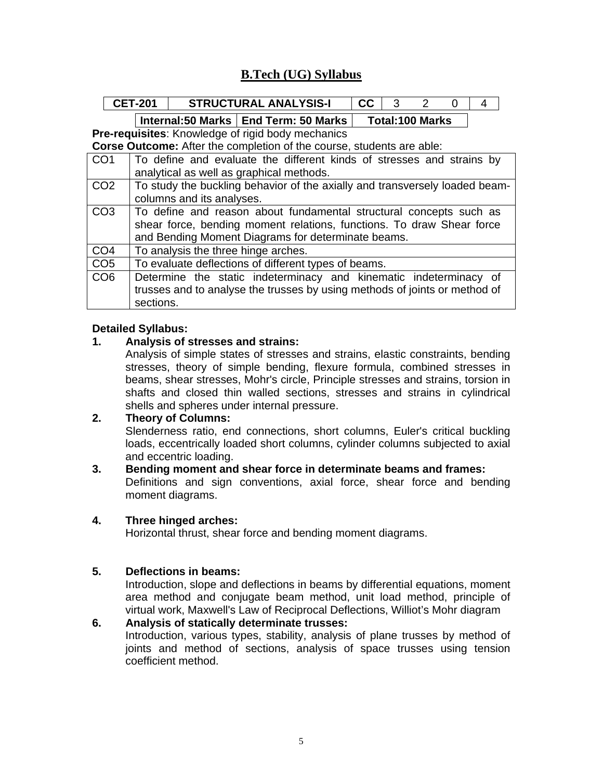# **B.Tech (UG) Syllabus**

|                 | <b>CET-201</b>                                                              |                                                                            | <b>STRUCTURAL ANALYSIS-I</b> |  | cc |  | 3 | $\mathcal{P}$          | $\Omega$ | 4 |
|-----------------|-----------------------------------------------------------------------------|----------------------------------------------------------------------------|------------------------------|--|----|--|---|------------------------|----------|---|
|                 |                                                                             | Internal:50 Marks   End Term: 50 Marks                                     |                              |  |    |  |   | <b>Total:100 Marks</b> |          |   |
|                 |                                                                             | <b>Pre-requisites:</b> Knowledge of rigid body mechanics                   |                              |  |    |  |   |                        |          |   |
|                 |                                                                             | Corse Outcome: After the completion of the course, students are able:      |                              |  |    |  |   |                        |          |   |
| CO <sub>1</sub> | To define and evaluate the different kinds of stresses and strains by       |                                                                            |                              |  |    |  |   |                        |          |   |
|                 | analytical as well as graphical methods.                                    |                                                                            |                              |  |    |  |   |                        |          |   |
| CO <sub>2</sub> | To study the buckling behavior of the axially and transversely loaded beam- |                                                                            |                              |  |    |  |   |                        |          |   |
|                 | columns and its analyses.                                                   |                                                                            |                              |  |    |  |   |                        |          |   |
| CO <sub>3</sub> |                                                                             | To define and reason about fundamental structural concepts such as         |                              |  |    |  |   |                        |          |   |
|                 |                                                                             | shear force, bending moment relations, functions. To draw Shear force      |                              |  |    |  |   |                        |          |   |
|                 |                                                                             | and Bending Moment Diagrams for determinate beams.                         |                              |  |    |  |   |                        |          |   |
| CO <sub>4</sub> |                                                                             | To analysis the three hinge arches.                                        |                              |  |    |  |   |                        |          |   |
| CO <sub>5</sub> |                                                                             | To evaluate deflections of different types of beams.                       |                              |  |    |  |   |                        |          |   |
| CO <sub>6</sub> |                                                                             | Determine the static indeterminacy and kinematic indeterminacy of          |                              |  |    |  |   |                        |          |   |
|                 |                                                                             | trusses and to analyse the trusses by using methods of joints or method of |                              |  |    |  |   |                        |          |   |
|                 | sections.                                                                   |                                                                            |                              |  |    |  |   |                        |          |   |

#### **Detailed Syllabus:**

#### **1. Analysis of stresses and strains:**

Analysis of simple states of stresses and strains, elastic constraints, bending stresses, theory of simple bending, flexure formula, combined stresses in beams, shear stresses, Mohr's circle, Principle stresses and strains, torsion in shafts and closed thin walled sections, stresses and strains in cylindrical shells and spheres under internal pressure.

#### **2. Theory of Columns:**

Slenderness ratio, end connections, short columns, Euler's critical buckling loads, eccentrically loaded short columns, cylinder columns subjected to axial and eccentric loading.

# **3. Bending moment and shear force in determinate beams and frames:**

Definitions and sign conventions, axial force, shear force and bending moment diagrams.

#### **4. Three hinged arches:**

Horizontal thrust, shear force and bending moment diagrams.

#### **5. Deflections in beams:**

Introduction, slope and deflections in beams by differential equations, moment area method and conjugate beam method, unit load method, principle of virtual work, Maxwell's Law of Reciprocal Deflections, Williot's Mohr diagram

#### **6. Analysis of statically determinate trusses:**

Introduction, various types, stability, analysis of plane trusses by method of joints and method of sections, analysis of space trusses using tension coefficient method.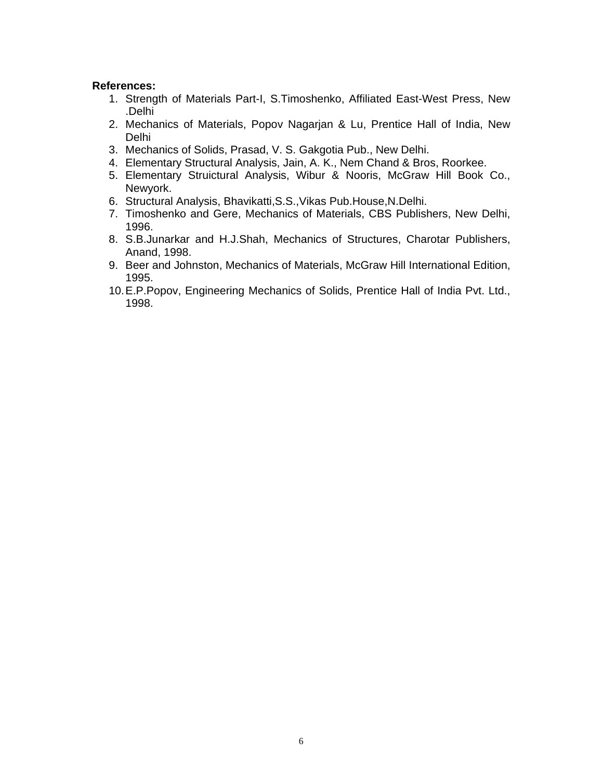- 1. Strength of Materials Part-I, S.Timoshenko, Affiliated East-West Press, New .Delhi
- 2. Mechanics of Materials, Popov Nagarjan & Lu, Prentice Hall of India, New Delhi
- 3. Mechanics of Solids, Prasad, V. S. Gakgotia Pub., New Delhi.
- 4. Elementary Structural Analysis, Jain, A. K., Nem Chand & Bros, Roorkee.
- 5. Elementary Struictural Analysis, Wibur & Nooris, McGraw Hill Book Co., Newyork.
- 6. Structural Analysis, Bhavikatti,S.S.,Vikas Pub.House,N.Delhi.
- 7. Timoshenko and Gere, Mechanics of Materials, CBS Publishers, New Delhi, 1996.
- 8. S.B.Junarkar and H.J.Shah, Mechanics of Structures, Charotar Publishers, Anand, 1998.
- 9. Beer and Johnston, Mechanics of Materials, McGraw Hill International Edition, 1995.
- 10. E.P.Popov, Engineering Mechanics of Solids, Prentice Hall of India Pvt. Ltd., 1998.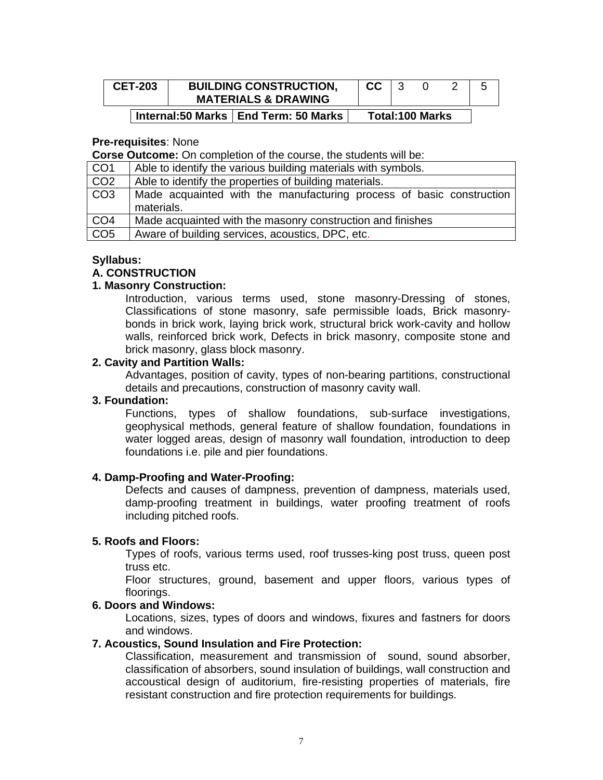| <b>CET-203</b> | <b>BUILDING CONSTRUCTION,</b><br><b>MATERIALS &amp; DRAWING</b> | cc |                        |  |
|----------------|-----------------------------------------------------------------|----|------------------------|--|
|                | Internal:50 Marks   End Term: 50 Marks                          |    | <b>Total:100 Marks</b> |  |

#### **Pre-requisites**: None

**Corse Outcome:** On completion of the course, the students will be:

| CO <sub>1</sub> | Able to identify the various building materials with symbols.                      |
|-----------------|------------------------------------------------------------------------------------|
| CO <sub>2</sub> | Able to identify the properties of building materials.                             |
| CO3             | Made acquainted with the manufacturing process of basic construction<br>materials. |
| CO <sub>4</sub> | Made acquainted with the masonry construction and finishes                         |
| CO <sub>5</sub> | Aware of building services, acoustics, DPC, etc.                                   |

#### **Syllabus:**

#### **A. CONSTRUCTION**

#### **1. Masonry Construction:**

Introduction, various terms used, stone masonry-Dressing of stones, Classifications of stone masonry, safe permissible loads, Brick masonrybonds in brick work, laying brick work, structural brick work-cavity and hollow walls, reinforced brick work, Defects in brick masonry, composite stone and brick masonry, glass block masonry.

#### **2. Cavity and Partition Walls:**

Advantages, position of cavity, types of non-bearing partitions, constructional details and precautions, construction of masonry cavity wall.

#### **3. Foundation:**

Functions, types of shallow foundations, sub-surface investigations, geophysical methods, general feature of shallow foundation, foundations in water logged areas, design of masonry wall foundation, introduction to deep foundations i.e. pile and pier foundations.

#### **4. Damp-Proofing and Water-Proofing:**

Defects and causes of dampness, prevention of dampness, materials used, damp-proofing treatment in buildings, water proofing treatment of roofs including pitched roofs.

#### **5. Roofs and Floors:**

Types of roofs, various terms used, roof trusses-king post truss, queen post truss etc.

Floor structures, ground, basement and upper floors, various types of floorings.

#### **6. Doors and Windows:**

Locations, sizes, types of doors and windows, fixures and fastners for doors and windows.

#### **7. Acoustics, Sound Insulation and Fire Protection:**

Classification, measurement and transmission of sound, sound absorber, classification of absorbers, sound insulation of buildings, wall construction and accoustical design of auditorium, fire-resisting properties of materials, fire resistant construction and fire protection requirements for buildings.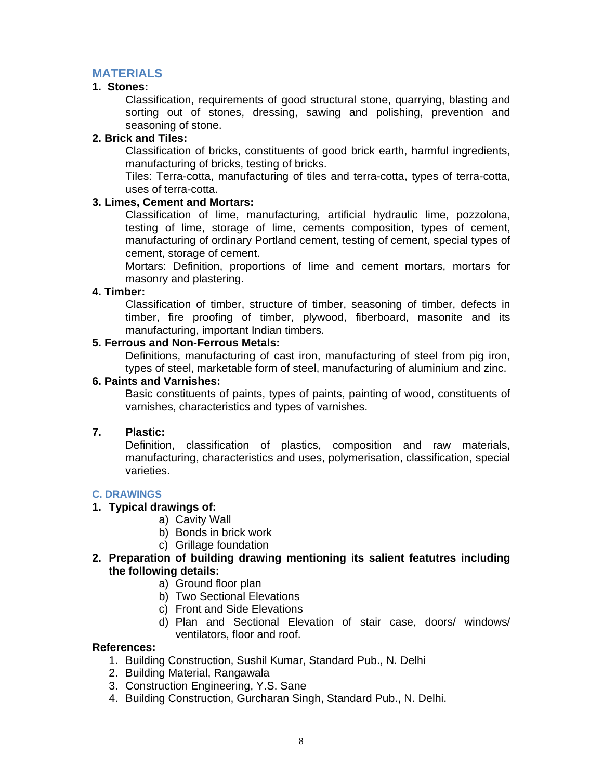# **MATERIALS**

#### **1. Stones:**

Classification, requirements of good structural stone, quarrying, blasting and sorting out of stones, dressing, sawing and polishing, prevention and seasoning of stone.

### **2. Brick and Tiles:**

Classification of bricks, constituents of good brick earth, harmful ingredients, manufacturing of bricks, testing of bricks.

Tiles: Terra-cotta, manufacturing of tiles and terra-cotta, types of terra-cotta, uses of terra-cotta.

#### **3. Limes, Cement and Mortars:**

Classification of lime, manufacturing, artificial hydraulic lime, pozzolona, testing of lime, storage of lime, cements composition, types of cement, manufacturing of ordinary Portland cement, testing of cement, special types of cement, storage of cement.

Mortars: Definition, proportions of lime and cement mortars, mortars for masonry and plastering.

#### **4. Timber:**

Classification of timber, structure of timber, seasoning of timber, defects in timber, fire proofing of timber, plywood, fiberboard, masonite and its manufacturing, important Indian timbers.

#### **5. Ferrous and Non-Ferrous Metals:**

Definitions, manufacturing of cast iron, manufacturing of steel from pig iron, types of steel, marketable form of steel, manufacturing of aluminium and zinc.

#### **6. Paints and Varnishes:**

Basic constituents of paints, types of paints, painting of wood, constituents of varnishes, characteristics and types of varnishes.

#### **7. Plastic:**

Definition, classification of plastics, composition and raw materials, manufacturing, characteristics and uses, polymerisation, classification, special varieties.

#### **C. DRAWINGS**

#### **1. Typical drawings of:**

- a) Cavity Wall
- b) Bonds in brick work
- c) Grillage foundation
- **2. Preparation of building drawing mentioning its salient featutres including the following details:** 
	- a) Ground floor plan
	- b) Two Sectional Elevations
	- c) Front and Side Elevations
	- d) Plan and Sectional Elevation of stair case, doors/ windows/ ventilators, floor and roof.

- 1. Building Construction, Sushil Kumar, Standard Pub., N. Delhi
- 2. Building Material, Rangawala
- 3. Construction Engineering, Y.S. Sane
- 4. Building Construction, Gurcharan Singh, Standard Pub., N. Delhi.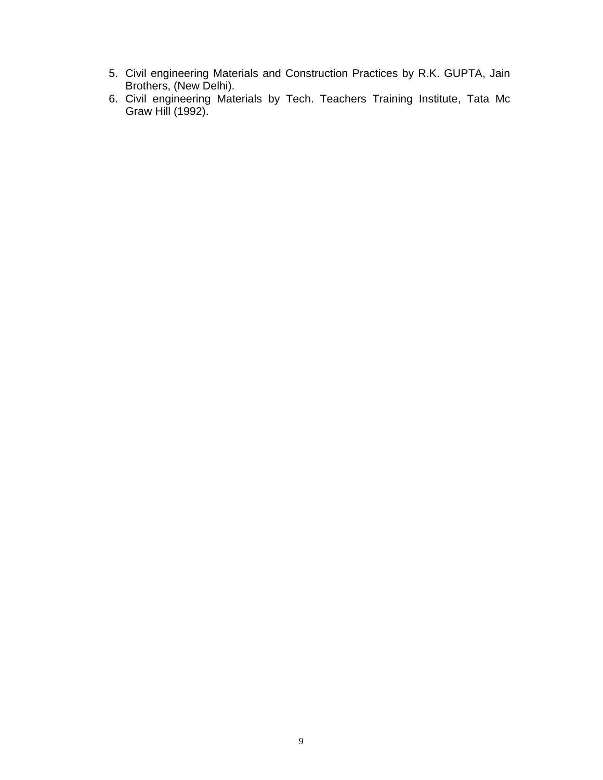- 5. Civil engineering Materials and Construction Practices by R.K. GUPTA, Jain Brothers, (New Delhi).
- 6. Civil engineering Materials by Tech. Teachers Training Institute, Tata Mc Graw Hill (1992).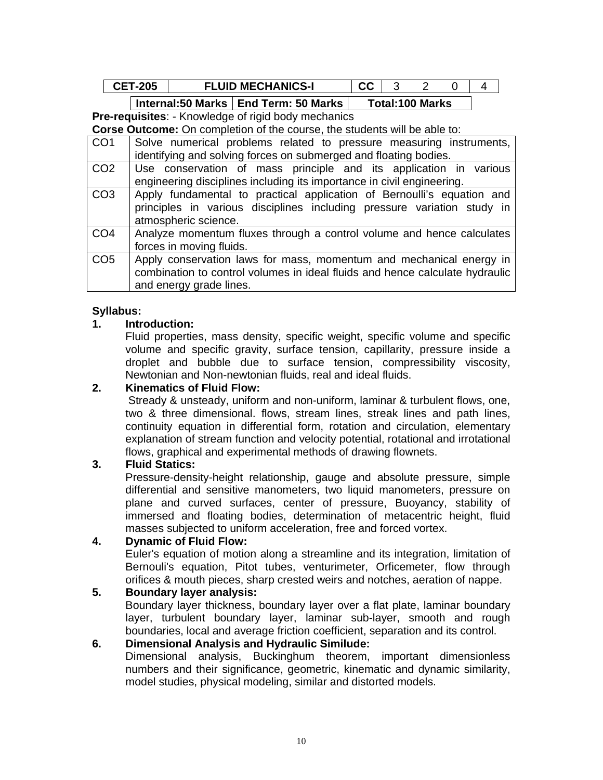| $\mathbf{A}$ | <b>CHANICS-I</b><br>MECHA | .<br>.<br>. . |         |  |
|--------------|---------------------------|---------------|---------|--|
|              | ----                      |               | - - - - |  |

**Pre-requisites**: - Knowledge of rigid body mechanics

**Corse Outcome:** On completion of the course, the students will be able to:

| CO <sub>1</sub> | Solve numerical problems related to pressure measuring instruments,<br>identifying and solving forces on submerged and floating bodies.                                        |
|-----------------|--------------------------------------------------------------------------------------------------------------------------------------------------------------------------------|
| CO <sub>2</sub> | Use conservation of mass principle and its application in various<br>engineering disciplines including its importance in civil engineering.                                    |
| CO <sub>3</sub> | Apply fundamental to practical application of Bernoulli's equation and<br>principles in various disciplines including pressure variation study in<br>atmospheric science.      |
| CO <sub>4</sub> | Analyze momentum fluxes through a control volume and hence calculates<br>forces in moving fluids.                                                                              |
| CO <sub>5</sub> | Apply conservation laws for mass, momentum and mechanical energy in<br>combination to control volumes in ideal fluids and hence calculate hydraulic<br>and energy grade lines. |

# **Syllabus:**

# **1. Introduction:**

Fluid properties, mass density, specific weight, specific volume and specific volume and specific gravity, surface tension, capillarity, pressure inside a droplet and bubble due to surface tension, compressibility viscosity, Newtonian and Non-newtonian fluids, real and ideal fluids.

## **2. Kinematics of Fluid Flow:**

Stready & unsteady, uniform and non-uniform, laminar & turbulent flows, one, two & three dimensional. flows, stream lines, streak lines and path lines, continuity equation in differential form, rotation and circulation, elementary explanation of stream function and velocity potential, rotational and irrotational flows, graphical and experimental methods of drawing flownets.

# **3. Fluid Statics:**

Pressure-density-height relationship, gauge and absolute pressure, simple differential and sensitive manometers, two liquid manometers, pressure on plane and curved surfaces, center of pressure, Buoyancy, stability of immersed and floating bodies, determination of metacentric height, fluid masses subjected to uniform acceleration, free and forced vortex.

#### **4. Dynamic of Fluid Flow:**

Euler's equation of motion along a streamline and its integration, limitation of Bernouli's equation, Pitot tubes, venturimeter, Orficemeter, flow through orifices & mouth pieces, sharp crested weirs and notches, aeration of nappe.

# **5. Boundary layer analysis:**

Boundary layer thickness, boundary layer over a flat plate, laminar boundary layer, turbulent boundary layer, laminar sub-layer, smooth and rough boundaries, local and average friction coefficient, separation and its control.

# **6. Dimensional Analysis and Hydraulic Similude:**

Dimensional analysis, Buckinghum theorem, important dimensionless numbers and their significance, geometric, kinematic and dynamic similarity, model studies, physical modeling, similar and distorted models.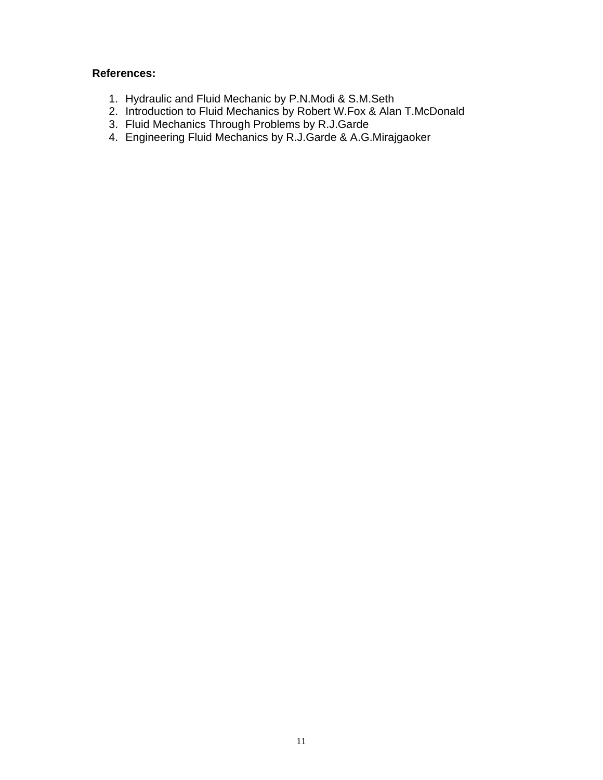- 1. Hydraulic and Fluid Mechanic by P.N.Modi & S.M.Seth
- 2. Introduction to Fluid Mechanics by Robert W.Fox & Alan T.McDonald
- 3. Fluid Mechanics Through Problems by R.J.Garde
- 4. Engineering Fluid Mechanics by R.J.Garde & A.G.Mirajgaoker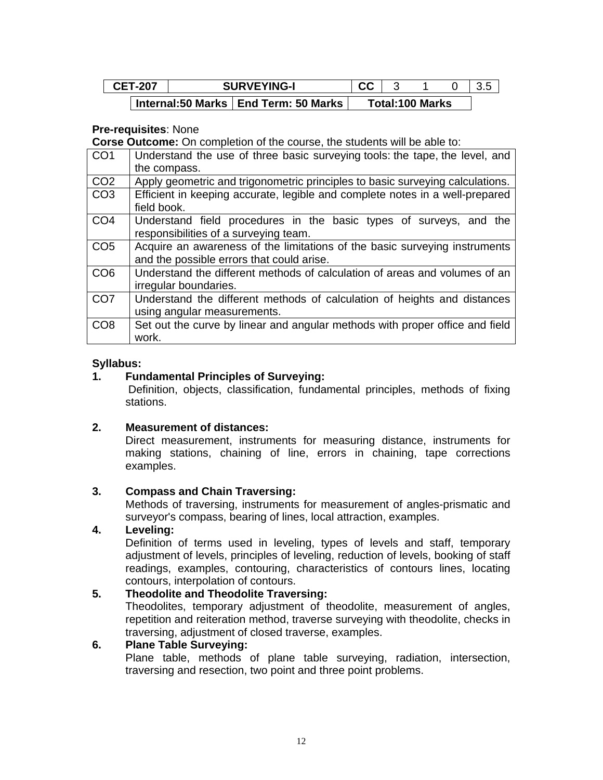| <b>CET-207</b> | <b>SURVEYING-I</b>                     | uu |                        |  |
|----------------|----------------------------------------|----|------------------------|--|
|                | Internal:50 Marks   End Term: 50 Marks |    | <b>Total:100 Marks</b> |  |

#### **Pre-requisites**: None

**Corse Outcome:** On completion of the course, the students will be able to:

| CO <sub>1</sub> | Understand the use of three basic surveying tools: the tape, the level, and                 |
|-----------------|---------------------------------------------------------------------------------------------|
|                 | the compass.                                                                                |
| CO <sub>2</sub> | Apply geometric and trigonometric principles to basic surveying calculations.               |
| CO <sub>3</sub> | Efficient in keeping accurate, legible and complete notes in a well-prepared<br>field book. |
| CO <sub>4</sub> | Understand field procedures in the basic types of surveys, and the                          |
|                 | responsibilities of a surveying team.                                                       |
| CO <sub>5</sub> | Acquire an awareness of the limitations of the basic surveying instruments                  |
|                 | and the possible errors that could arise.                                                   |
| CO <sub>6</sub> | Understand the different methods of calculation of areas and volumes of an                  |
|                 | irregular boundaries.                                                                       |
| CO <sub>7</sub> | Understand the different methods of calculation of heights and distances                    |
|                 | using angular measurements.                                                                 |
| CO <sub>8</sub> | Set out the curve by linear and angular methods with proper office and field                |
|                 | work.                                                                                       |

#### **Syllabus:**

#### **1. Fundamental Principles of Surveying:**

Definition, objects, classification, fundamental principles, methods of fixing stations.

#### **2. Measurement of distances:**

Direct measurement, instruments for measuring distance, instruments for making stations, chaining of line, errors in chaining, tape corrections examples.

#### **3. Compass and Chain Traversing:**

Methods of traversing, instruments for measurement of angles-prismatic and surveyor's compass, bearing of lines, local attraction, examples.

#### **4. Leveling:**

Definition of terms used in leveling, types of levels and staff, temporary adjustment of levels, principles of leveling, reduction of levels, booking of staff readings, examples, contouring, characteristics of contours lines, locating contours, interpolation of contours.

#### **5. Theodolite and Theodolite Traversing:**

Theodolites, temporary adjustment of theodolite, measurement of angles, repetition and reiteration method, traverse surveying with theodolite, checks in traversing, adjustment of closed traverse, examples.

#### **6. Plane Table Surveying:**

Plane table, methods of plane table surveying, radiation, intersection, traversing and resection, two point and three point problems.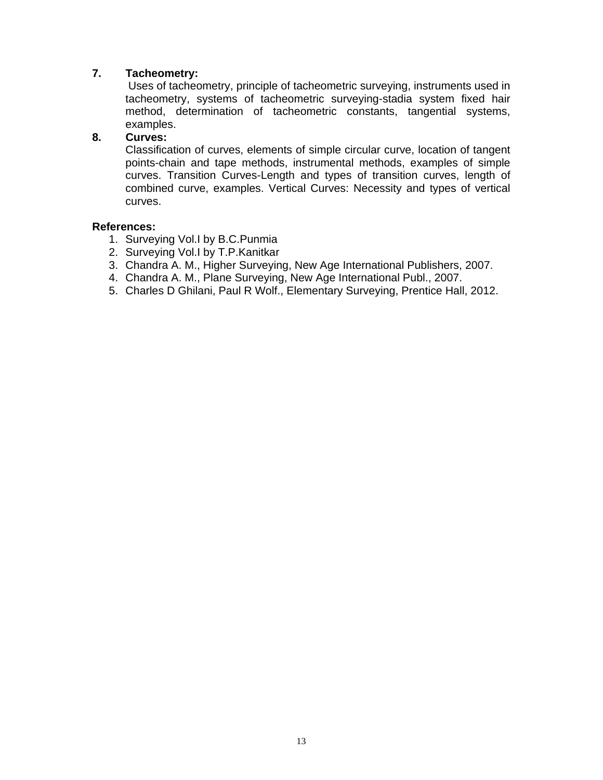# **7. Tacheometry:**

Uses of tacheometry, principle of tacheometric surveying, instruments used in tacheometry, systems of tacheometric surveying-stadia system fixed hair method, determination of tacheometric constants, tangential systems, examples.

### **8. Curves:**

Classification of curves, elements of simple circular curve, location of tangent points-chain and tape methods, instrumental methods, examples of simple curves. Transition Curves-Length and types of transition curves, length of combined curve, examples. Vertical Curves: Necessity and types of vertical curves.

- 1. Surveying Vol.I by B.C.Punmia
- 2. Surveying Vol.I by T.P.Kanitkar
- 3. Chandra A. M., Higher Surveying, New Age International Publishers, 2007.
- 4. Chandra A. M., Plane Surveying, New Age International Publ., 2007.
- 5. Charles D Ghilani, Paul R Wolf., Elementary Surveying, Prentice Hall, 2012.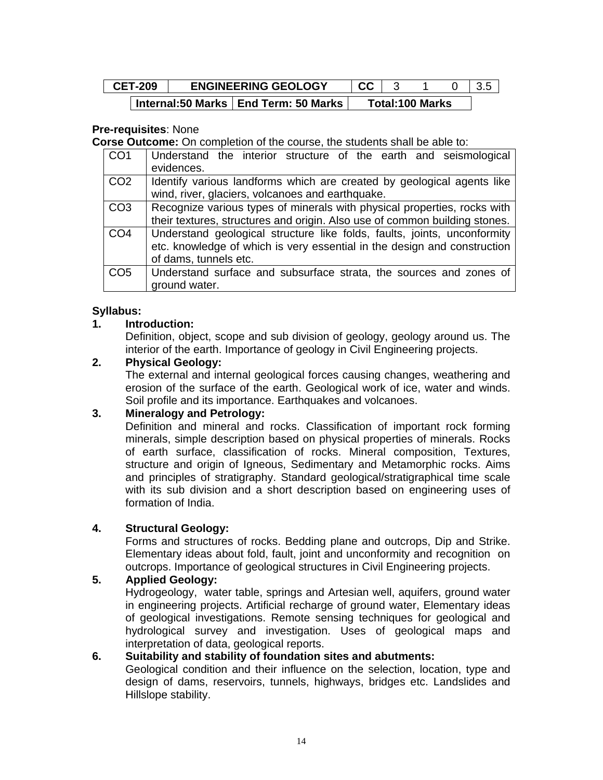| <b>CET-209</b> |  | <b>ENGINEERING GEOLOGY</b>             | rr. |                        |  |
|----------------|--|----------------------------------------|-----|------------------------|--|
|                |  | Internal:50 Marks   End Term: 50 Marks |     | <b>Total:100 Marks</b> |  |

### **Pre-requisites**: None

**Corse Outcome:** On completion of the course, the students shall be able to:

| CO <sub>1</sub> | Understand the interior structure of the earth and seismological           |
|-----------------|----------------------------------------------------------------------------|
|                 | evidences.                                                                 |
| CO <sub>2</sub> | Identify various landforms which are created by geological agents like     |
|                 | wind, river, glaciers, volcanoes and earthquake.                           |
| CO <sub>3</sub> | Recognize various types of minerals with physical properties, rocks with   |
|                 | their textures, structures and origin. Also use of common building stones. |
| CO <sub>4</sub> | Understand geological structure like folds, faults, joints, unconformity   |
|                 | etc. knowledge of which is very essential in the design and construction   |
|                 | of dams, tunnels etc.                                                      |
| CO <sub>5</sub> | Understand surface and subsurface strata, the sources and zones of         |
|                 | ground water.                                                              |

### **Syllabus:**

### **1. Introduction:**

Definition, object, scope and sub division of geology, geology around us. The interior of the earth. Importance of geology in Civil Engineering projects.

#### **2. Physical Geology:**

The external and internal geological forces causing changes, weathering and erosion of the surface of the earth. Geological work of ice, water and winds. Soil profile and its importance. Earthquakes and volcanoes.

#### **3. Mineralogy and Petrology:**

Definition and mineral and rocks. Classification of important rock forming minerals, simple description based on physical properties of minerals. Rocks of earth surface, classification of rocks. Mineral composition, Textures, structure and origin of Igneous, Sedimentary and Metamorphic rocks. Aims and principles of stratigraphy. Standard geological/stratigraphical time scale with its sub division and a short description based on engineering uses of formation of India.

#### **4. Structural Geology:**

Forms and structures of rocks. Bedding plane and outcrops, Dip and Strike. Elementary ideas about fold, fault, joint and unconformity and recognition on outcrops. Importance of geological structures in Civil Engineering projects.

#### **5. Applied Geology:**

Hydrogeology, water table, springs and Artesian well, aquifers, ground water in engineering projects. Artificial recharge of ground water, Elementary ideas of geological investigations. Remote sensing techniques for geological and hydrological survey and investigation. Uses of geological maps and interpretation of data, geological reports.

#### **6. Suitability and stability of foundation sites and abutments:**

Geological condition and their influence on the selection, location, type and design of dams, reservoirs, tunnels, highways, bridges etc. Landslides and Hillslope stability.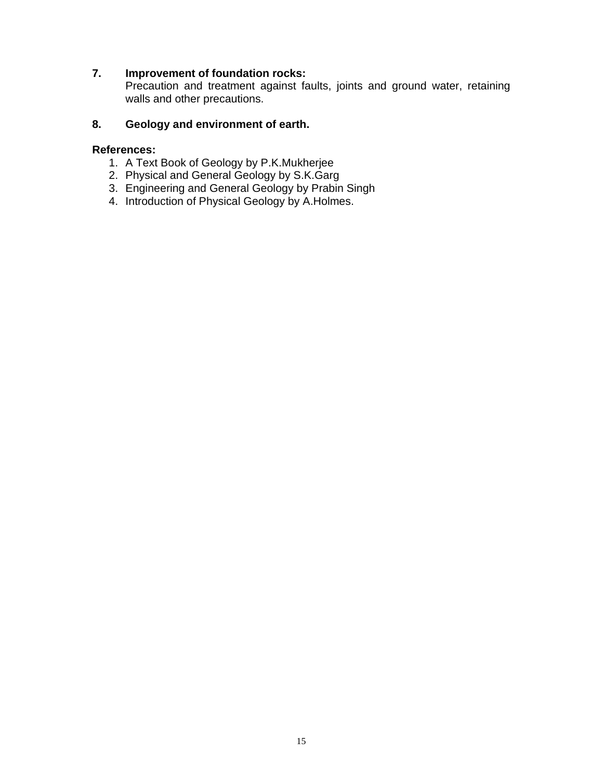## **7. Improvement of foundation rocks:**

Precaution and treatment against faults, joints and ground water, retaining walls and other precautions.

### **8. Geology and environment of earth.**

- 1. A Text Book of Geology by P.K.Mukherjee
- 2. Physical and General Geology by S.K.Garg
- 3. Engineering and General Geology by Prabin Singh
- 4. Introduction of Physical Geology by A.Holmes.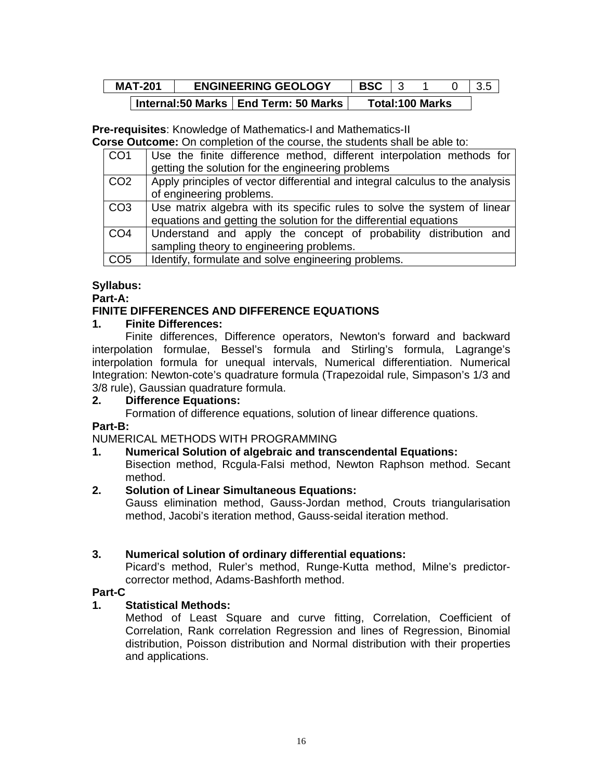| <b>MAT-201</b> | <b>BSC</b><br><b>ENGINEERING GEOLOGY</b> |  |  |                        |  |
|----------------|------------------------------------------|--|--|------------------------|--|
|                | Internal:50 Marks   End Term: 50 Marks   |  |  | <b>Total:100 Marks</b> |  |

**Pre-requisites**: Knowledge of Mathematics-I and Mathematics-II

**Corse Outcome:** On completion of the course, the students shall be able to:

| CO <sub>1</sub> | Use the finite difference method, different interpolation methods for         |
|-----------------|-------------------------------------------------------------------------------|
|                 | getting the solution for the engineering problems                             |
| CO <sub>2</sub> | Apply principles of vector differential and integral calculus to the analysis |
|                 | of engineering problems.                                                      |
| CO <sub>3</sub> | Use matrix algebra with its specific rules to solve the system of linear      |
|                 | equations and getting the solution for the differential equations             |
| CO <sub>4</sub> | Understand and apply the concept of probability distribution and              |
|                 | sampling theory to engineering problems.                                      |
| CO <sub>5</sub> | Identify, formulate and solve engineering problems.                           |

# **Syllabus:**

**Part-A:**

# **FINITE DIFFERENCES AND DIFFERENCE EQUATIONS**

# **1. Finite Differences:**

Finite differences, Difference operators, Newton's forward and backward interpolation formulae, Bessel's formula and Stirling's formula, Lagrange's interpolation formula for unequal intervals, Numerical differentiation. Numerical Integration: Newton-cote's quadrature formula (Trapezoidal rule, Simpason's 1/3 and 3/8 rule), Gaussian quadrature formula.

# **2. Difference Equations:**

Formation of difference equations, solution of linear difference quations.

# **Part-B:**

NUMERICAL METHODS WITH PROGRAMMING

# **1. Numerical Solution of algebraic and transcendental Equations:**

Bisection method, Rcgula-FaIsi method, Newton Raphson method. Secant method.

# **2. Solution of Linear Simultaneous Equations:**

Gauss elimination method, Gauss-Jordan method, Crouts triangularisation method, Jacobi's iteration method, Gauss-seidal iteration method.

# **3. Numerical solution of ordinary differential equations:**

Picard's method, Ruler's method, Runge-Kutta method, Milne's predictorcorrector method, Adams-Bashforth method.

# **Part-C**

# **1. Statistical Methods:**

Method of Least Square and curve fitting, Correlation, Coefficient of Correlation, Rank correlation Regression and lines of Regression, Binomial distribution, Poisson distribution and Normal distribution with their properties and applications.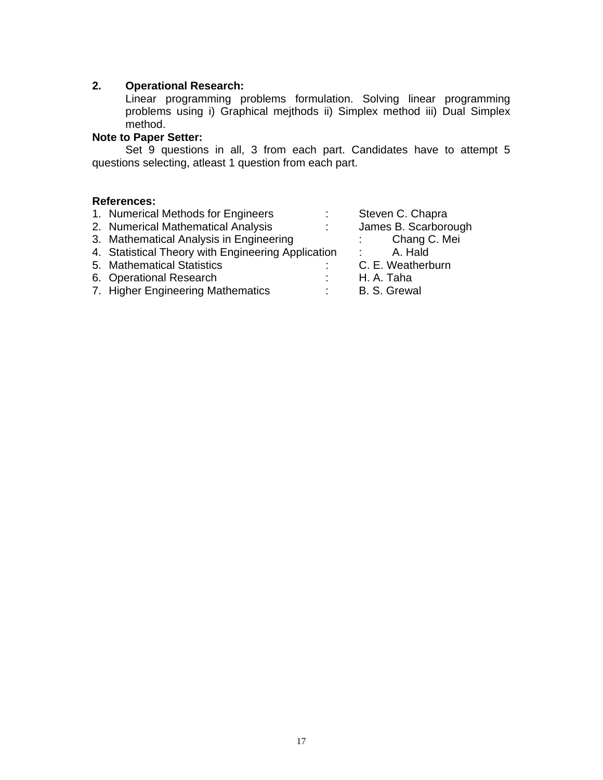#### **2. Operational Research:**

Linear programming problems formulation. Solving linear programming problems using i) Graphical mejthods ii) Simplex method iii) Dual Simplex method.

# **Note to Paper Setter:**

Set 9 questions in all, 3 from each part. Candidates have to attempt 5 questions selecting, atleast 1 question from each part.

| 1. Numerical Methods for Engineers                 |            | Steven C. Chapra                   |
|----------------------------------------------------|------------|------------------------------------|
| 2. Numerical Mathematical Analysis                 | $\sim 100$ | James B. Scarborough               |
| 3. Mathematical Analysis in Engineering            |            | Chang C. Mei<br><b>State State</b> |
| 4. Statistical Theory with Engineering Application |            | A. Hald                            |
| 5. Mathematical Statistics                         |            | C. E. Weatherburn                  |
| 6. Operational Research                            |            | H. A. Taha                         |
| 7. Higher Engineering Mathematics                  | ÷.         | B. S. Grewal                       |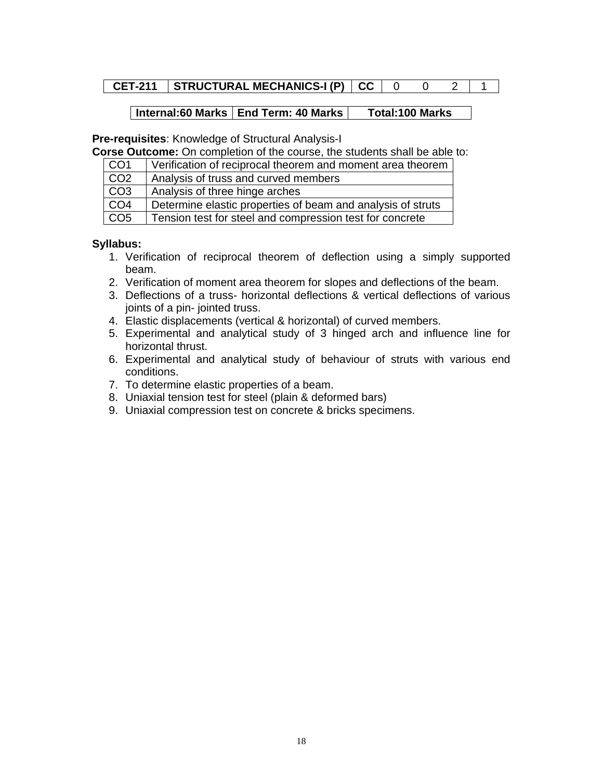# **CET-211** STRUCTURAL MECHANICS-I (P)  $|CC|0 0 2 |1$

#### | Internal:60 Marks | End Term: 40 Marks | Total:100 Marks

**Pre-requisites**: Knowledge of Structural Analysis-I

**Corse Outcome:** On completion of the course, the students shall be able to:

| CO <sub>1</sub> | Verification of reciprocal theorem and moment area theorem  |
|-----------------|-------------------------------------------------------------|
| CO <sub>2</sub> | Analysis of truss and curved members                        |
| CO <sub>3</sub> | Analysis of three hinge arches                              |
| CO <sub>4</sub> | Determine elastic properties of beam and analysis of struts |
| CO <sub>5</sub> | Tension test for steel and compression test for concrete    |

- 1. Verification of reciprocal theorem of deflection using a simply supported beam.
- 2. Verification of moment area theorem for slopes and deflections of the beam.
- 3. Deflections of a truss- horizontal deflections & vertical deflections of various joints of a pin- jointed truss.
- 4. Elastic displacements (vertical & horizontal) of curved members.
- 5. Experimental and analytical study of 3 hinged arch and influence line for horizontal thrust.
- 6. Experimental and analytical study of behaviour of struts with various end conditions.
- 7. To determine elastic properties of a beam.
- 8. Uniaxial tension test for steel (plain & deformed bars)
- 9. Uniaxial compression test on concrete & bricks specimens.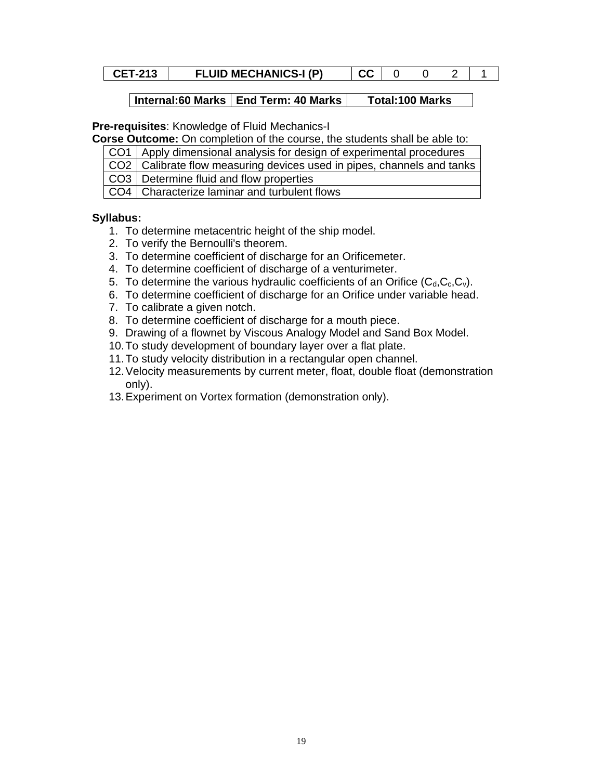## **CET-213** FLUID MECHANICS-I (P)  $|CC|002|1$

#### **Internal:60 Marks | End Term: 40 Marks | Total:100 Marks**

**Pre-requisites**: Knowledge of Fluid Mechanics-I

**Corse Outcome:** On completion of the course, the students shall be able to:

| CO1   Apply dimensional analysis for design of experimental procedures                                          |
|-----------------------------------------------------------------------------------------------------------------|
| $\overline{1000}$ $\overline{0}$ of the sets flave masses when deviase years to integer above also and top lies |

CO2 | Calibrate flow measuring devices used in pipes, channels and tanks

CO3 | Determine fluid and flow properties

CO4 Characterize laminar and turbulent flows

- 1. To determine metacentric height of the ship model.
- 2. To verify the Bernoulli's theorem.
- 3. To determine coefficient of discharge for an Orificemeter.
- 4. To determine coefficient of discharge of a venturimeter.
- 5. To determine the various hydraulic coefficients of an Orifice  $(C_d, C_c, C_v)$ .
- 6. To determine coefficient of discharge for an Orifice under variable head.
- 7. To calibrate a given notch.
- 8. To determine coefficient of discharge for a mouth piece.
- 9. Drawing of a flownet by Viscous Analogy Model and Sand Box Model.
- 10. To study development of boundary layer over a flat plate.
- 11. To study velocity distribution in a rectangular open channel.
- 12. Velocity measurements by current meter, float, double float (demonstration only).
- 13. Experiment on Vortex formation (demonstration only).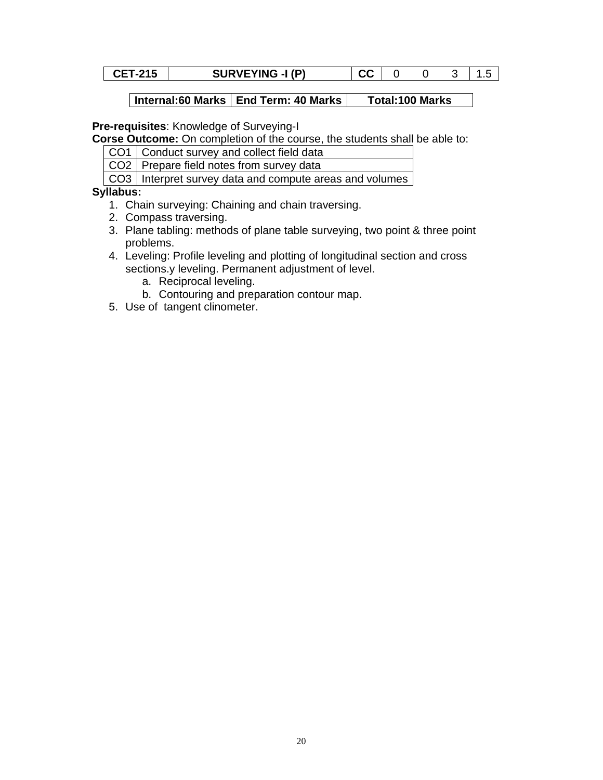| <b>SURVEYING -I (P)</b><br>rr<br><b>CET-215</b><br>uu |  |
|-------------------------------------------------------|--|
|-------------------------------------------------------|--|

**Pre-requisites**: Knowledge of Surveying-I

**Corse Outcome:** On completion of the course, the students shall be able to:

CO1 Conduct survey and collect field data

CO2 Prepare field notes from survey data

CO3 | Interpret survey data and compute areas and volumes

- 1. Chain surveying: Chaining and chain traversing.
- 2. Compass traversing.
- 3. Plane tabling: methods of plane table surveying, two point & three point problems.
- 4. Leveling: Profile leveling and plotting of longitudinal section and cross sections.y leveling. Permanent adjustment of level.
	- a. Reciprocal leveling.
	- b. Contouring and preparation contour map.
- 5. Use of tangent clinometer.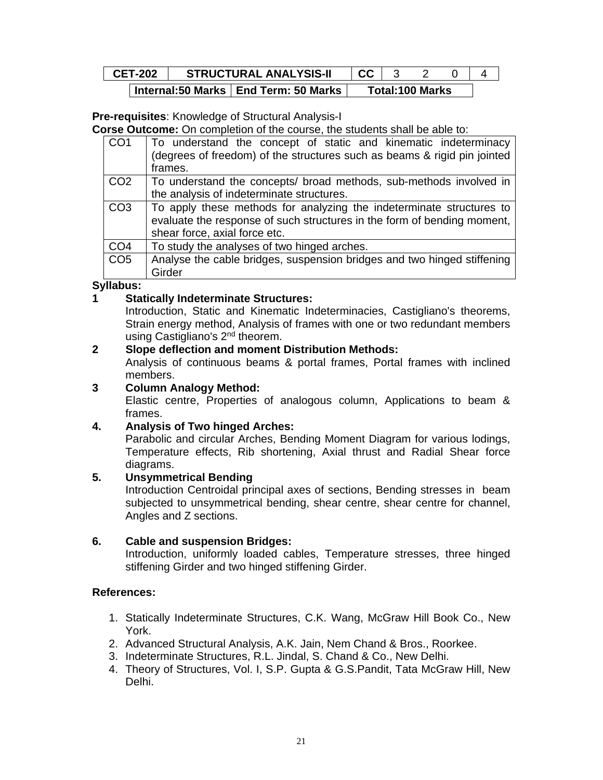| <b>CET-202</b> | <b>STRUCTURAL ANALYSIS-II</b>          | <b>CC</b> |                        |  |
|----------------|----------------------------------------|-----------|------------------------|--|
|                | Internal:50 Marks   End Term: 50 Marks |           | <b>Total:100 Marks</b> |  |

**Pre-requisites**: Knowledge of Structural Analysis-I

**Corse Outcome:** On completion of the course, the students shall be able to:

| To understand the concept of static and kinematic indeterminacy<br>(degrees of freedom) of the structures such as beams & rigid pin jointed<br>frames.                           |
|----------------------------------------------------------------------------------------------------------------------------------------------------------------------------------|
| To understand the concepts/ broad methods, sub-methods involved in                                                                                                               |
| the analysis of indeterminate structures.                                                                                                                                        |
| To apply these methods for analyzing the indeterminate structures to<br>evaluate the response of such structures in the form of bending moment,<br>shear force, axial force etc. |
| To study the analyses of two hinged arches.                                                                                                                                      |
| Analyse the cable bridges, suspension bridges and two hinged stiffening<br>Girder                                                                                                |
|                                                                                                                                                                                  |

#### **Syllabus:**

### **1 Statically Indeterminate Structures:**

Introduction, Static and Kinematic Indeterminacies, Castigliano's theorems, Strain energy method, Analysis of frames with one or two redundant members using Castigliano's 2nd theorem.

# **2 Slope deflection and moment Distribution Methods:**

Analysis of continuous beams & portal frames, Portal frames with inclined members.

#### **3 Column Analogy Method:**

Elastic centre, Properties of analogous column, Applications to beam & frames.

#### **4. Analysis of Two hinged Arches:**

Parabolic and circular Arches, Bending Moment Diagram for various lodings, Temperature effects, Rib shortening, Axial thrust and Radial Shear force diagrams.

#### **5. Unsymmetrical Bending**

Introduction Centroidal principal axes of sections, Bending stresses in beam subjected to unsymmetrical bending, shear centre, shear centre for channel, Angles and Z sections.

#### **6. Cable and suspension Bridges:**

Introduction, uniformly loaded cables, Temperature stresses, three hinged stiffening Girder and two hinged stiffening Girder.

- 1. Statically Indeterminate Structures, C.K. Wang, McGraw Hill Book Co., New York.
- 2. Advanced Structural Analysis, A.K. Jain, Nem Chand & Bros., Roorkee.
- 3. Indeterminate Structures, R.L. Jindal, S. Chand & Co., New Delhi.
- 4. Theory of Structures, Vol. I, S.P. Gupta & G.S.Pandit, Tata McGraw Hill, New Delhi.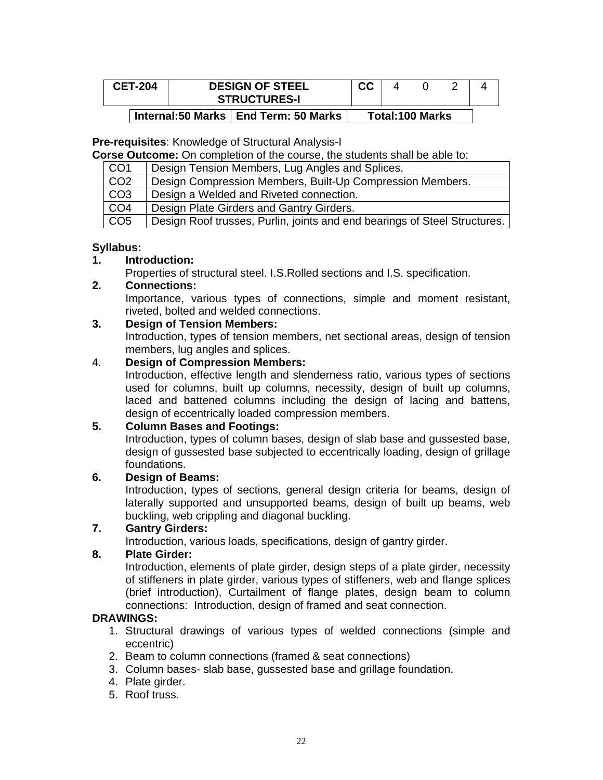| <b>CET-204</b> | <b>DESIGN OF STEEL</b><br><b>STRUCTURES-I</b> | cc |                        |  |
|----------------|-----------------------------------------------|----|------------------------|--|
|                | Internal:50 Marks   End Term: 50 Marks        |    | <b>Total:100 Marks</b> |  |

#### **Pre-requisites**: Knowledge of Structural Analysis-I

**Corse Outcome:** On completion of the course, the students shall be able to:

| CO1             | Design Tension Members, Lug Angles and Splices.                           |
|-----------------|---------------------------------------------------------------------------|
| CO <sub>2</sub> | Design Compression Members, Built-Up Compression Members.                 |
| CO <sub>3</sub> | Design a Welded and Riveted connection.                                   |
| CO <sub>4</sub> | Design Plate Girders and Gantry Girders.                                  |
| CO <sub>5</sub> | Design Roof trusses, Purlin, joints and end bearings of Steel Structures. |

### **Syllabus:**

### **1. Introduction:**

Properties of structural steel. I.S.Rolled sections and I.S. specification.

#### **2. Connections:**

Importance, various types of connections, simple and moment resistant, riveted, bolted and welded connections.

### **3. Design of Tension Members:**

Introduction, types of tension members, net sectional areas, design of tension members, lug angles and splices.

#### 4. **Design of Compression Members:**

Introduction, effective length and slenderness ratio, various types of sections used for columns, built up columns, necessity, design of built up columns, laced and battened columns including the design of lacing and battens, design of eccentrically loaded compression members.

## **5. Column Bases and Footings:**

Introduction, types of column bases, design of slab base and gussested base, design of gussested base subjected to eccentrically loading, design of grillage foundations.

### **6. Design of Beams:**

Introduction, types of sections, general design criteria for beams, design of laterally supported and unsupported beams, design of built up beams, web buckling, web crippling and diagonal buckling.

#### **7. Gantry Girders:**

Introduction, various loads, specifications, design of gantry girder.

#### **8. Plate Girder:**

Introduction, elements of plate girder, design steps of a plate girder, necessity of stiffeners in plate girder, various types of stiffeners, web and flange splices (brief introduction), Curtailment of flange plates, design beam to column connections: Introduction, design of framed and seat connection.

#### **DRAWINGS:**

- 1. Structural drawings of various types of welded connections (simple and eccentric)
- 2. Beam to column connections (framed & seat connections)
- 3. Column bases- slab base, gussested base and grillage foundation.
- 4. Plate girder.
- 5. Roof truss.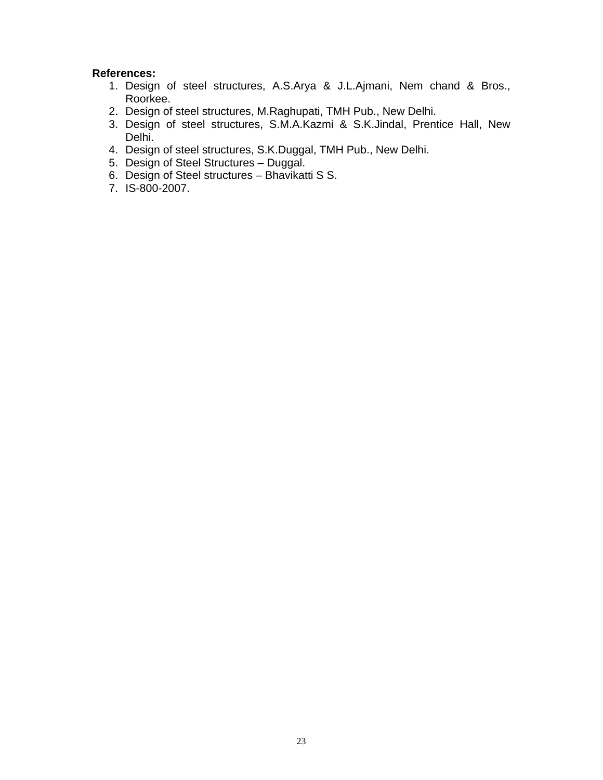- 1. Design of steel structures, A.S.Arya & J.L.Ajmani, Nem chand & Bros., Roorkee.
- 2. Design of steel structures, M.Raghupati, TMH Pub., New Delhi.
- 3. Design of steel structures, S.M.A.Kazmi & S.K.Jindal, Prentice Hall, New Delhi.
- 4. Design of steel structures, S.K.Duggal, TMH Pub., New Delhi.
- 5. Design of Steel Structures Duggal.
- 6. Design of Steel structures Bhavikatti S S.
- 7. IS-800-2007.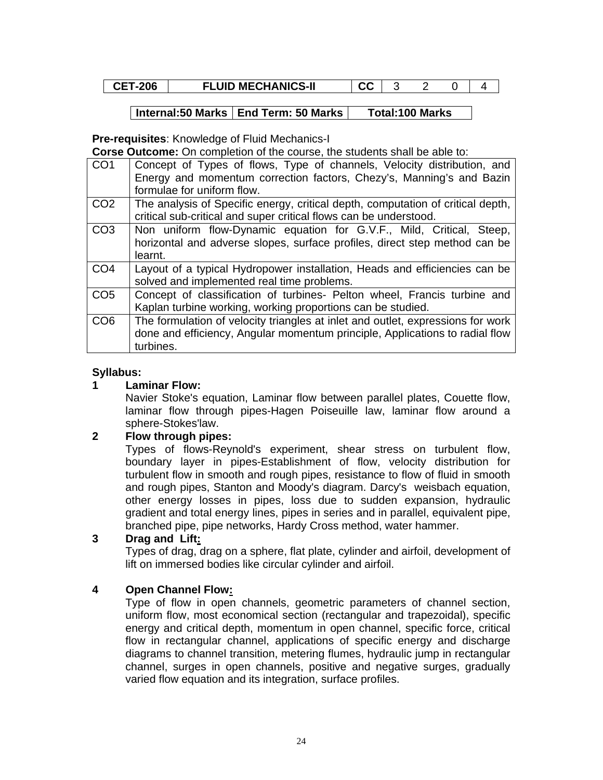| <b>FLUID MECHANICS-II</b><br><b>CET-206</b><br>^^<br>uu |  |  |  |  |
|---------------------------------------------------------|--|--|--|--|
|---------------------------------------------------------|--|--|--|--|

**Pre-requisites**: Knowledge of Fluid Mechanics-I

**Corse Outcome:** On completion of the course, the students shall be able to:

| CO <sub>1</sub> | Concept of Types of flows, Type of channels, Velocity distribution, and<br>Energy and momentum correction factors, Chezy's, Manning's and Bazin<br>formulae for uniform flow. |
|-----------------|-------------------------------------------------------------------------------------------------------------------------------------------------------------------------------|
| CO <sub>2</sub> | The analysis of Specific energy, critical depth, computation of critical depth,<br>critical sub-critical and super critical flows can be understood.                          |
| CO <sub>3</sub> | Non uniform flow-Dynamic equation for G.V.F., Mild, Critical, Steep,<br>horizontal and adverse slopes, surface profiles, direct step method can be<br>learnt.                 |
| CO <sub>4</sub> | Layout of a typical Hydropower installation, Heads and efficiencies can be<br>solved and implemented real time problems.                                                      |
| CO <sub>5</sub> | Concept of classification of turbines- Pelton wheel, Francis turbine and<br>Kaplan turbine working, working proportions can be studied.                                       |
| CO <sub>6</sub> | The formulation of velocity triangles at inlet and outlet, expressions for work<br>done and efficiency, Angular momentum principle, Applications to radial flow<br>turbines.  |

#### **Syllabus:**

#### **1 Laminar Flow:**

Navier Stoke's equation, Laminar flow between parallel plates, Couette flow, laminar flow through pipes-Hagen Poiseuille law, laminar flow around a sphere-Stokes'law.

#### **2 Flow through pipes:**

Types of flows-Reynold's experiment, shear stress on turbulent flow, boundary layer in pipes-Establishment of flow, velocity distribution for turbulent flow in smooth and rough pipes, resistance to flow of fluid in smooth and rough pipes, Stanton and Moody's diagram. Darcy's weisbach equation, other energy losses in pipes, loss due to sudden expansion, hydraulic gradient and total energy lines, pipes in series and in parallel, equivalent pipe, branched pipe, pipe networks, Hardy Cross method, water hammer.

#### **3 Drag and Lift:**

Types of drag, drag on a sphere, flat plate, cylinder and airfoil, development of lift on immersed bodies like circular cylinder and airfoil.

#### **4 Open Channel Flow:**

Type of flow in open channels, geometric parameters of channel section, uniform flow, most economical section (rectangular and trapezoidal), specific energy and critical depth, momentum in open channel, specific force, critical flow in rectangular channel, applications of specific energy and discharge diagrams to channel transition, metering flumes, hydraulic jump in rectangular channel, surges in open channels, positive and negative surges, gradually varied flow equation and its integration, surface profiles.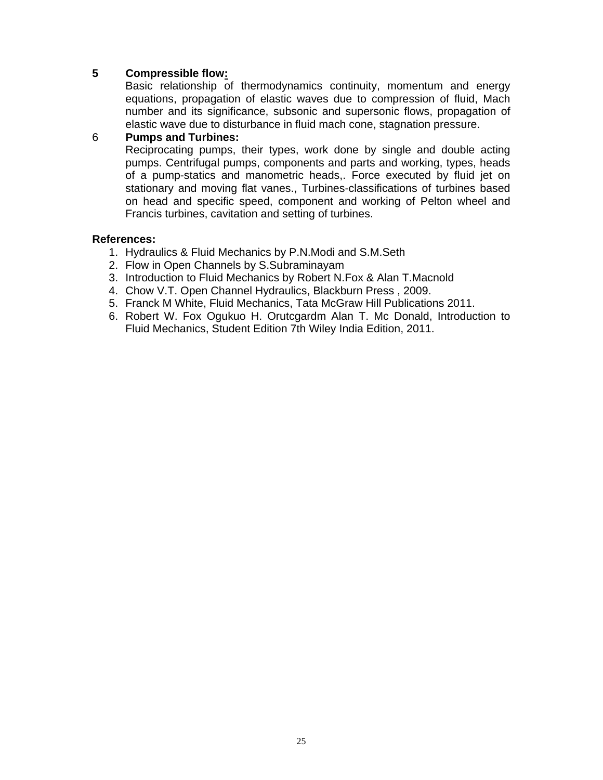## **5 Compressible flow:**

Basic relationship of thermodynamics continuity, momentum and energy equations, propagation of elastic waves due to compression of fluid, Mach number and its significance, subsonic and supersonic flows, propagation of elastic wave due to disturbance in fluid mach cone, stagnation pressure.

#### 6 **Pumps and Turbines:**

Reciprocating pumps, their types, work done by single and double acting pumps. Centrifugal pumps, components and parts and working, types, heads of a pump-statics and manometric heads,. Force executed by fluid jet on stationary and moving flat vanes., Turbines-classifications of turbines based on head and specific speed, component and working of Pelton wheel and Francis turbines, cavitation and setting of turbines.

- 1. Hydraulics & Fluid Mechanics by P.N.Modi and S.M.Seth
- 2. Flow in Open Channels by S.Subraminayam
- 3. Introduction to Fluid Mechanics by Robert N.Fox & Alan T.Macnold
- 4. Chow V.T. Open Channel Hydraulics, Blackburn Press , 2009.
- 5. Franck M White, Fluid Mechanics, Tata McGraw Hill Publications 2011.
- 6. Robert W. Fox Ogukuo H. Orutcgardm Alan T. Mc Donald, Introduction to Fluid Mechanics, Student Edition 7th Wiley India Edition, 2011.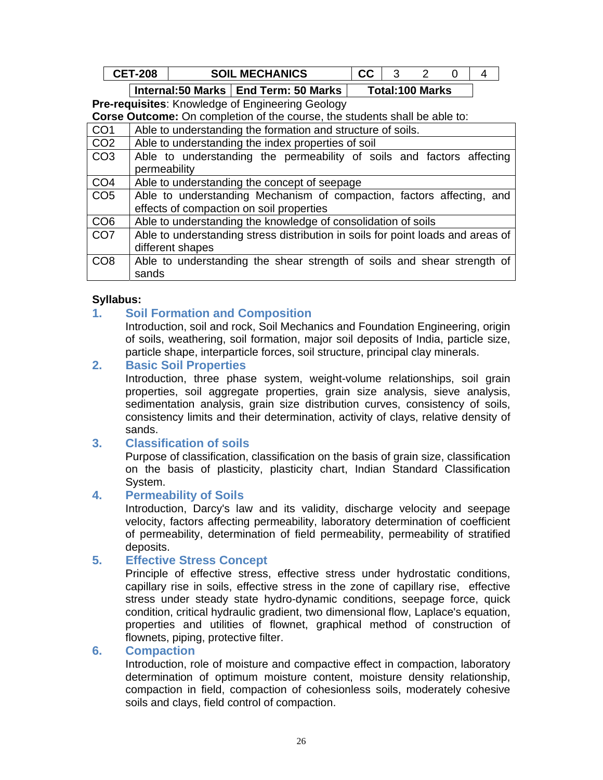| ъ.<br>ּ פחר | <b>CHANICS</b><br><b>ME</b><br><b>SOIL</b><br>:Спа<br> |  |  |  |
|-------------|--------------------------------------------------------|--|--|--|
|             |                                                        |  |  |  |

**Pre-requisites**: Knowledge of Engineering Geology

**Corse Outcome:** On completion of the course, the students shall be able to:

| CO <sub>1</sub> | Able to understanding the formation and structure of soils.                     |
|-----------------|---------------------------------------------------------------------------------|
| CO <sub>2</sub> | Able to understanding the index properties of soil                              |
| CO <sub>3</sub> | Able to understanding the permeability of soils and factors affecting           |
|                 | permeability                                                                    |
| CO <sub>4</sub> | Able to understanding the concept of seepage                                    |
| CO <sub>5</sub> | Able to understanding Mechanism of compaction, factors affecting, and           |
|                 | effects of compaction on soil properties                                        |
| CO <sub>6</sub> | Able to understanding the knowledge of consolidation of soils                   |
| CO <sub>7</sub> | Able to understanding stress distribution in soils for point loads and areas of |
|                 | different shapes                                                                |
| CO <sub>8</sub> | Able to understanding the shear strength of soils and shear strength of         |
|                 | sands                                                                           |

#### **Syllabus:**

### **1. Soil Formation and Composition**

Introduction, soil and rock, Soil Mechanics and Foundation Engineering, origin of soils, weathering, soil formation, major soil deposits of India, particle size, particle shape, interparticle forces, soil structure, principal clay minerals.

### **2. Basic Soil Properties**

Introduction, three phase system, weight-volume relationships, soil grain properties, soil aggregate properties, grain size analysis, sieve analysis, sedimentation analysis, grain size distribution curves, consistency of soils, consistency limits and their determination, activity of clays, relative density of sands.

#### **3. Classification of soils**

Purpose of classification, classification on the basis of grain size, classification on the basis of plasticity, plasticity chart, Indian Standard Classification System.

#### **4. Permeability of Soils**

Introduction, Darcy's law and its validity, discharge velocity and seepage velocity, factors affecting permeability, laboratory determination of coefficient of permeability, determination of field permeability, permeability of stratified deposits.

#### **5. Effective Stress Concept**

Principle of effective stress, effective stress under hydrostatic conditions, capillary rise in soils, effective stress in the zone of capillary rise, effective stress under steady state hydro-dynamic conditions, seepage force, quick condition, critical hydraulic gradient, two dimensional flow, Laplace's equation, properties and utilities of flownet, graphical method of construction of flownets, piping, protective filter.

# **6. Compaction**

Introduction, role of moisture and compactive effect in compaction, laboratory determination of optimum moisture content, moisture density relationship, compaction in field, compaction of cohesionless soils, moderately cohesive soils and clays, field control of compaction.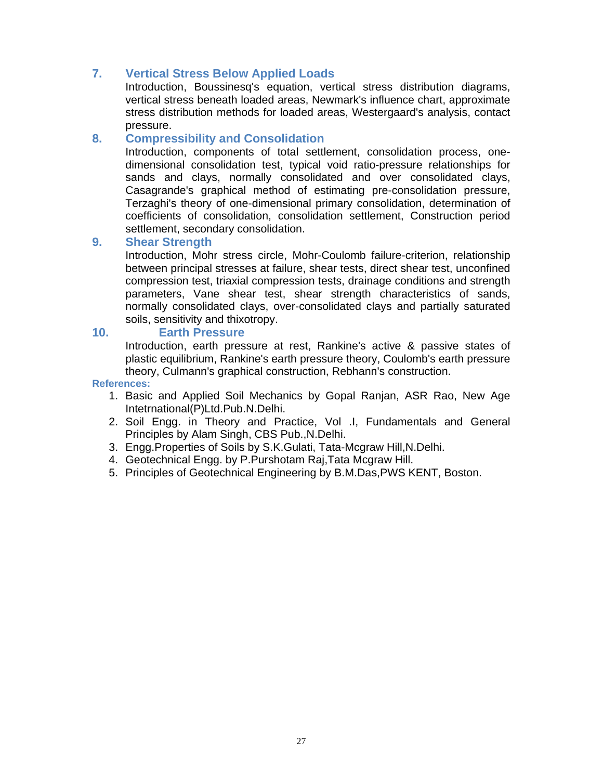# **7. Vertical Stress Below Applied Loads**

Introduction, Boussinesq's equation, vertical stress distribution diagrams, vertical stress beneath loaded areas, Newmark's influence chart, approximate stress distribution methods for loaded areas, Westergaard's analysis, contact pressure.

### **8. Compressibility and Consolidation**

Introduction, components of total settlement, consolidation process, onedimensional consolidation test, typical void ratio-pressure relationships for sands and clays, normally consolidated and over consolidated clays, Casagrande's graphical method of estimating pre-consolidation pressure, Terzaghi's theory of one-dimensional primary consolidation, determination of coefficients of consolidation, consolidation settlement, Construction period settlement, secondary consolidation.

#### **9. Shear Strength**

Introduction, Mohr stress circle, Mohr-Coulomb failure-criterion, relationship between principal stresses at failure, shear tests, direct shear test, unconfined compression test, triaxial compression tests, drainage conditions and strength parameters, Vane shear test, shear strength characteristics of sands, normally consolidated clays, over-consolidated clays and partially saturated soils, sensitivity and thixotropy.

### **10. Earth Pressure**

Introduction, earth pressure at rest, Rankine's active & passive states of plastic equilibrium, Rankine's earth pressure theory, Coulomb's earth pressure theory, Culmann's graphical construction, Rebhann's construction.

- 1. Basic and Applied Soil Mechanics by Gopal Ranjan, ASR Rao, New Age Intetrnational(P)Ltd.Pub.N.Delhi.
- 2. Soil Engg. in Theory and Practice, Vol .I, Fundamentals and General Principles by Alam Singh, CBS Pub.,N.Delhi.
- 3. Engg.Properties of Soils by S.K.Gulati, Tata-Mcgraw Hill,N.Delhi.
- 4. Geotechnical Engg. by P.Purshotam Raj,Tata Mcgraw Hill.
- 5. Principles of Geotechnical Engineering by B.M.Das,PWS KENT, Boston.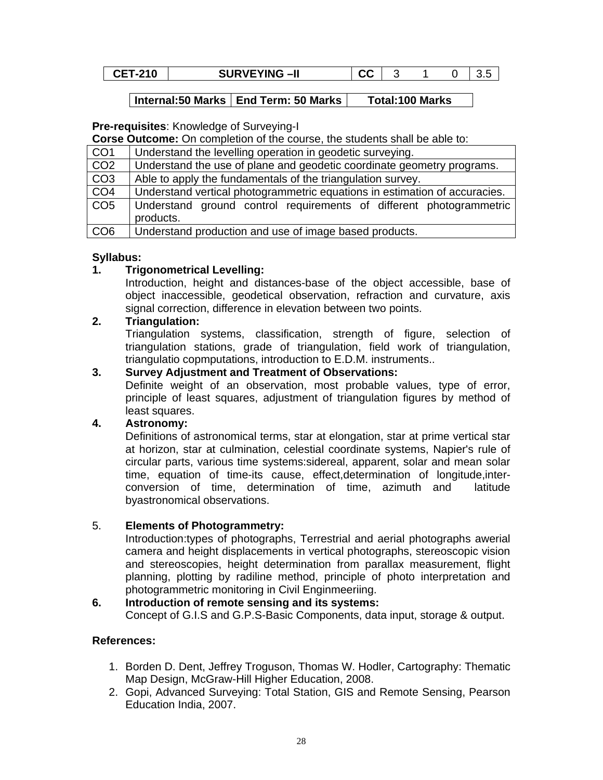| <b>CET-210</b> | <b>SURVEYING-II</b> | ^^<br>uu |  |  |
|----------------|---------------------|----------|--|--|
|                |                     |          |  |  |

#### **Pre-requisites**: Knowledge of Surveying-I

**Corse Outcome:** On completion of the course, the students shall be able to:

| CO <sub>1</sub> | Understand the levelling operation in geodetic surveying.                  |
|-----------------|----------------------------------------------------------------------------|
| CO <sub>2</sub> | Understand the use of plane and geodetic coordinate geometry programs.     |
| CO <sub>3</sub> | Able to apply the fundamentals of the triangulation survey.                |
| CO <sub>4</sub> | Understand vertical photogrammetric equations in estimation of accuracies. |
| CO <sub>5</sub> | Understand ground control requirements of different photogrammetric        |
|                 | products.                                                                  |
| CO <sub>6</sub> | Understand production and use of image based products.                     |

### **Syllabus:**

#### **1. Trigonometrical Levelling:**

Introduction, height and distances-base of the object accessible, base of object inaccessible, geodetical observation, refraction and curvature, axis signal correction, difference in elevation between two points.

### **2. Triangulation:**

Triangulation systems, classification, strength of figure, selection of triangulation stations, grade of triangulation, field work of triangulation, triangulatio copmputations, introduction to E.D.M. instruments..

### **3. Survey Adjustment and Treatment of Observations:**

Definite weight of an observation, most probable values, type of error, principle of least squares, adjustment of triangulation figures by method of least squares.

#### **4. Astronomy:**

Definitions of astronomical terms, star at elongation, star at prime vertical star at horizon, star at culmination, celestial coordinate systems, Napier's rule of circular parts, various time systems:sidereal, apparent, solar and mean solar time, equation of time-its cause, effect,determination of longitude,interconversion of time, determination of time, azimuth and latitude byastronomical observations.

#### 5. **Elements of Photogrammetry:**

Introduction:types of photographs, Terrestrial and aerial photographs awerial camera and height displacements in vertical photographs, stereoscopic vision and stereoscopies, height determination from parallax measurement, flight planning, plotting by radiline method, principle of photo interpretation and photogrammetric monitoring in Civil Enginmeeriing.

### **6. Introduction of remote sensing and its systems:**

Concept of G.I.S and G.P.S-Basic Components, data input, storage & output.

- 1. Borden D. Dent, Jeffrey Troguson, Thomas W. Hodler, Cartography: Thematic Map Design, McGraw-Hill Higher Education, 2008.
- 2. Gopi, Advanced Surveying: Total Station, GIS and Remote Sensing, Pearson Education India, 2007.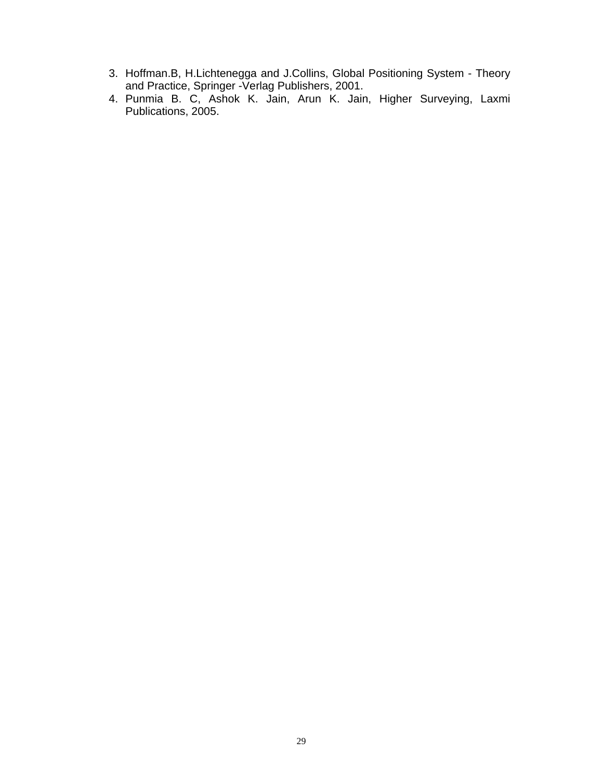- 3. Hoffman.B, H.Lichtenegga and J.Collins, Global Positioning System Theory and Practice, Springer -Verlag Publishers, 2001.
- 4. Punmia B. C, Ashok K. Jain, Arun K. Jain, Higher Surveying, Laxmi Publications, 2005.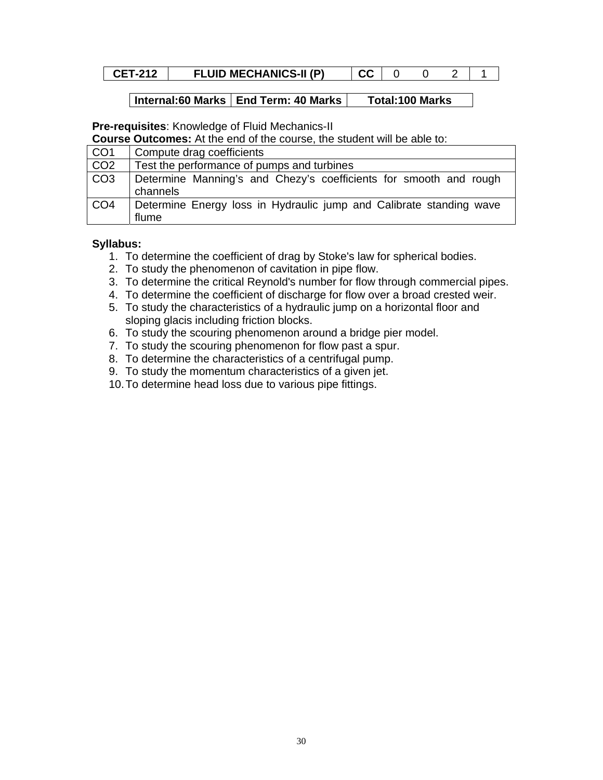## **CET-212** FLUID MECHANICS-II (P)  $|CC|002|11$

#### **Internal:60 Marks | End Term: 40 Marks | Total:100 Marks**

**Pre-requisites**: Knowledge of Fluid Mechanics-II

**Course Outcomes:** At the end of the course, the student will be able to:

| CO1              | Compute drag coefficients                                                     |
|------------------|-------------------------------------------------------------------------------|
| CO <sub>2</sub>  | Test the performance of pumps and turbines                                    |
| $\overline{CO3}$ | Determine Manning's and Chezy's coefficients for smooth and rough<br>channels |
| CO4              | Determine Energy loss in Hydraulic jump and Calibrate standing wave<br>flume  |

- 1. To determine the coefficient of drag by Stoke's law for spherical bodies.
- 2. To study the phenomenon of cavitation in pipe flow.
- 3. To determine the critical Reynold's number for flow through commercial pipes.
- 4. To determine the coefficient of discharge for flow over a broad crested weir.
- 5. To study the characteristics of a hydraulic jump on a horizontal floor and sloping glacis including friction blocks.
- 6. To study the scouring phenomenon around a bridge pier model.
- 7. To study the scouring phenomenon for flow past a spur.
- 8. To determine the characteristics of a centrifugal pump.
- 9. To study the momentum characteristics of a given jet.
- 10. To determine head loss due to various pipe fittings.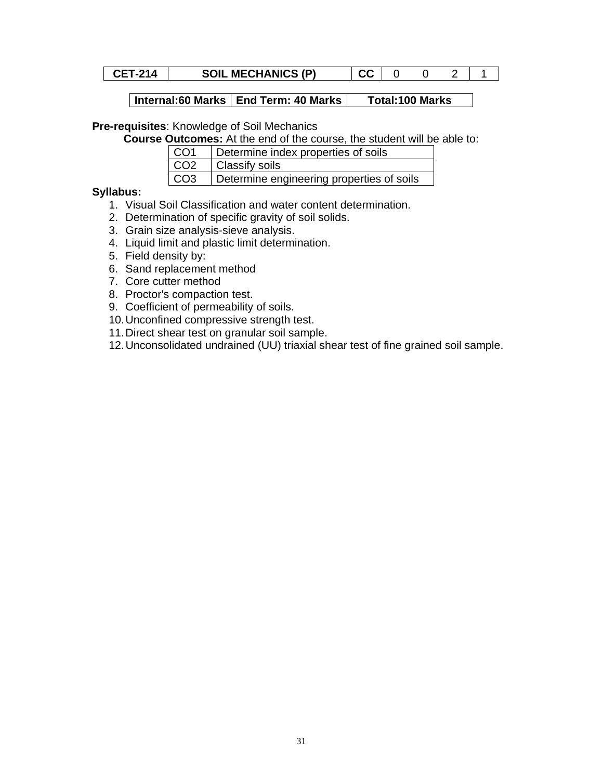**CET-214** SOIL MECHANICS (P)  $CC \mid 0 \quad 0 \quad 2 \mid 1$ 

# **Pre-requisites**: Knowledge of Soil Mechanics

**Course Outcomes:** At the end of the course, the student will be able to:

| CO1 | Determine index properties of soils       |
|-----|-------------------------------------------|
| CO2 | Classify soils                            |
| CO3 | Determine engineering properties of soils |

- 1. Visual Soil Classification and water content determination.
- 2. Determination of specific gravity of soil solids.
- 3. Grain size analysis-sieve analysis.
- 4. Liquid limit and plastic limit determination.
- 5. Field density by:
- 6. Sand replacement method
- 7. Core cutter method
- 8. Proctor's compaction test.
- 9. Coefficient of permeability of soils.
- 10. Unconfined compressive strength test.
- 11. Direct shear test on granular soil sample.
- 12. Unconsolidated undrained (UU) triaxial shear test of fine grained soil sample.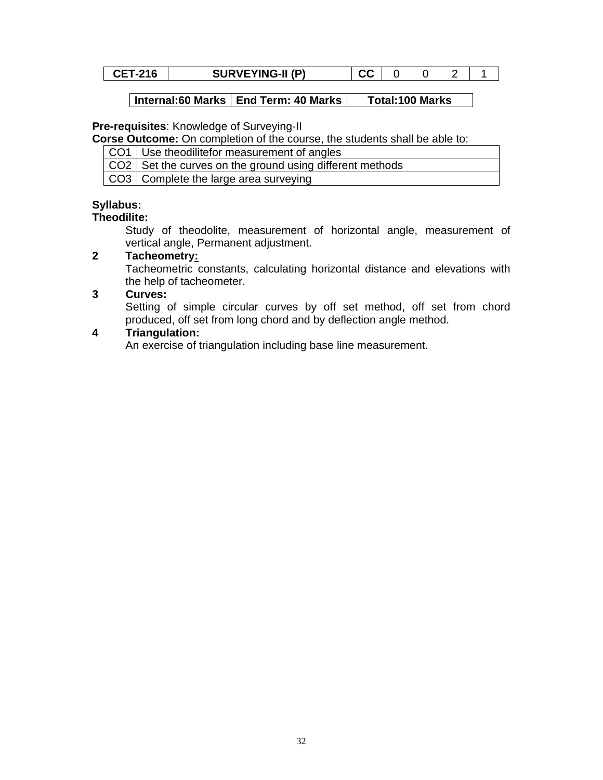|  | <b>CET-216</b> | <b>SURVEYING-II (P)</b> |  |  |  |  |  |
|--|----------------|-------------------------|--|--|--|--|--|
|--|----------------|-------------------------|--|--|--|--|--|

#### **Pre-requisites**: Knowledge of Surveying-II

**Corse Outcome:** On completion of the course, the students shall be able to:

- CO1 Use theodilitefor measurement of angles
- CO2 Set the curves on the ground using different methods

CO3 Complete the large area surveying

#### **Syllabus:**

#### **Theodilite:**

Study of theodolite, measurement of horizontal angle, measurement of vertical angle, Permanent adjustment.

#### **2 Tacheometry:**

Tacheometric constants, calculating horizontal distance and elevations with the help of tacheometer.

#### **3 Curves:**

Setting of simple circular curves by off set method, off set from chord produced, off set from long chord and by deflection angle method.

#### **4 Triangulation:**

An exercise of triangulation including base line measurement.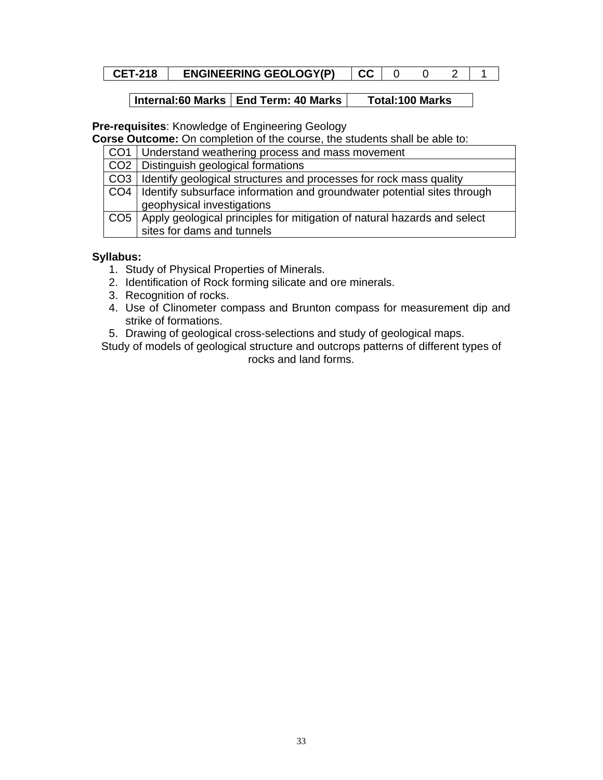| <b>CET-218</b> | <b>ENGINEERING GEOLOGY(P)</b> |  |  |  |  |  |
|----------------|-------------------------------|--|--|--|--|--|
|----------------|-------------------------------|--|--|--|--|--|

**Pre-requisites**: Knowledge of Engineering Geology

**Corse Outcome:** On completion of the course, the students shall be able to:

| CO1   Understand weathering process and mass movement                          |
|--------------------------------------------------------------------------------|
| CO2   Distinguish geological formations                                        |
| CO3   Identify geological structures and processes for rock mass quality       |
| CO4   Identify subsurface information and groundwater potential sites through  |
| geophysical investigations                                                     |
| CO5   Apply geological principles for mitigation of natural hazards and select |
| sites for dams and tunnels                                                     |

# **Syllabus:**

- 1. Study of Physical Properties of Minerals.
- 2. Identification of Rock forming silicate and ore minerals.
- 3. Recognition of rocks.
- 4. Use of Clinometer compass and Brunton compass for measurement dip and strike of formations.
- 5. Drawing of geological cross-selections and study of geological maps.

Study of models of geological structure and outcrops patterns of different types of rocks and land forms.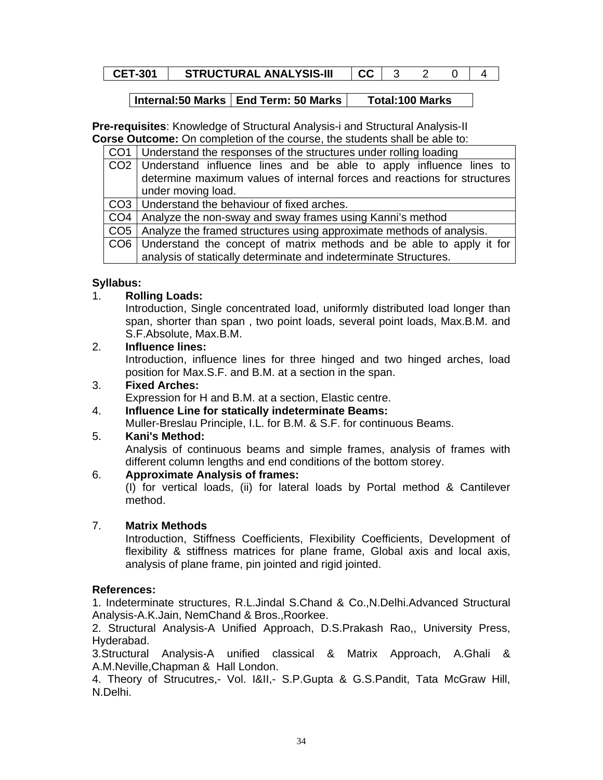| <b>STRUCTURAL ANALYSIS-III</b><br><b>CET-301</b><br>uu |  |
|--------------------------------------------------------|--|
|--------------------------------------------------------|--|

## $\vert$  Internal:50 Marks  $\vert$  End Term: 50 Marks  $\vert$  Total:100 Marks

**Pre-requisites**: Knowledge of Structural Analysis-i and Structural Analysis-II **Corse Outcome:** On completion of the course, the students shall be able to:

CO1 Understand the responses of the structures under rolling loading

| CO2 Understand influence lines and be able to apply influence lines to   |
|--------------------------------------------------------------------------|
| determine maximum values of internal forces and reactions for structures |
| under moving load.                                                       |
| 000 Uta departementals had endeavour of fine disease as                  |

CO3 Understand the behaviour of fixed arches.

 $CO4$  Analyze the non-sway and sway frames using Kanni's method

CO5 | Analyze the framed structures using approximate methods of analysis.

CO6 Understand the concept of matrix methods and be able to apply it for analysis of statically determinate and indeterminate Structures.

### **Syllabus:**

### 1. **Rolling Loads:**

Introduction, Single concentrated load, uniformly distributed load longer than span, shorter than span , two point loads, several point loads, Max.B.M. and S.F.Absolute, Max.B.M.

#### 2. **Influence lines:**

Introduction, influence lines for three hinged and two hinged arches, load position for Max.S.F. and B.M. at a section in the span.

## 3. **Fixed Arches:**

Expression for H and B.M. at a section, Elastic centre.

4. **Influence Line for statically indeterminate Beams:** Muller-Breslau Principle, I.L. for B.M. & S.F. for continuous Beams.

#### 5. **Kani's Method:**

Analysis of continuous beams and simple frames, analysis of frames with different column lengths and end conditions of the bottom storey.

#### 6. **Approximate Analysis of frames:**

(I) for vertical loads, (ii) for lateral loads by Portal method & Cantilever method.

# 7. **Matrix Methods**

Introduction, Stiffness Coefficients, Flexibility Coefficients, Development of flexibility & stiffness matrices for plane frame, Global axis and local axis, analysis of plane frame, pin jointed and rigid jointed.

#### **References:**

1. Indeterminate structures, R.L.Jindal S.Chand & Co.,N.Delhi.Advanced Structural Analysis-A.K.Jain, NemChand & Bros.,Roorkee.

2. Structural Analysis-A Unified Approach, D.S.Prakash Rao,, University Press, Hyderabad.

3.Structural Analysis-A unified classical & Matrix Approach, A.Ghali & A.M.Neville,Chapman & Hall London.

4. Theory of Strucutres,- Vol. I&II,- S.P.Gupta & G.S.Pandit, Tata McGraw Hill, N.Delhi.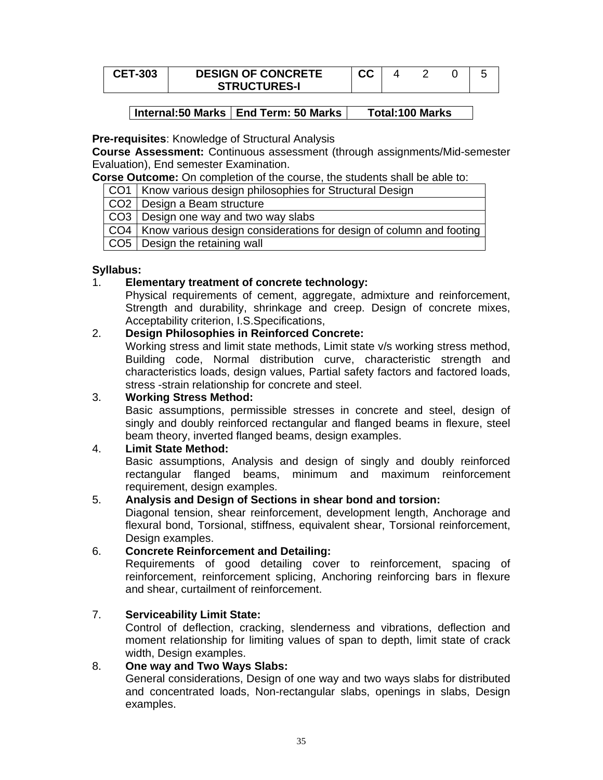| <b>CET-303</b> | <b>DESIGN OF CONCRETE</b> | ^^<br>vv |  |  |
|----------------|---------------------------|----------|--|--|
|                | <b>STRUCTURES-I</b>       |          |  |  |

#### **Pre-requisites**: Knowledge of Structural Analysis

**Course Assessment:** Continuous assessment (through assignments/Mid-semester Evaluation), End semester Examination.

**Corse Outcome:** On completion of the course, the students shall be able to:

CO1 | Know various design philosophies for Structural Design

CO<sub>2</sub> Design a Beam structure

CO3 Design one way and two way slabs

CO4 | Know various design considerations for design of column and footing

 $CO5$  Design the retaining wall

### **Syllabus:**

### 1. **Elementary treatment of concrete technology:**

Physical requirements of cement, aggregate, admixture and reinforcement, Strength and durability, shrinkage and creep. Design of concrete mixes, Acceptability criterion, I.S.Specifications,

### 2. **Design Philosophies in Reinforced Concrete:**

Working stress and limit state methods, Limit state v/s working stress method, Building code, Normal distribution curve, characteristic strength and characteristics loads, design values, Partial safety factors and factored loads, stress -strain relationship for concrete and steel.

#### 3. **Working Stress Method:**

Basic assumptions, permissible stresses in concrete and steel, design of singly and doubly reinforced rectangular and flanged beams in flexure, steel beam theory, inverted flanged beams, design examples.

#### 4. **Limit State Method:**

Basic assumptions, Analysis and design of singly and doubly reinforced rectangular flanged beams, minimum and maximum reinforcement requirement, design examples.

#### 5. **Analysis and Design of Sections in shear bond and torsion:**

Diagonal tension, shear reinforcement, development length, Anchorage and flexural bond, Torsional, stiffness, equivalent shear, Torsional reinforcement, Design examples.

#### 6. **Concrete Reinforcement and Detailing:**

Requirements of good detailing cover to reinforcement, spacing of reinforcement, reinforcement splicing, Anchoring reinforcing bars in flexure and shear, curtailment of reinforcement.

#### 7. **Serviceability Limit State:**

Control of deflection, cracking, slenderness and vibrations, deflection and moment relationship for limiting values of span to depth, limit state of crack width, Design examples.

### 8. **One way and Two Ways Slabs:**

General considerations, Design of one way and two ways slabs for distributed and concentrated loads, Non-rectangular slabs, openings in slabs, Design examples.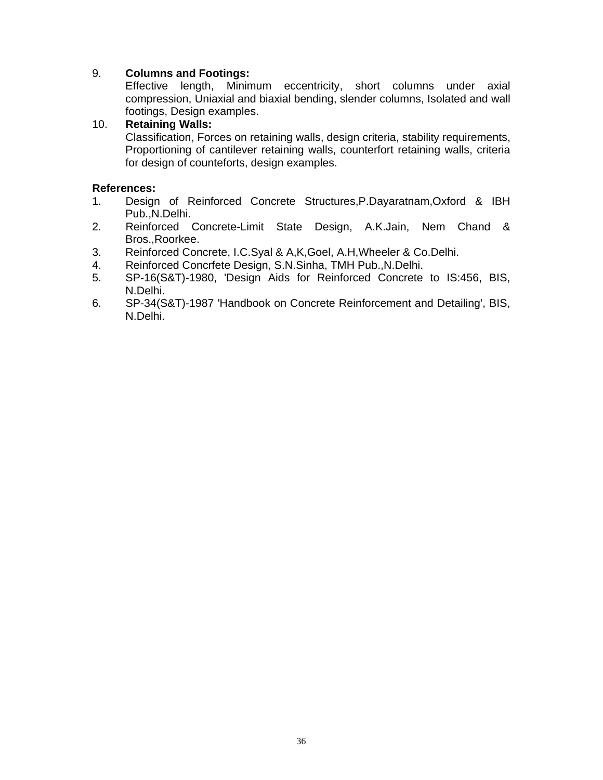## 9. **Columns and Footings:**

Effective length, Minimum eccentricity, short columns under axial compression, Uniaxial and biaxial bending, slender columns, Isolated and wall footings, Design examples.

## 10. **Retaining Walls:**

Classification, Forces on retaining walls, design criteria, stability requirements, Proportioning of cantilever retaining walls, counterfort retaining walls, criteria for design of counteforts, design examples.

- 1. Design of Reinforced Concrete Structures,P.Dayaratnam,Oxford & IBH Pub.,N.Delhi.
- 2. Reinforced Concrete-Limit State Design, A.K.Jain, Nem Chand & Bros.,Roorkee.
- 3. Reinforced Concrete, I.C.Syal & A,K,Goel, A.H,Wheeler & Co.Delhi.
- 4. Reinforced Concrfete Design, S.N.Sinha, TMH Pub.,N.Delhi.
- 5. SP-16(S&T)-1980, 'Design Aids for Reinforced Concrete to IS:456, BIS, N.Delhi.
- 6. SP-34(S&T)-1987 'Handbook on Concrete Reinforcement and Detailing', BIS, N.Delhi.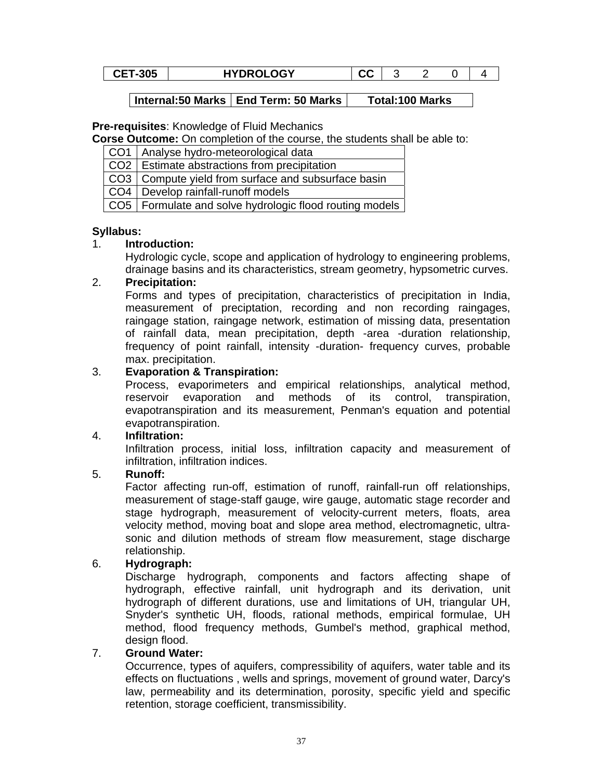| <b>CET-305</b><br><b>HYDROLOGY</b><br>uu |
|------------------------------------------|
|------------------------------------------|

#### **Pre-requisites**: Knowledge of Fluid Mechanics

**Corse Outcome:** On completion of the course, the students shall be able to:

| CO1   Analyse hydro-meteorological data                   |
|-----------------------------------------------------------|
| CO2   Estimate abstractions from precipitation            |
| CO3   Compute yield from surface and subsurface basin     |
| CO4   Develop rainfall-runoff models                      |
| CO5   Formulate and solve hydrologic flood routing models |

## **Syllabus:**

## 1. **Introduction:**

Hydrologic cycle, scope and application of hydrology to engineering problems, drainage basins and its characteristics, stream geometry, hypsometric curves.

## 2. **Precipitation:**

Forms and types of precipitation, characteristics of precipitation in India, measurement of preciptation, recording and non recording raingages, raingage station, raingage network, estimation of missing data, presentation of rainfall data, mean precipitation, depth -area -duration relationship, frequency of point rainfall, intensity -duration- frequency curves, probable max. precipitation.

## 3. **Evaporation & Transpiration:**

Process, evaporimeters and empirical relationships, analytical method, reservoir evaporation and methods of its control, transpiration, evapotranspiration and its measurement, Penman's equation and potential evapotranspiration.

## 4. **Infiltration:**

Infiltration process, initial loss, infiltration capacity and measurement of infiltration, infiltration indices.

## 5. **Runoff:**

Factor affecting run-off, estimation of runoff, rainfall-run off relationships, measurement of stage-staff gauge, wire gauge, automatic stage recorder and stage hydrograph, measurement of velocity-current meters, floats, area velocity method, moving boat and slope area method, electromagnetic, ultrasonic and dilution methods of stream flow measurement, stage discharge relationship.

# 6. **Hydrograph:**

Discharge hydrograph, components and factors affecting shape of hydrograph, effective rainfall, unit hydrograph and its derivation, unit hydrograph of different durations, use and limitations of UH, triangular UH, Snyder's synthetic UH, floods, rational methods, empirical formulae, UH method, flood frequency methods, Gumbel's method, graphical method, design flood.

## 7. **Ground Water:**

Occurrence, types of aquifers, compressibility of aquifers, water table and its effects on fluctuations , wells and springs, movement of ground water, Darcy's law, permeability and its determination, porosity, specific yield and specific retention, storage coefficient, transmissibility.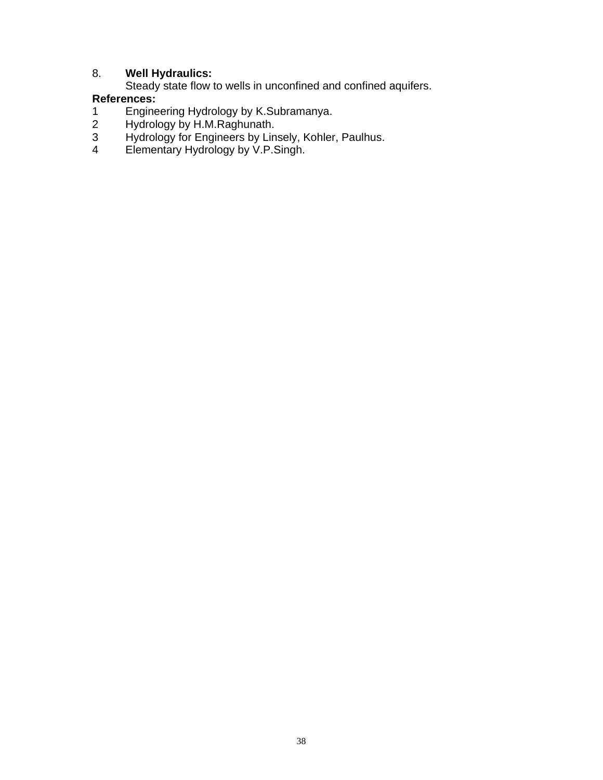# 8. **Well Hydraulics:**

Steady state flow to wells in unconfined and confined aquifers.

- 1 Engineering Hydrology by K.Subramanya.<br>
2 Hydrology by H.M.Raghunath.<br>
3 Hydrology for Engineers by Linsely, Kohler<br>
4 Elementary Hydrology by V.P.Singh.
- Hydrology by H.M.Raghunath.
- Hydrology for Engineers by Linsely, Kohler, Paulhus.
- Elementary Hydrology by V.P.Singh.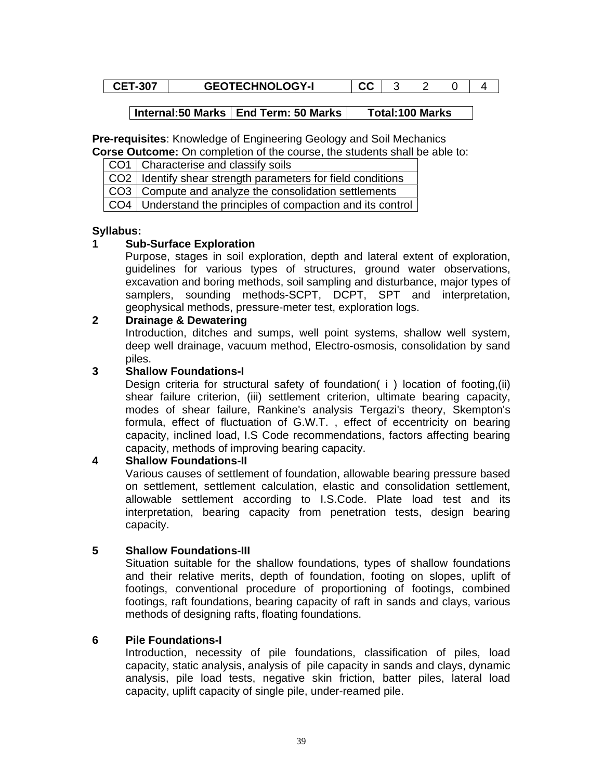# **CET-307 GEOTECHNOLOGY-I** CC 3 2 0 4

## Internal:50 Marks | End Term: 50 Marks | Total:100 Marks

**Pre-requisites**: Knowledge of Engineering Geology and Soil Mechanics **Corse Outcome:** On completion of the course, the students shall be able to:

| CO1 Characterise and classify soils |
|-------------------------------------|

CO2 | Identify shear strength parameters for field conditions

 $CO3$  Compute and analyze the consolidation settlements

CO4 Understand the principles of compaction and its control

#### **Syllabus:**

## **1 Sub-Surface Exploration**

Purpose, stages in soil exploration, depth and lateral extent of exploration, guidelines for various types of structures, ground water observations, excavation and boring methods, soil sampling and disturbance, major types of samplers, sounding methods-SCPT, DCPT, SPT and interpretation, geophysical methods, pressure-meter test, exploration logs.

## **2 Drainage & Dewatering**

Introduction, ditches and sumps, well point systems, shallow well system, deep well drainage, vacuum method, Electro-osmosis, consolidation by sand piles.

## **3 Shallow Foundations-I**

Design criteria for structural safety of foundation( i ) location of footing,(ii) shear failure criterion, (iii) settlement criterion, ultimate bearing capacity, modes of shear failure, Rankine's analysis Tergazi's theory, Skempton's formula, effect of fluctuation of G.W.T. , effect of eccentricity on bearing capacity, inclined load, I.S Code recommendations, factors affecting bearing capacity, methods of improving bearing capacity.

## **4 Shallow Foundations-II**

Various causes of settlement of foundation, allowable bearing pressure based on settlement, settlement calculation, elastic and consolidation settlement, allowable settlement according to I.S.Code. Plate load test and its interpretation, bearing capacity from penetration tests, design bearing capacity.

## **5 Shallow Foundations-III**

Situation suitable for the shallow foundations, types of shallow foundations and their relative merits, depth of foundation, footing on slopes, uplift of footings, conventional procedure of proportioning of footings, combined footings, raft foundations, bearing capacity of raft in sands and clays, various methods of designing rafts, floating foundations.

## **6 Pile Foundations-I**

Introduction, necessity of pile foundations, classification of piles, load capacity, static analysis, analysis of pile capacity in sands and clays, dynamic analysis, pile load tests, negative skin friction, batter piles, lateral load capacity, uplift capacity of single pile, under-reamed pile.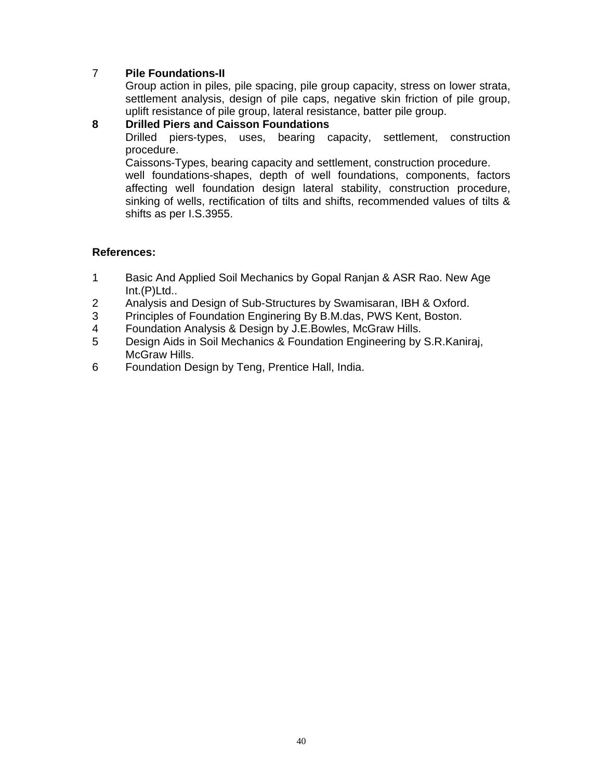# 7 **Pile Foundations-II**

Group action in piles, pile spacing, pile group capacity, stress on lower strata, settlement analysis, design of pile caps, negative skin friction of pile group, uplift resistance of pile group, lateral resistance, batter pile group.

**8 Drilled Piers and Caisson Foundations**  Drilled piers-types, uses, bearing capacity, settlement, construction procedure. Caissons-Types, bearing capacity and settlement, construction procedure. well foundations-shapes, depth of well foundations, components, factors

affecting well foundation design lateral stability, construction procedure, sinking of wells, rectification of tilts and shifts, recommended values of tilts & shifts as per I.S.3955.

- 1 Basic And Applied Soil Mechanics by Gopal Ranjan & ASR Rao. New Age Int.(P)Ltd..
- 2 Analysis and Design of Sub-Structures by Swamisaran, IBH & Oxford.
- 3 Principles of Foundation Enginering By B.M.das, PWS Kent, Boston.
- 4 Foundation Analysis & Design by J.E.Bowles, McGraw Hills.
- 5 Design Aids in Soil Mechanics & Foundation Engineering by S.R.Kaniraj, McGraw Hills.
- 6 Foundation Design by Teng, Prentice Hall, India.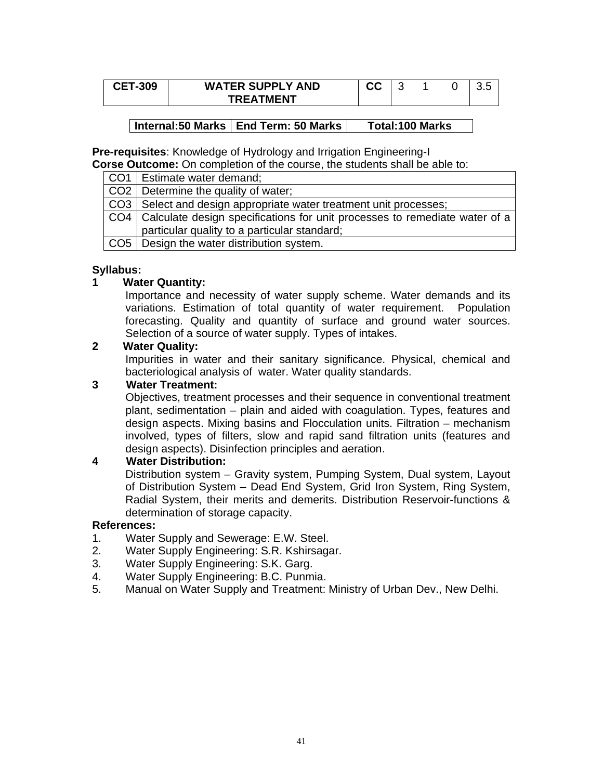| <b>CET-309</b> | <b>WATER SUPPLY AND</b> | ^^<br>uu | ⊾ |  |  |
|----------------|-------------------------|----------|---|--|--|
|                | <b>TREATMENT</b>        |          |   |  |  |

**Pre-requisites**: Knowledge of Hydrology and Irrigation Engineering-I

**Corse Outcome:** On completion of the course, the students shall be able to:

| CO1   Estimate water demand; |
|------------------------------|
|                              |

CO<sub>2</sub> Determine the quality of water;

CO3 Select and design appropriate water treatment unit processes;

CO4 Calculate design specifications for unit processes to remediate water of a particular quality to a particular standard;

 $CO5$  Design the water distribution system.

## **Syllabus:**

## **1 Water Quantity:**

Importance and necessity of water supply scheme. Water demands and its variations. Estimation of total quantity of water requirement. Population forecasting. Quality and quantity of surface and ground water sources. Selection of a source of water supply. Types of intakes.

#### **2 Water Quality:**

Impurities in water and their sanitary significance. Physical, chemical and bacteriological analysis of water. Water quality standards.

## **3 Water Treatment:**

Objectives, treatment processes and their sequence in conventional treatment plant, sedimentation – plain and aided with coagulation. Types, features and design aspects. Mixing basins and Flocculation units. Filtration – mechanism involved, types of filters, slow and rapid sand filtration units (features and design aspects). Disinfection principles and aeration.

## **4 Water Distribution:**

Distribution system – Gravity system, Pumping System, Dual system, Layout of Distribution System – Dead End System, Grid Iron System, Ring System, Radial System, their merits and demerits. Distribution Reservoir-functions & determination of storage capacity.

- 1. Water Supply and Sewerage: E.W. Steel.
- 2. Water Supply Engineering: S.R. Kshirsagar.
- 3. Water Supply Engineering: S.K. Garg.
- 4. Water Supply Engineering: B.C. Punmia.
- 5. Manual on Water Supply and Treatment: Ministry of Urban Dev., New Delhi.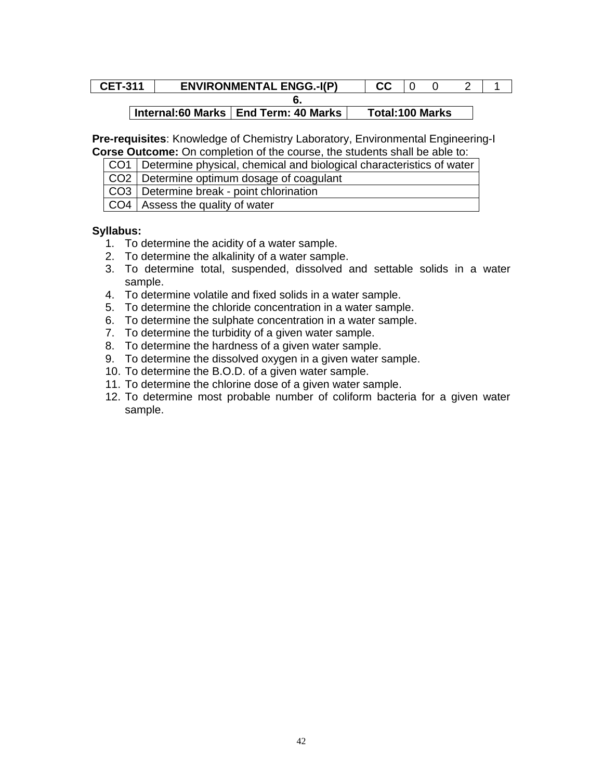#### **CET-311** ENVIRONMENTAL ENGG.-I(P)  $\begin{array}{|c|c|c|c|c|c|c|c|c|} \hline \end{array}$  CC  $\begin{array}{|c|c|c|c|c|c|c|c|c|} \hline \end{array}$  CC  $\begin{array}{|c|c|c|c|c|c|c|c|c|} \hline \end{array}$  CC  $\begin{array}{|c|c|c|c|c|c|c|c|c|} \hline \end{array}$ **6.**

# | Internal:60 Marks | End Term: 40 Marks | Total:100 Marks

**Pre-requisites**: Knowledge of Chemistry Laboratory, Environmental Engineering-I **Corse Outcome:** On completion of the course, the students shall be able to:

| CO1 Determine physical, chemical and biological characteristics of water                                                                                                                                                        |
|---------------------------------------------------------------------------------------------------------------------------------------------------------------------------------------------------------------------------------|
| CO2   Determine optimum dosage of coagulant                                                                                                                                                                                     |
| CO3   Determine break - point chlorination                                                                                                                                                                                      |
| $\sim$ . The contract of the contract of the contract of the contract of the contract of the contract of the contract of the contract of the contract of the contract of the contract of the contract of the contract of the co |

| CO4 | Assess the quality of water

## **Syllabus:**

- 1. To determine the acidity of a water sample.
- 2. To determine the alkalinity of a water sample.
- 3. To determine total, suspended, dissolved and settable solids in a water sample.
- 4. To determine volatile and fixed solids in a water sample.
- 5. To determine the chloride concentration in a water sample.
- 6. To determine the sulphate concentration in a water sample.
- 7. To determine the turbidity of a given water sample.
- 8. To determine the hardness of a given water sample.
- 9. To determine the dissolved oxygen in a given water sample.
- 10. To determine the B.O.D. of a given water sample.
- 11. To determine the chlorine dose of a given water sample.
- 12. To determine most probable number of coliform bacteria for a given water sample.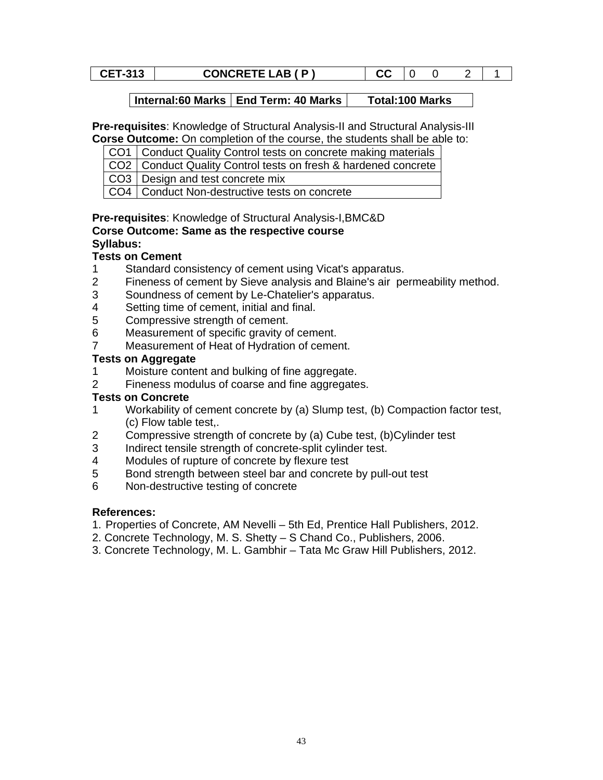#### **CET-313 CONCRETE LAB ( P ) CC** 0 0 2 1

**Internal:60 Marks | End Term: 40 Marks | Total:100 Marks** 

**Pre-requisites**: Knowledge of Structural Analysis-II and Structural Analysis-III **Corse Outcome:** On completion of the course, the students shall be able to:

CO1 Conduct Quality Control tests on concrete making materials

CO2 Conduct Quality Control tests on fresh & hardened concrete

CO3 Design and test concrete mix

CO4 Conduct Non-destructive tests on concrete

## **Pre-requisites**: Knowledge of Structural Analysis-I,BMC&D **Corse Outcome: Same as the respective course Syllabus:**

# **Tests on Cement**

- 1 Standard consistency of cement using Vicat's apparatus.
- 2 Fineness of cement by Sieve analysis and Blaine's air permeability method.
- 3 Soundness of cement by Le-Chatelier's apparatus.
- 4 Setting time of cement, initial and final.
- 5 Compressive strength of cement.
- 6 Measurement of specific gravity of cement.
- 7 Measurement of Heat of Hydration of cement.

## **Tests on Aggregate**

- 1 Moisture content and bulking of fine aggregate.
- 2 Fineness modulus of coarse and fine aggregates.

# **Tests on Concrete**

- 1 Workability of cement concrete by (a) Slump test, (b) Compaction factor test, (c) Flow table test,.
- 2 Compressive strength of concrete by (a) Cube test, (b)Cylinder test
- 3 Indirect tensile strength of concrete-split cylinder test.
- 4 Modules of rupture of concrete by flexure test
- 5 Bond strength between steel bar and concrete by pull-out test
- 6 Non-destructive testing of concrete

- 1. Properties of Concrete, AM Nevelli 5th Ed, Prentice Hall Publishers, 2012.
- 2. Concrete Technology, M. S. Shetty S Chand Co., Publishers, 2006.
- 3. Concrete Technology, M. L. Gambhir Tata Mc Graw Hill Publishers, 2012.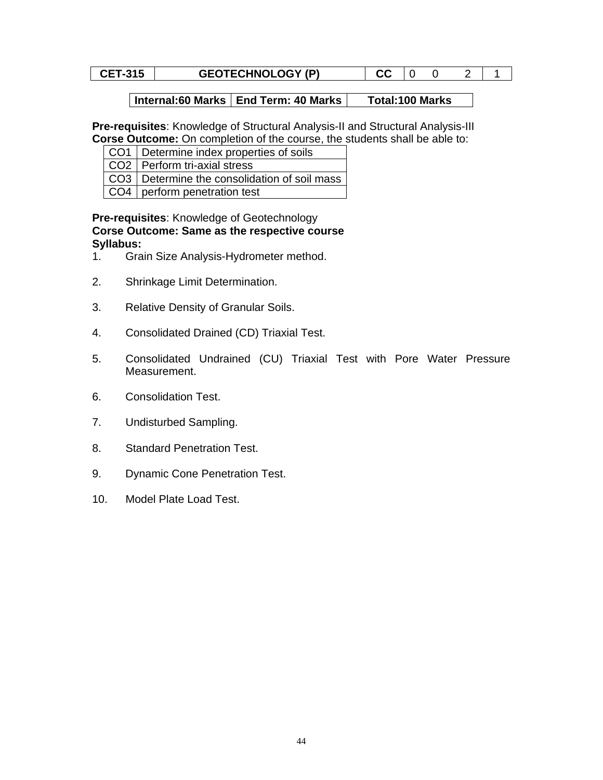#### **CET-315 GEOTECHNOLOGY (P) CC** 0 0 2 1

## **Internal:60 Marks | End Term: 40 Marks | Total:100 Marks**

**Pre-requisites**: Knowledge of Structural Analysis-II and Structural Analysis-III **Corse Outcome:** On completion of the course, the students shall be able to:

| CO1   Determine index properties of soils |
|-------------------------------------------|
|                                           |

- CO<sub>2</sub> Perform tri-axial stress
- CO3 Determine the consolidation of soil mass
- CO4 perform penetration test

#### **Pre-requisites**: Knowledge of Geotechnology **Corse Outcome: Same as the respective course Syllabus:**

- 1. Grain Size Analysis-Hydrometer method.
- 2. Shrinkage Limit Determination.
- 3. Relative Density of Granular Soils.
- 4. Consolidated Drained (CD) Triaxial Test.
- 5. Consolidated Undrained (CU) Triaxial Test with Pore Water Pressure Measurement.
- 6. Consolidation Test.
- 7. Undisturbed Sampling.
- 8. Standard Penetration Test.
- 9. Dynamic Cone Penetration Test.
- 10. Model Plate Load Test.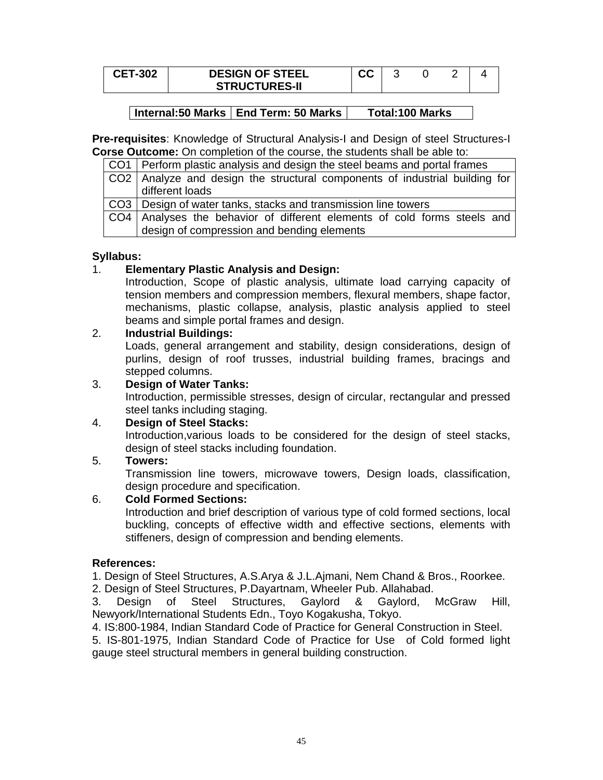| <b>CET-302</b> | <b>DESIGN OF STEEL</b> | ^^<br>uu |  |  |
|----------------|------------------------|----------|--|--|
|                | <b>STRUCTURES-II</b>   |          |  |  |

**Pre-requisites**: Knowledge of Structural Analysis-I and Design of steel Structures-I **Corse Outcome:** On completion of the course, the students shall be able to:

| CO1   Perform plastic analysis and design the steel beams and portal frames   |
|-------------------------------------------------------------------------------|
| CO2   Analyze and design the structural components of industrial building for |
| different loads                                                               |
| CO3   Design of water tanks, stacks and transmission line towers              |
| CO4 Analyses the behavior of different elements of cold forms steels and      |
| design of compression and bending elements                                    |

## **Syllabus:**

## 1. **Elementary Plastic Analysis and Design:**

Introduction, Scope of plastic analysis, ultimate load carrying capacity of tension members and compression members, flexural members, shape factor, mechanisms, plastic collapse, analysis, plastic analysis applied to steel beams and simple portal frames and design.

## 2. **Industrial Buildings:**

Loads, general arrangement and stability, design considerations, design of purlins, design of roof trusses, industrial building frames, bracings and stepped columns.

## 3. **Design of Water Tanks:**

Introduction, permissible stresses, design of circular, rectangular and pressed steel tanks including staging.

## 4. **Design of Steel Stacks:**

Introduction,various loads to be considered for the design of steel stacks, design of steel stacks including foundation.

## 5. **Towers:**

Transmission line towers, microwave towers, Design loads, classification, design procedure and specification.

# 6. **Cold Formed Sections:**

Introduction and brief description of various type of cold formed sections, local buckling, concepts of effective width and effective sections, elements with stiffeners, design of compression and bending elements.

## **References:**

1. Design of Steel Structures, A.S.Arya & J.L.Ajmani, Nem Chand & Bros., Roorkee.

2. Design of Steel Structures, P.Dayartnam, Wheeler Pub. Allahabad.

3. Design of Steel Structures, Gaylord & Gaylord, McGraw Hill, Newyork/International Students Edn., Toyo Kogakusha, Tokyo.

4. IS:800-1984, Indian Standard Code of Practice for General Construction in Steel.

5. IS-801-1975, Indian Standard Code of Practice for Use of Cold formed light gauge steel structural members in general building construction.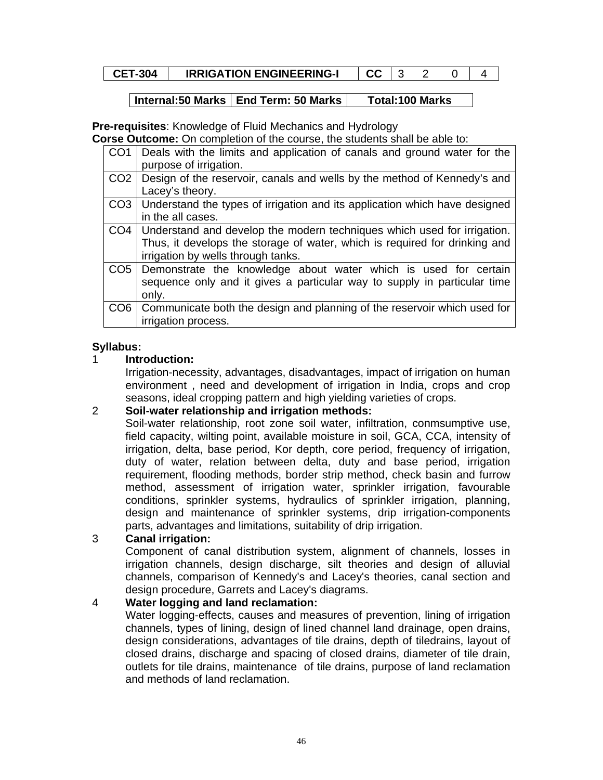| <b>CET-304</b> | <b>IRRIGATION ENGINEERING-I</b> | ماما |  |  |  |  |
|----------------|---------------------------------|------|--|--|--|--|
|----------------|---------------------------------|------|--|--|--|--|

**Pre-requisites**: Knowledge of Fluid Mechanics and Hydrology

**Corse Outcome:** On completion of the course, the students shall be able to:

| CO <sub>1</sub> | Deals with the limits and application of canals and ground water for the<br>purpose of irrigation.                                                                                                |
|-----------------|---------------------------------------------------------------------------------------------------------------------------------------------------------------------------------------------------|
| CO <sub>2</sub> | Design of the reservoir, canals and wells by the method of Kennedy's and<br>Lacey's theory.                                                                                                       |
| CO <sub>3</sub> | Understand the types of irrigation and its application which have designed<br>in the all cases.                                                                                                   |
|                 | CO4   Understand and develop the modern techniques which used for irrigation.<br>Thus, it develops the storage of water, which is required for drinking and<br>irrigation by wells through tanks. |
|                 | CO5 Demonstrate the knowledge about water which is used for certain<br>sequence only and it gives a particular way to supply in particular time<br>only.                                          |
|                 | CO6   Communicate both the design and planning of the reservoir which used for<br>irrigation process.                                                                                             |

## **Syllabus:**

## 1 **Introduction:**

Irrigation-necessity, advantages, disadvantages, impact of irrigation on human environment , need and development of irrigation in India, crops and crop seasons, ideal cropping pattern and high yielding varieties of crops.

# 2 **Soil-water relationship and irrigation methods:**

Soil-water relationship, root zone soil water, infiltration, conmsumptive use, field capacity, wilting point, available moisture in soil, GCA, CCA, intensity of irrigation, delta, base period, Kor depth, core period, frequency of irrigation, duty of water, relation between delta, duty and base period, irrigation requirement, flooding methods, border strip method, check basin and furrow method, assessment of irrigation water, sprinkler irrigation, favourable conditions, sprinkler systems, hydraulics of sprinkler irrigation, planning, design and maintenance of sprinkler systems, drip irrigation-components parts, advantages and limitations, suitability of drip irrigation.

## 3 **Canal irrigation:**

Component of canal distribution system, alignment of channels, losses in irrigation channels, design discharge, silt theories and design of alluvial channels, comparison of Kennedy's and Lacey's theories, canal section and design procedure, Garrets and Lacey's diagrams.

# 4 **Water logging and land reclamation:**

Water logging-effects, causes and measures of prevention, lining of irrigation channels, types of lining, design of lined channel land drainage, open drains, design considerations, advantages of tile drains, depth of tiledrains, layout of closed drains, discharge and spacing of closed drains, diameter of tile drain, outlets for tile drains, maintenance of tile drains, purpose of land reclamation and methods of land reclamation.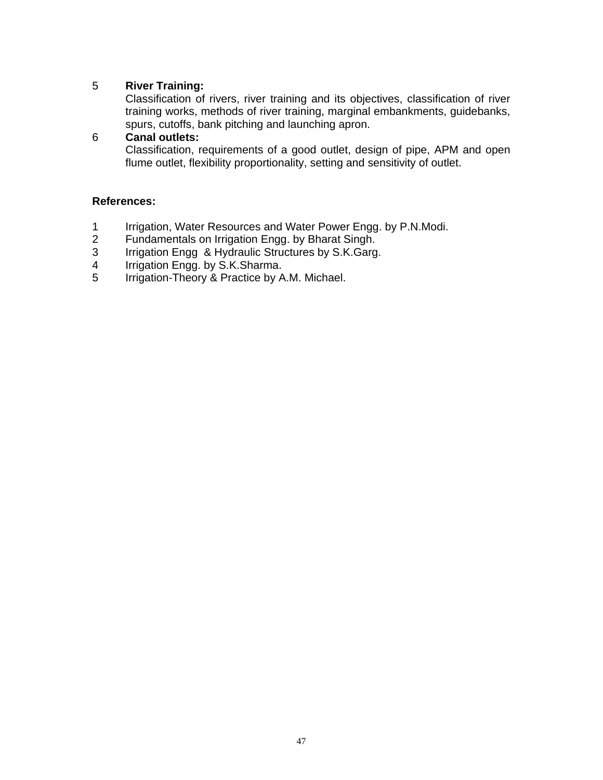# 5 **River Training:**

Classification of rivers, river training and its objectives, classification of river training works, methods of river training, marginal embankments, guidebanks, spurs, cutoffs, bank pitching and launching apron.

# 6 **Canal outlets:**

Classification, requirements of a good outlet, design of pipe, APM and open flume outlet, flexibility proportionality, setting and sensitivity of outlet.

- 1 Irrigation, Water Resources and Water Power Engg. by P.N.Modi.<br>2 Fundamentals on Irrigation Engg. by Bharat Singh.
- 2 Fundamentals on Irrigation Engg. by Bharat Singh.<br>3 Irrigation Engg & Hydraulic Structures by S.K.Garg
- Irrigation Engg & Hydraulic Structures by S.K.Garg.
- 4 Irrigation Engg. by S.K.Sharma.<br>5 Irrigation-Theory & Practice by A
- Irrigation-Theory & Practice by A.M. Michael.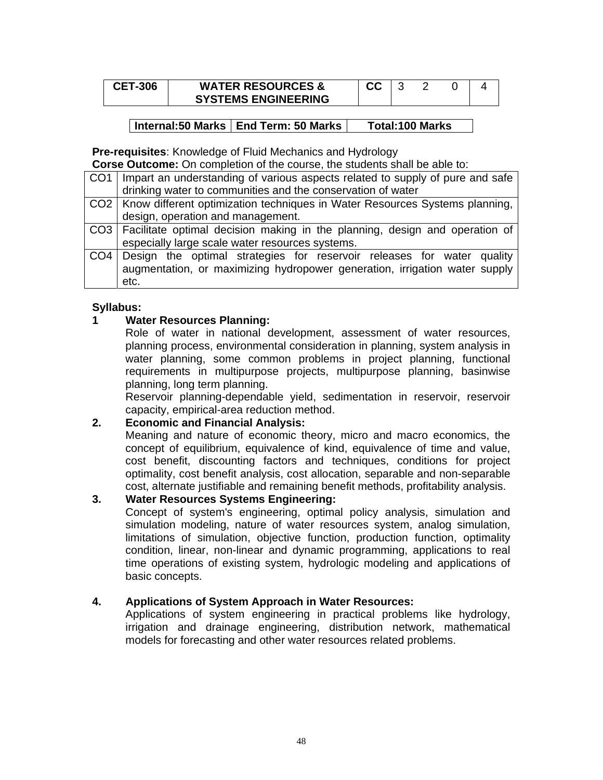| <b>CET-306</b> | <b>WATER RESOURCES &amp;</b> |  |  |  |
|----------------|------------------------------|--|--|--|
|                | <b>SYSTEMS ENGINEERING</b>   |  |  |  |

#### **Pre-requisites**: Knowledge of Fluid Mechanics and Hydrology

**Corse Outcome:** On completion of the course, the students shall be able to:

| CO1   Impart an understanding of various aspects related to supply of pure and safe |
|-------------------------------------------------------------------------------------|
| drinking water to communities and the conservation of water                         |
| CO2   Know different optimization techniques in Water Resources Systems planning,   |
| design, operation and management.                                                   |
| CO3 Facilitate optimal decision making in the planning, design and operation of     |
| especially large scale water resources systems.                                     |
| CO4 Design the optimal strategies for reservoir releases for water quality          |
| augmentation, or maximizing hydropower generation, irrigation water supply          |
| etc.                                                                                |

## **Syllabus:**

## **1 Water Resources Planning:**

Role of water in national development, assessment of water resources, planning process, environmental consideration in planning, system analysis in water planning, some common problems in project planning, functional requirements in multipurpose projects, multipurpose planning, basinwise planning, long term planning.

Reservoir planning-dependable yield, sedimentation in reservoir, reservoir capacity, empirical-area reduction method.

# **2. Economic and Financial Analysis:**

Meaning and nature of economic theory, micro and macro economics, the concept of equilibrium, equivalence of kind, equivalence of time and value, cost benefit, discounting factors and techniques, conditions for project optimality, cost benefit analysis, cost allocation, separable and non-separable cost, alternate justifiable and remaining benefit methods, profitability analysis.

## **3. Water Resources Systems Engineering:**

Concept of system's engineering, optimal policy analysis, simulation and simulation modeling, nature of water resources system, analog simulation, limitations of simulation, objective function, production function, optimality condition, linear, non-linear and dynamic programming, applications to real time operations of existing system, hydrologic modeling and applications of basic concepts.

## **4. Applications of System Approach in Water Resources:**

Applications of system engineering in practical problems like hydrology, irrigation and drainage engineering, distribution network, mathematical models for forecasting and other water resources related problems.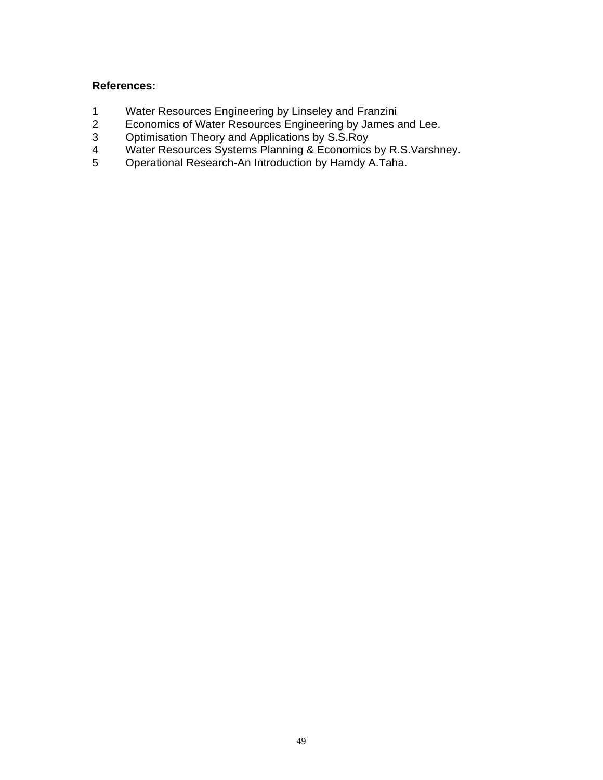- 1 Water Resources Engineering by Linseley and Franzini<br>2 Economics of Water Resources Engineering by James a
- 2 Economics of Water Resources Engineering by James and Lee.
- 3 Optimisation Theory and Applications by S.S.Roy
- 4 Water Resources Systems Planning & Economics by R.S.Varshney.
- 5 Operational Research-An Introduction by Hamdy A.Taha.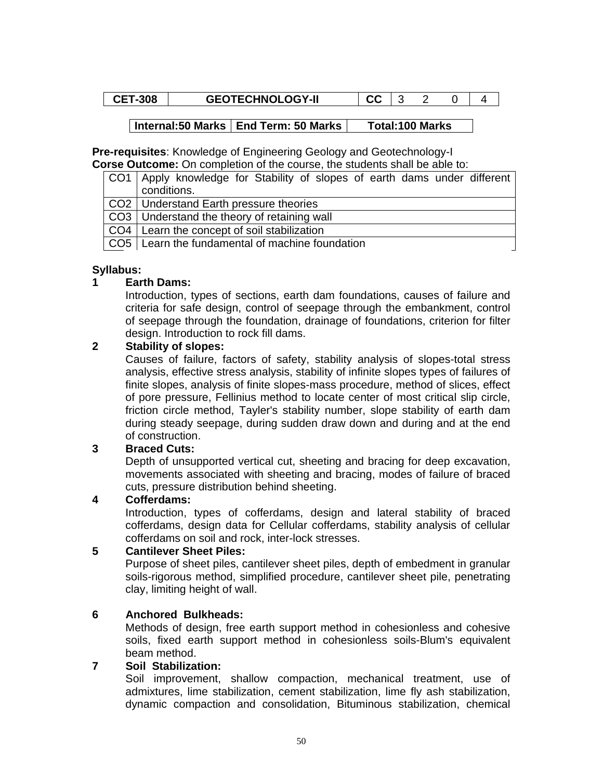|  | -308 | <b>TECHNOLOGY-II</b> |  |  |  |  |  |
|--|------|----------------------|--|--|--|--|--|
|--|------|----------------------|--|--|--|--|--|

**Pre-requisites**: Knowledge of Engineering Geology and Geotechnology-I **Corse Outcome:** On completion of the course, the students shall be able to:

| <del>, and a missimal</del> on completion of the coulder the cludente chair be able ton |
|-----------------------------------------------------------------------------------------|
| CO1   Apply knowledge for Stability of slopes of earth dams under different             |
| conditions.                                                                             |
| CO2   Understand Earth pressure theories                                                |
| CO3   Understand the theory of retaining wall                                           |
| CO4   Learn the concept of soil stabilization                                           |

CO5 Learn the fundamental of machine foundation

## **Syllabus:**

## **1 Earth Dams:**

Introduction, types of sections, earth dam foundations, causes of failure and criteria for safe design, control of seepage through the embankment, control of seepage through the foundation, drainage of foundations, criterion for filter design. Introduction to rock fill dams.

#### **2 Stability of slopes:**

Causes of failure, factors of safety, stability analysis of slopes-total stress analysis, effective stress analysis, stability of infinite slopes types of failures of finite slopes, analysis of finite slopes-mass procedure, method of slices, effect of pore pressure, Fellinius method to locate center of most critical slip circle, friction circle method, Tayler's stability number, slope stability of earth dam during steady seepage, during sudden draw down and during and at the end of construction.

## **3 Braced Cuts:**

Depth of unsupported vertical cut, sheeting and bracing for deep excavation, movements associated with sheeting and bracing, modes of failure of braced cuts, pressure distribution behind sheeting.

## **4 Cofferdams:**

Introduction, types of cofferdams, design and lateral stability of braced cofferdams, design data for Cellular cofferdams, stability analysis of cellular cofferdams on soil and rock, inter-lock stresses.

## **5 Cantilever Sheet Piles:**

Purpose of sheet piles, cantilever sheet piles, depth of embedment in granular soils-rigorous method, simplified procedure, cantilever sheet pile, penetrating clay, limiting height of wall.

## **6 Anchored Bulkheads:**

Methods of design, free earth support method in cohesionless and cohesive soils, fixed earth support method in cohesionless soils-Blum's equivalent beam method.

## **7 Soil Stabilization:**

Soil improvement, shallow compaction, mechanical treatment, use of admixtures, lime stabilization, cement stabilization, lime fly ash stabilization, dynamic compaction and consolidation, Bituminous stabilization, chemical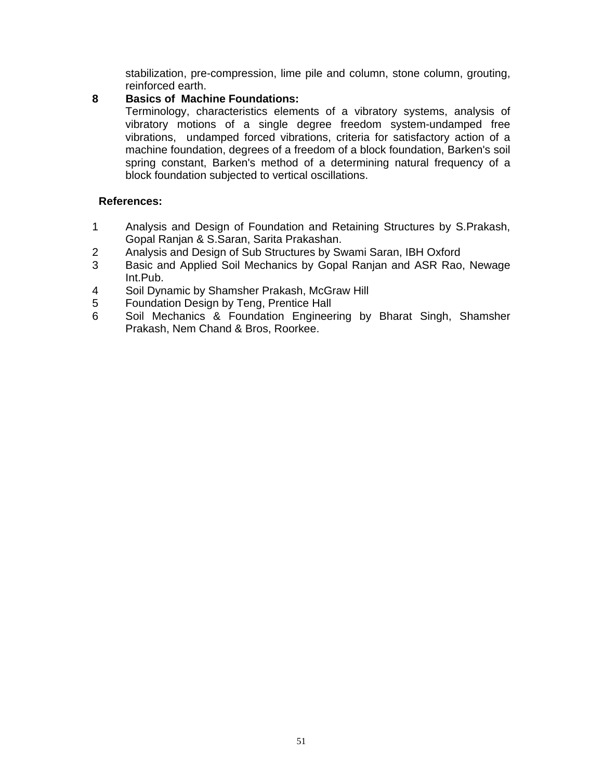stabilization, pre-compression, lime pile and column, stone column, grouting, reinforced earth.

## **8 Basics of Machine Foundations:**

Terminology, characteristics elements of a vibratory systems, analysis of vibratory motions of a single degree freedom system-undamped free vibrations, undamped forced vibrations, criteria for satisfactory action of a machine foundation, degrees of a freedom of a block foundation, Barken's soil spring constant, Barken's method of a determining natural frequency of a block foundation subjected to vertical oscillations.

- 1 Analysis and Design of Foundation and Retaining Structures by S.Prakash, Gopal Ranjan & S.Saran, Sarita Prakashan.
- 2 Analysis and Design of Sub Structures by Swami Saran, IBH Oxford
- 3 Basic and Applied Soil Mechanics by Gopal Ranjan and ASR Rao, Newage Int.Pub.
- 4 Soil Dynamic by Shamsher Prakash, McGraw Hill
- 5 Foundation Design by Teng, Prentice Hall
- 6 Soil Mechanics & Foundation Engineering by Bharat Singh, Shamsher Prakash, Nem Chand & Bros, Roorkee.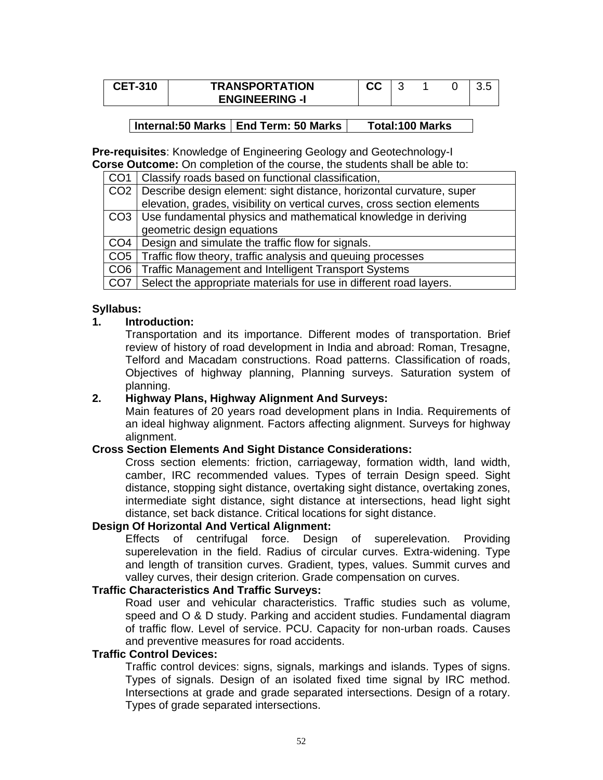| <b>CET-310</b> | <b>TRANSPORTATION</b> | w |  | U.J |
|----------------|-----------------------|---|--|-----|
|                | <b>ENGINEERING -I</b> |   |  |     |

**Pre-requisites**: Knowledge of Engineering Geology and Geotechnology-I **Corse Outcome:** On completion of the course, the students shall be able to:

|                 | CO1   Classify roads based on functional classification,                 |
|-----------------|--------------------------------------------------------------------------|
| CO <sub>2</sub> | Describe design element: sight distance, horizontal curvature, super     |
|                 | elevation, grades, visibility on vertical curves, cross section elements |
|                 | CO3   Use fundamental physics and mathematical knowledge in deriving     |
|                 | geometric design equations                                               |
| CO4             | Design and simulate the traffic flow for signals.                        |
|                 | CO5   Traffic flow theory, traffic analysis and queuing processes        |

CO6 Traffic Management and Intelligent Transport Systems

CO7 Select the appropriate materials for use in different road layers.

## **Syllabus:**

## **1. Introduction:**

Transportation and its importance. Different modes of transportation. Brief review of history of road development in India and abroad: Roman, Tresagne, Telford and Macadam constructions. Road patterns. Classification of roads, Objectives of highway planning, Planning surveys. Saturation system of planning.

## **2. Highway Plans, Highway Alignment And Surveys:**

Main features of 20 years road development plans in India. Requirements of an ideal highway alignment. Factors affecting alignment. Surveys for highway alignment.

#### **Cross Section Elements And Sight Distance Considerations:**

Cross section elements: friction, carriageway, formation width, land width, camber, IRC recommended values. Types of terrain Design speed. Sight distance, stopping sight distance, overtaking sight distance, overtaking zones, intermediate sight distance, sight distance at intersections, head light sight distance, set back distance. Critical locations for sight distance.

## **Design Of Horizontal And Vertical Alignment:**

Effects of centrifugal force. Design of superelevation. Providing superelevation in the field. Radius of circular curves. Extra-widening. Type and length of transition curves. Gradient, types, values. Summit curves and valley curves, their design criterion. Grade compensation on curves.

## **Traffic Characteristics And Traffic Surveys:**

Road user and vehicular characteristics. Traffic studies such as volume, speed and O & D study. Parking and accident studies. Fundamental diagram of traffic flow. Level of service. PCU. Capacity for non-urban roads. Causes and preventive measures for road accidents.

#### **Traffic Control Devices:**

Traffic control devices: signs, signals, markings and islands. Types of signs. Types of signals. Design of an isolated fixed time signal by IRC method. Intersections at grade and grade separated intersections. Design of a rotary. Types of grade separated intersections.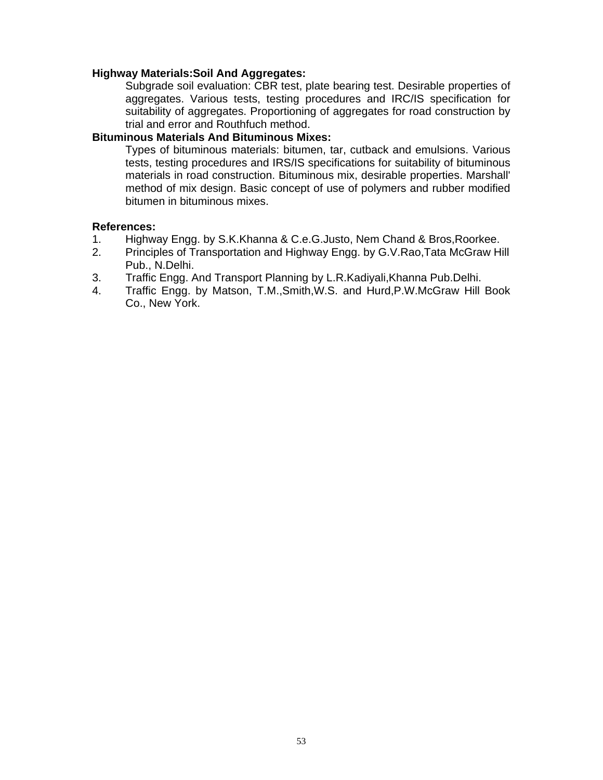#### **Highway Materials:Soil And Aggregates:**

Subgrade soil evaluation: CBR test, plate bearing test. Desirable properties of aggregates. Various tests, testing procedures and IRC/IS specification for suitability of aggregates. Proportioning of aggregates for road construction by trial and error and Routhfuch method.

#### **Bituminous Materials And Bituminous Mixes:**

Types of bituminous materials: bitumen, tar, cutback and emulsions. Various tests, testing procedures and IRS/IS specifications for suitability of bituminous materials in road construction. Bituminous mix, desirable properties. Marshall' method of mix design. Basic concept of use of polymers and rubber modified bitumen in bituminous mixes.

- 1. Highway Engg. by S.K.Khanna & C.e.G.Justo, Nem Chand & Bros,Roorkee.
- 2. Principles of Transportation and Highway Engg. by G.V.Rao,Tata McGraw Hill Pub., N.Delhi.
- 3. Traffic Engg. And Transport Planning by L.R.Kadiyali,Khanna Pub.Delhi.
- 4. Traffic Engg. by Matson, T.M.,Smith,W.S. and Hurd,P.W.McGraw Hill Book Co., New York.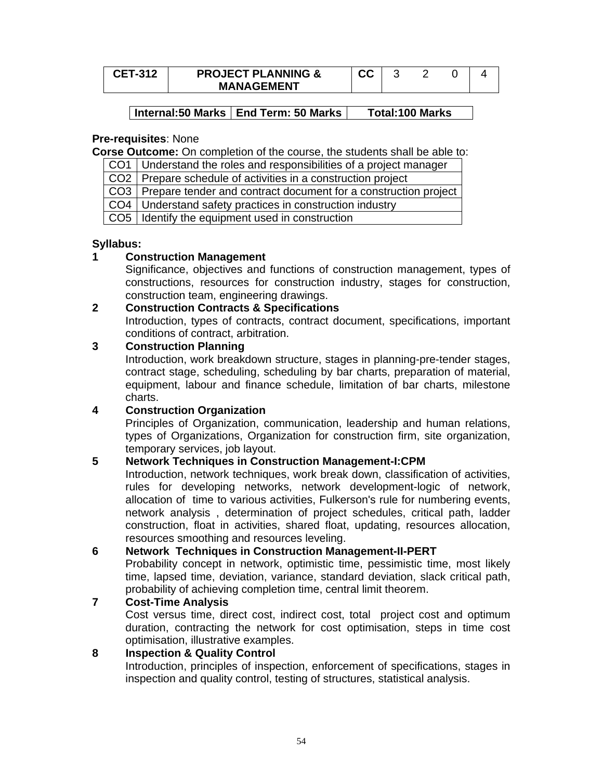| <b>CET-312</b> | <b>PROJECT PLANNING &amp;</b> | vv |  |  |
|----------------|-------------------------------|----|--|--|
|                | <b>MANAGEMENT</b>             |    |  |  |

## **Pre-requisites**: None

**Corse Outcome:** On completion of the course, the students shall be able to:

CO1 Understand the roles and responsibilities of a project manager

CO2 | Prepare schedule of activities in a construction project

CO3 Prepare tender and contract document for a construction project

CO4 Understand safety practices in construction industry

CO<sub>5</sub> | Identify the equipment used in construction

# **Syllabus:**

# **1 Construction Management**

Significance, objectives and functions of construction management, types of constructions, resources for construction industry, stages for construction, construction team, engineering drawings.

# **2 Construction Contracts & Specifications**

Introduction, types of contracts, contract document, specifications, important conditions of contract, arbitration.

# **3 Construction Planning**

Introduction, work breakdown structure, stages in planning-pre-tender stages, contract stage, scheduling, scheduling by bar charts, preparation of material, equipment, labour and finance schedule, limitation of bar charts, milestone charts.

# **4 Construction Organization**

Principles of Organization, communication, leadership and human relations, types of Organizations, Organization for construction firm, site organization, temporary services, job layout.

# **5 Network Techniques in Construction Management-I:CPM**

Introduction, network techniques, work break down, classification of activities, rules for developing networks, network development-logic of network, allocation of time to various activities, Fulkerson's rule for numbering events, network analysis , determination of project schedules, critical path, ladder construction, float in activities, shared float, updating, resources allocation, resources smoothing and resources leveling.

# **6 Network Techniques in Construction Management-II-PERT**

Probability concept in network, optimistic time, pessimistic time, most likely time, lapsed time, deviation, variance, standard deviation, slack critical path, probability of achieving completion time, central limit theorem.

# **7 Cost-Time Analysis**

Cost versus time, direct cost, indirect cost, total project cost and optimum duration, contracting the network for cost optimisation, steps in time cost optimisation, illustrative examples.

# **8 Inspection & Quality Control**

Introduction, principles of inspection, enforcement of specifications, stages in inspection and quality control, testing of structures, statistical analysis.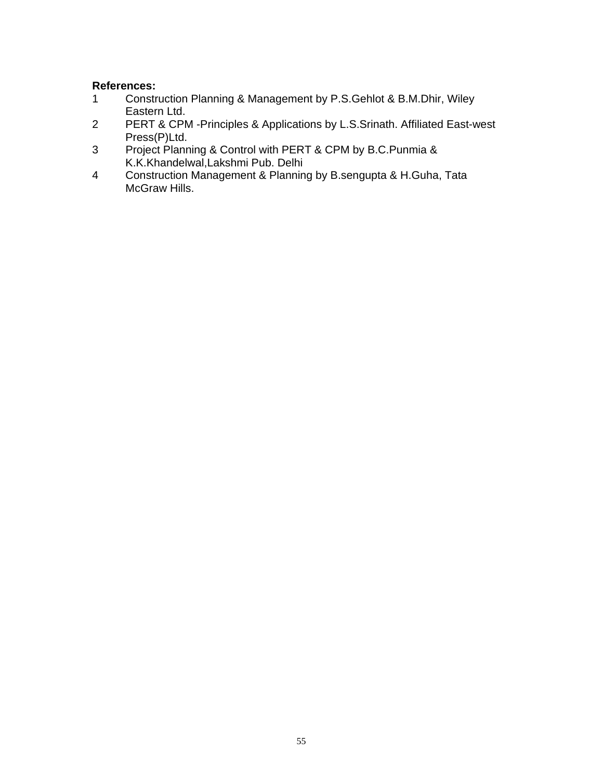- 1 Construction Planning & Management by P.S.Gehlot & B.M.Dhir, Wiley Eastern Ltd.
- 2 PERT & CPM -Principles & Applications by L.S.Srinath. Affiliated East-west Press(P)Ltd.
- 3 Project Planning & Control with PERT & CPM by B.C.Punmia & K.K.Khandelwal,Lakshmi Pub. Delhi
- 4 Construction Management & Planning by B.sengupta & H.Guha, Tata McGraw Hills.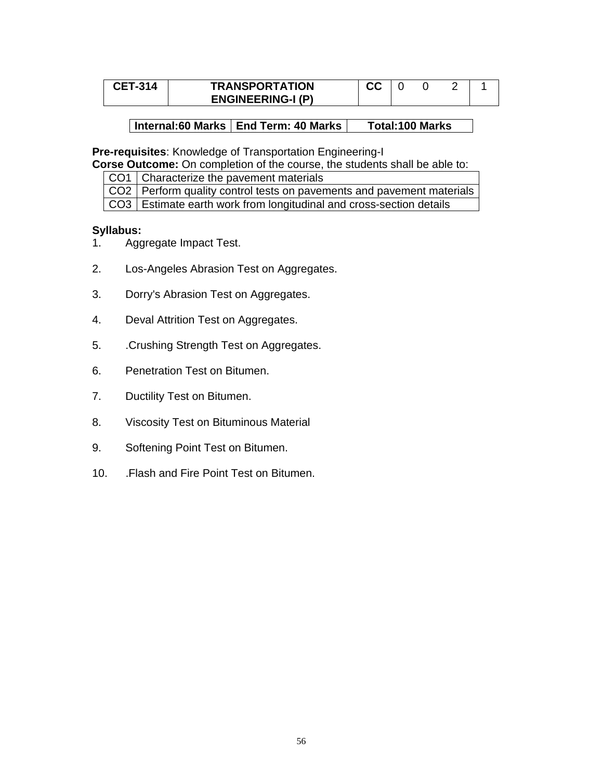| <b>CET-314</b> | <b>TRANSPORTATION</b>    | ^^<br>uu |  |  |
|----------------|--------------------------|----------|--|--|
|                | <b>ENGINEERING-I (P)</b> |          |  |  |

**Pre-requisites**: Knowledge of Transportation Engineering-I

**Corse Outcome:** On completion of the course, the students shall be able to:

CO1 | Characterize the pavement materials

CO2 Perform quality control tests on pavements and pavement materials CO3 Estimate earth work from longitudinal and cross-section details

#### **Syllabus:**

- 1. Aggregate Impact Test.
- 2. Los-Angeles Abrasion Test on Aggregates.
- 3. Dorry's Abrasion Test on Aggregates.
- 4. Deval Attrition Test on Aggregates.
- 5. .Crushing Strength Test on Aggregates.
- 6. Penetration Test on Bitumen.
- 7. Ductility Test on Bitumen.
- 8. Viscosity Test on Bituminous Material
- 9. Softening Point Test on Bitumen.
- 10. .Flash and Fire Point Test on Bitumen.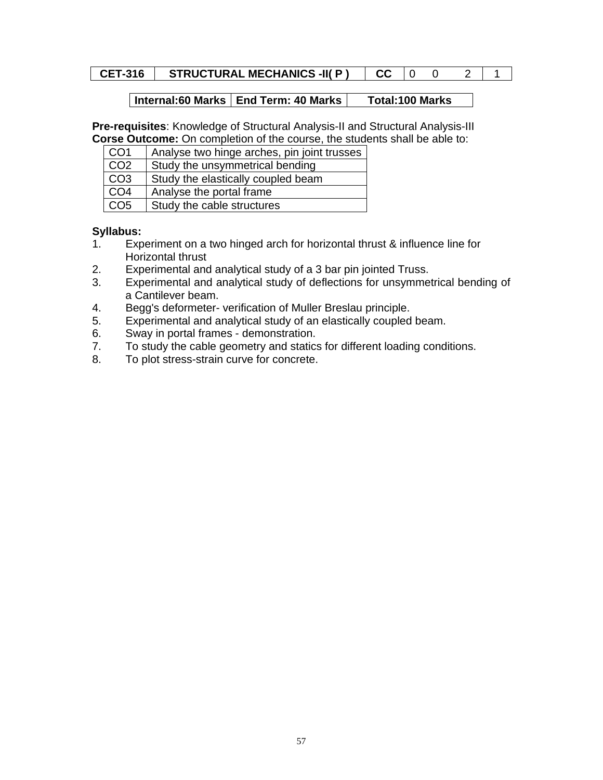# **CET-316 STRUCTURAL MECHANICS -II( P ) CC** 0 0 2 1

## | Internal:60 Marks | End Term: 40 Marks | Total:100 Marks

**Pre-requisites**: Knowledge of Structural Analysis-II and Structural Analysis-III **Corse Outcome:** On completion of the course, the students shall be able to:

| CO <sub>1</sub> | Analyse two hinge arches, pin joint trusses |
|-----------------|---------------------------------------------|
| CO <sub>2</sub> | Study the unsymmetrical bending             |
| CO <sub>3</sub> | Study the elastically coupled beam          |
| CO <sub>4</sub> | Analyse the portal frame                    |
| CO <sub>5</sub> | Study the cable structures                  |

## **Syllabus:**

- 1. Experiment on a two hinged arch for horizontal thrust & influence line for Horizontal thrust
- 2. Experimental and analytical study of a 3 bar pin jointed Truss.
- 3. Experimental and analytical study of deflections for unsymmetrical bending of a Cantilever beam.
- 4. Begg's deformeter- verification of Muller Breslau principle.
- 5. Experimental and analytical study of an elastically coupled beam.
- 6. Sway in portal frames demonstration.
- 7. To study the cable geometry and statics for different loading conditions.
- 8. To plot stress-strain curve for concrete.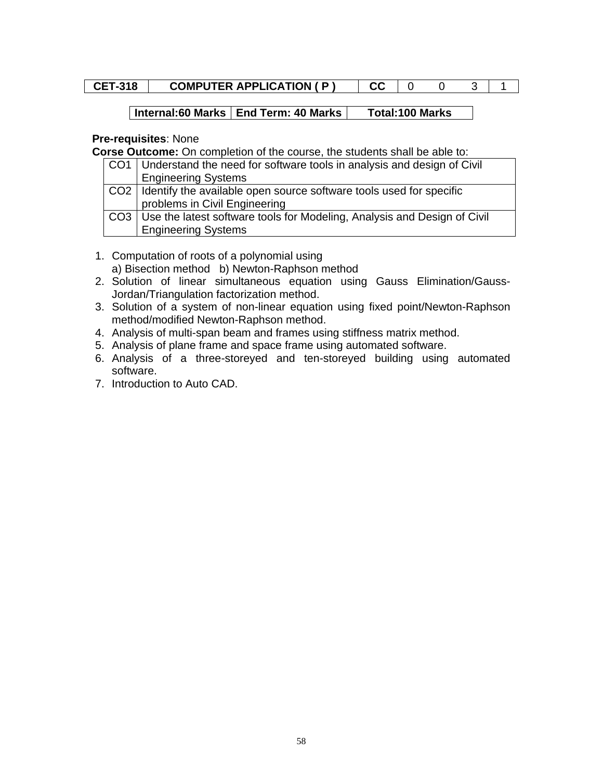| <b>CET-318</b> | <b>COMPUTER APPLICATION (P)</b> |  |  |  |  |  |  |
|----------------|---------------------------------|--|--|--|--|--|--|
|----------------|---------------------------------|--|--|--|--|--|--|

## **Pre-requisites**: None

**Corse Outcome:** On completion of the course, the students shall be able to:

| CO1   Understand the need for software tools in analysis and design of Civil |
|------------------------------------------------------------------------------|
| <b>Engineering Systems</b>                                                   |
| CO2 I Identify the available open source software tools used for specific    |
| problems in Civil Engineering                                                |
| CO3 Use the latest software tools for Modeling, Analysis and Design of Civil |
| <b>Engineering Systems</b>                                                   |

- 1. Computation of roots of a polynomial using a) Bisection method b) Newton-Raphson method
- 2. Solution of linear simultaneous equation using Gauss Elimination/Gauss-Jordan/Triangulation factorization method.
- 3. Solution of a system of non-linear equation using fixed point/Newton-Raphson method/modified Newton-Raphson method.
- 4. Analysis of multi-span beam and frames using stiffness matrix method.
- 5. Analysis of plane frame and space frame using automated software.
- 6. Analysis of a three-storeyed and ten-storeyed building using automated software.
- 7. Introduction to Auto CAD.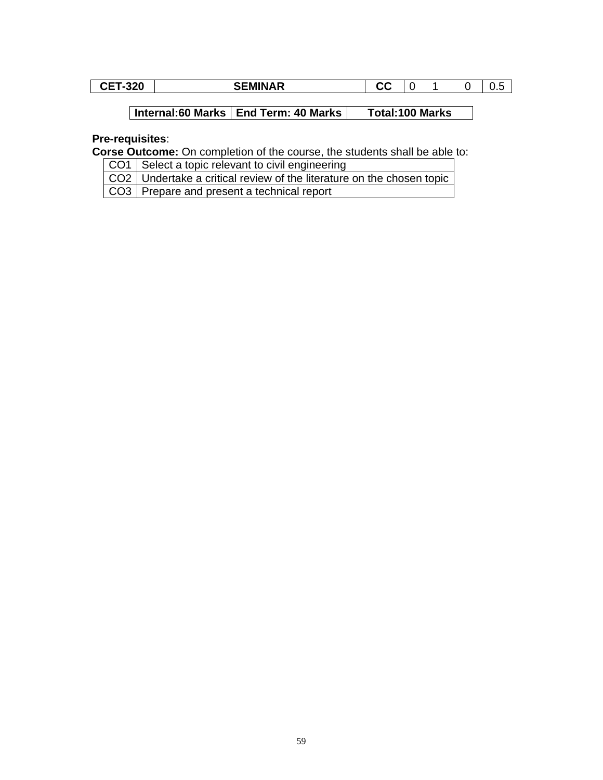| 200<br>-32U<br>. . | $-$<br>JΙ<br>יי<br>LIVIII V/ | $\sim$<br>uu |  |  |
|--------------------|------------------------------|--------------|--|--|

## **Pre-requisites**:

**Corse Outcome:** On completion of the course, the students shall be able to:

CO1 | Select a topic relevant to civil engineering

CO2 Undertake a critical review of the literature on the chosen topic CO3 Prepare and present a technical report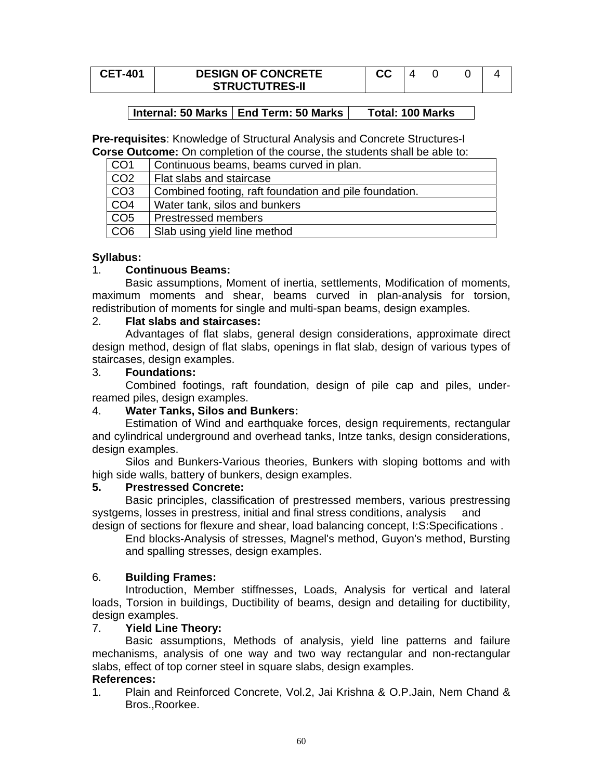| <b>CET-401</b> | <b>DESIGN OF CONCRETE</b> | cc |  |  |
|----------------|---------------------------|----|--|--|
|                | <b>STRUCTUTRES-II</b>     |    |  |  |

**Pre-requisites**: Knowledge of Structural Analysis and Concrete Structures-I **Corse Outcome:** On completion of the course, the students shall be able to:

| CO <sub>1</sub> | Continuous beams, beams curved in plan.                |
|-----------------|--------------------------------------------------------|
| CO <sub>2</sub> | Flat slabs and staircase                               |
| CO <sub>3</sub> | Combined footing, raft foundation and pile foundation. |
| CO <sub>4</sub> | Water tank, silos and bunkers                          |
| CO <sub>5</sub> | <b>Prestressed members</b>                             |
| CO6             | Slab using yield line method                           |

## **Syllabus:**

#### 1. **Continuous Beams:**

Basic assumptions, Moment of inertia, settlements, Modification of moments, maximum moments and shear, beams curved in plan-analysis for torsion, redistribution of moments for single and multi-span beams, design examples.

#### 2. **Flat slabs and staircases:**

Advantages of flat slabs, general design considerations, approximate direct design method, design of flat slabs, openings in flat slab, design of various types of staircases, design examples.

#### 3. **Foundations:**

Combined footings, raft foundation, design of pile cap and piles, underreamed piles, design examples.

## 4. **Water Tanks, Silos and Bunkers:**

Estimation of Wind and earthquake forces, design requirements, rectangular and cylindrical underground and overhead tanks, Intze tanks, design considerations, design examples.

Silos and Bunkers-Various theories, Bunkers with sloping bottoms and with high side walls, battery of bunkers, design examples.

#### **5. Prestressed Concrete:**

Basic principles, classification of prestressed members, various prestressing systgems, losses in prestress, initial and final stress conditions, analysis and design of sections for flexure and shear, load balancing concept, I:S:Specifications .

End blocks-Analysis of stresses, Magnel's method, Guyon's method, Bursting and spalling stresses, design examples.

#### 6. **Building Frames:**

Introduction, Member stiffnesses, Loads, Analysis for vertical and lateral loads, Torsion in buildings, Ductibility of beams, design and detailing for ductibility, design examples.

## 7. **Yield Line Theory:**

Basic assumptions, Methods of analysis, yield line patterns and failure mechanisms, analysis of one way and two way rectangular and non-rectangular slabs, effect of top corner steel in square slabs, design examples.

#### **References:**

1. Plain and Reinforced Concrete, Vol.2, Jai Krishna & O.P.Jain, Nem Chand & Bros.,Roorkee.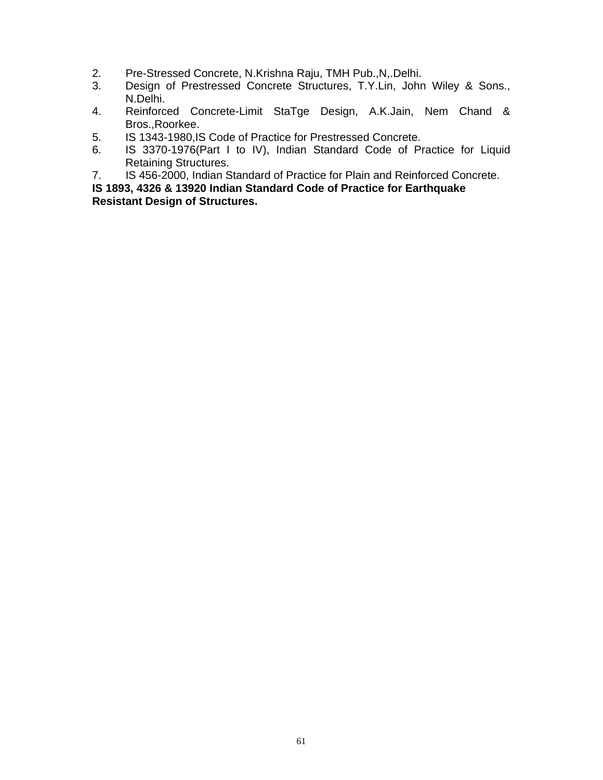- 2. Pre-Stressed Concrete, N.Krishna Raju, TMH Pub.,N,.Delhi.
- 3. Design of Prestressed Concrete Structures, T.Y.Lin, John Wiley & Sons., N.Delhi.
- 4. Reinforced Concrete-Limit StaTge Design, A.K.Jain, Nem Chand & Bros.,Roorkee.
- 5. IS 1343-1980,IS Code of Practice for Prestressed Concrete.
- 6. IS 3370-1976(Part I to IV), Indian Standard Code of Practice for Liquid Retaining Structures.
- 7. IS 456-2000, Indian Standard of Practice for Plain and Reinforced Concrete.

**IS 1893, 4326 & 13920 Indian Standard Code of Practice for Earthquake** 

**Resistant Design of Structures.**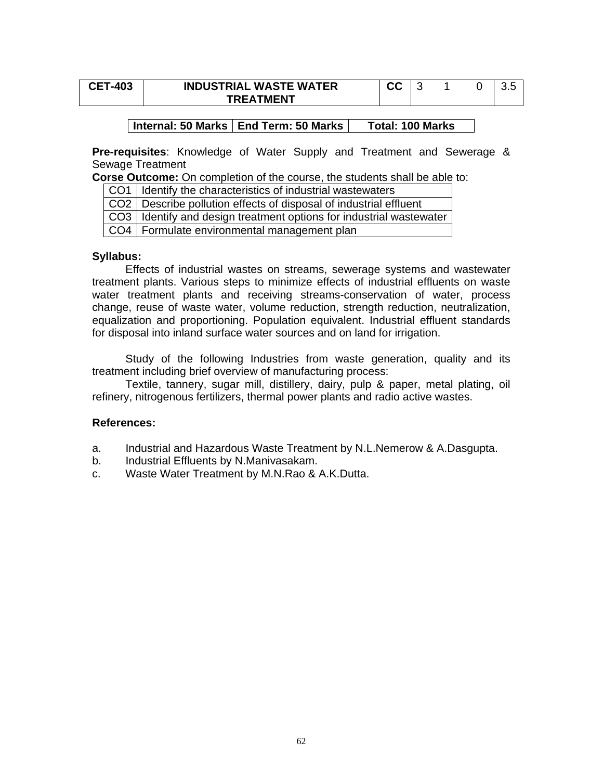| <b>CET-403</b> | <b>INDUSTRIAL WASTE WATER</b> | СC |  |  |
|----------------|-------------------------------|----|--|--|
|                | <b>TREATMENT</b>              |    |  |  |

**Pre-requisites**: Knowledge of Water Supply and Treatment and Sewerage & Sewage Treatment

**Corse Outcome:** On completion of the course, the students shall be able to:

CO1 | Identify the characteristics of industrial wastewaters

CO2 | Describe pollution effects of disposal of industrial effluent

CO3 | Identify and design treatment options for industrial wastewater

CO4 | Formulate environmental management plan

#### **Syllabus:**

 Effects of industrial wastes on streams, sewerage systems and wastewater treatment plants. Various steps to minimize effects of industrial effluents on waste water treatment plants and receiving streams-conservation of water, process change, reuse of waste water, volume reduction, strength reduction, neutralization, equalization and proportioning. Population equivalent. Industrial effluent standards for disposal into inland surface water sources and on land for irrigation.

Study of the following Industries from waste generation, quality and its treatment including brief overview of manufacturing process:

Textile, tannery, sugar mill, distillery, dairy, pulp & paper, metal plating, oil refinery, nitrogenous fertilizers, thermal power plants and radio active wastes.

- a. Industrial and Hazardous Waste Treatment by N.L.Nemerow & A.Dasgupta.
- b. Industrial Effluents by N.Manivasakam.
- c. Waste Water Treatment by M.N.Rao & A.K.Dutta.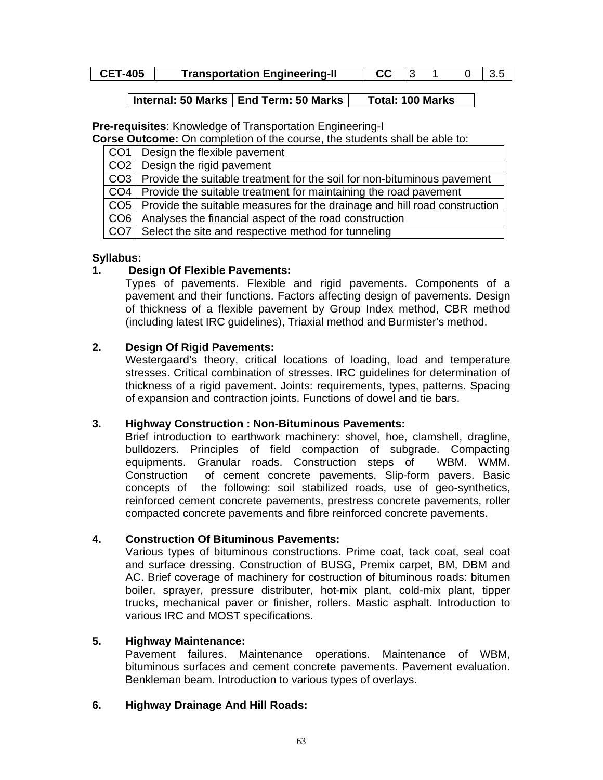| <b>CET-405</b> | <b>Transportation Engineering-II</b> | $CC$   3 |  | 0 3.5 |
|----------------|--------------------------------------|----------|--|-------|
|                |                                      |          |  |       |

**Pre-requisites**: Knowledge of Transportation Engineering-I

**Corse Outcome:** On completion of the course, the students shall be able to:

|     | CO1 Design the flexible pavement                                                |
|-----|---------------------------------------------------------------------------------|
|     | CO2   Design the rigid pavement                                                 |
|     | CO3   Provide the suitable treatment for the soil for non-bituminous pavement   |
|     | CO4 Provide the suitable treatment for maintaining the road pavement            |
|     | CO5   Provide the suitable measures for the drainage and hill road construction |
| CO6 | Analyses the financial aspect of the road construction                          |
|     | CO7 Select the site and respective method for tunneling                         |

# **Syllabus:**

# **1. Design Of Flexible Pavements:**

Types of pavements. Flexible and rigid pavements. Components of a pavement and their functions. Factors affecting design of pavements. Design of thickness of a flexible pavement by Group Index method, CBR method (including latest IRC guidelines), Triaxial method and Burmister's method.

# **2. Design Of Rigid Pavements:**

Westergaard's theory, critical locations of loading, load and temperature stresses. Critical combination of stresses. IRC guidelines for determination of thickness of a rigid pavement. Joints: requirements, types, patterns. Spacing of expansion and contraction joints. Functions of dowel and tie bars.

# **3. Highway Construction : Non-Bituminous Pavements:**

Brief introduction to earthwork machinery: shovel, hoe, clamshell, dragline, bulldozers. Principles of field compaction of subgrade. Compacting equipments. Granular roads. Construction steps of WBM. WMM. Construction of cement concrete pavements. Slip-form pavers. Basic concepts of the following: soil stabilized roads, use of geo-synthetics, reinforced cement concrete pavements, prestress concrete pavements, roller compacted concrete pavements and fibre reinforced concrete pavements.

# **4. Construction Of Bituminous Pavements:**

Various types of bituminous constructions. Prime coat, tack coat, seal coat and surface dressing. Construction of BUSG, Premix carpet, BM, DBM and AC. Brief coverage of machinery for costruction of bituminous roads: bitumen boiler, sprayer, pressure distributer, hot-mix plant, cold-mix plant, tipper trucks, mechanical paver or finisher, rollers. Mastic asphalt. Introduction to various IRC and MOST specifications.

# **5. Highway Maintenance:**

Pavement failures. Maintenance operations. Maintenance of WBM, bituminous surfaces and cement concrete pavements. Pavement evaluation. Benkleman beam. Introduction to various types of overlays.

# **6. Highway Drainage And Hill Roads:**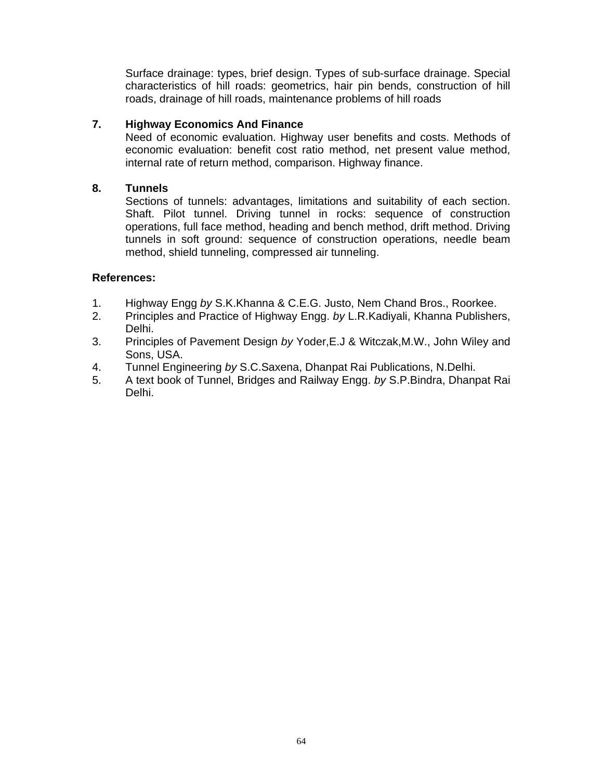Surface drainage: types, brief design. Types of sub-surface drainage. Special characteristics of hill roads: geometrics, hair pin bends, construction of hill roads, drainage of hill roads, maintenance problems of hill roads

# **7. Highway Economics And Finance**

Need of economic evaluation. Highway user benefits and costs. Methods of economic evaluation: benefit cost ratio method, net present value method, internal rate of return method, comparison. Highway finance.

## **8. Tunnels**

Sections of tunnels: advantages, limitations and suitability of each section. Shaft. Pilot tunnel. Driving tunnel in rocks: sequence of construction operations, full face method, heading and bench method, drift method. Driving tunnels in soft ground: sequence of construction operations, needle beam method, shield tunneling, compressed air tunneling.

- 1. Highway Engg *by* S.K.Khanna & C.E.G. Justo, Nem Chand Bros., Roorkee.
- 2. Principles and Practice of Highway Engg. *by* L.R.Kadiyali, Khanna Publishers, Delhi.
- 3. Principles of Pavement Design *by* Yoder,E.J & Witczak,M.W., John Wiley and Sons, USA.
- 4. Tunnel Engineering *by* S.C.Saxena, Dhanpat Rai Publications, N.Delhi.
- 5. A text book of Tunnel, Bridges and Railway Engg. *by* S.P.Bindra, Dhanpat Rai Delhi.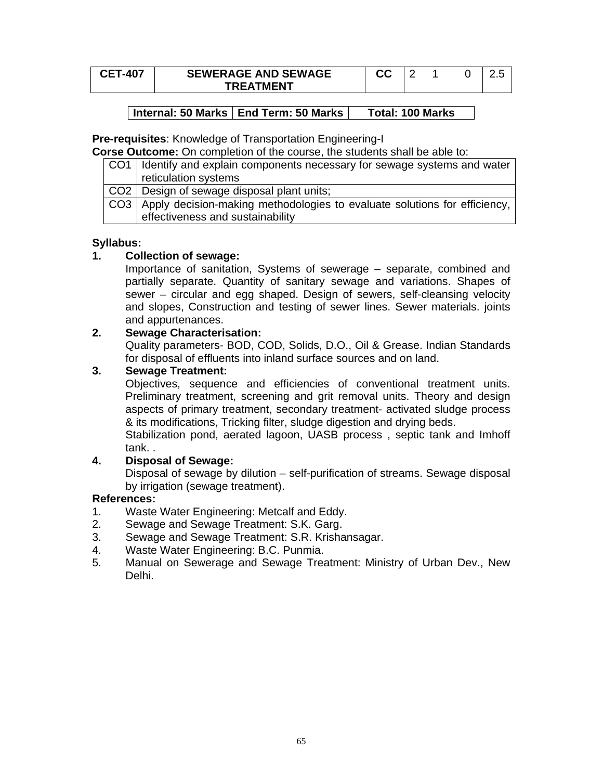| <b>CET-407</b> | <b>SEWERAGE AND SEWAGE</b> | uu |  |  |
|----------------|----------------------------|----|--|--|
|                | <b>TRFATMFNT</b>           |    |  |  |

**Pre-requisites**: Knowledge of Transportation Engineering-I

**Corse Outcome:** On completion of the course, the students shall be able to:

| CO1 I Identify and explain components necessary for sewage systems and water    |
|---------------------------------------------------------------------------------|
| reticulation systems                                                            |
| CO2 Design of sewage disposal plant units;                                      |
| CO3   Apply decision-making methodologies to evaluate solutions for efficiency, |
| effectiveness and sustainability                                                |

## **Syllabus:**

## **1. Collection of sewage:**

Importance of sanitation, Systems of sewerage – separate, combined and partially separate. Quantity of sanitary sewage and variations. Shapes of sewer – circular and egg shaped. Design of sewers, self-cleansing velocity and slopes, Construction and testing of sewer lines. Sewer materials. joints and appurtenances.

## **2. Sewage Characterisation:**

Quality parameters- BOD, COD, Solids, D.O., Oil & Grease. Indian Standards for disposal of effluents into inland surface sources and on land.

## **3. Sewage Treatment:**

Objectives, sequence and efficiencies of conventional treatment units. Preliminary treatment, screening and grit removal units. Theory and design aspects of primary treatment, secondary treatment- activated sludge process & its modifications, Tricking filter, sludge digestion and drying beds.

Stabilization pond, aerated lagoon, UASB process , septic tank and Imhoff tank. .

# **4. Disposal of Sewage:**

Disposal of sewage by dilution – self-purification of streams. Sewage disposal by irrigation (sewage treatment).

- 1. Waste Water Engineering: Metcalf and Eddy.
- 2. Sewage and Sewage Treatment: S.K. Garg.
- 3. Sewage and Sewage Treatment: S.R. Krishansagar.
- 4. Waste Water Engineering: B.C. Punmia.
- 5. Manual on Sewerage and Sewage Treatment: Ministry of Urban Dev., New Delhi.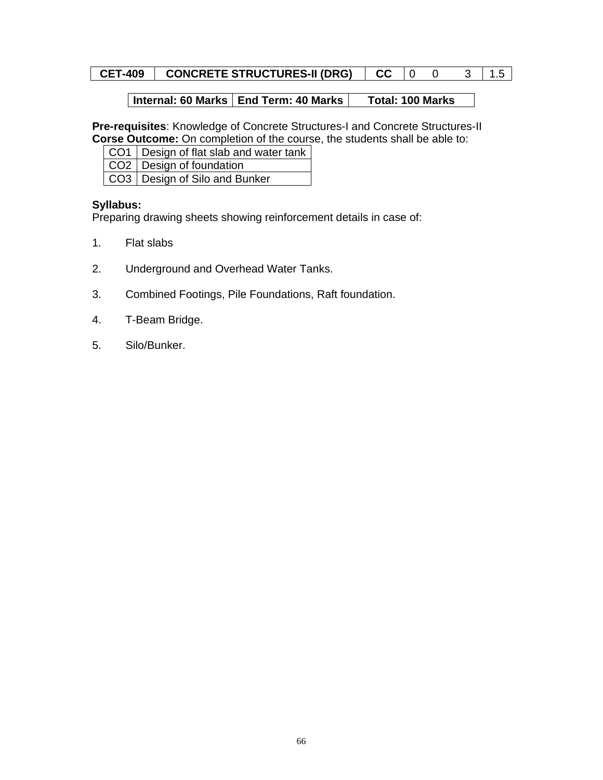# **CET-409 CONCRETE STRUCTURES-II (DRG) CC** 0 0 3 1.5

# **Internal: 60 Marks | End Term: 40 Marks | Total: 100 Marks**

**Pre-requisites**: Knowledge of Concrete Structures-I and Concrete Structures-II **Corse Outcome:** On completion of the course, the students shall be able to:

| CO1   Design of flat slab and water tank |
|------------------------------------------|
| CO <sub>2</sub>   Design of foundation   |
| CO3   Design of Silo and Bunker          |

#### **Syllabus:**

Preparing drawing sheets showing reinforcement details in case of:

- 1. Flat slabs
- 2. Underground and Overhead Water Tanks.
- 3. Combined Footings, Pile Foundations, Raft foundation.
- 4. T-Beam Bridge.
- 5. Silo/Bunker.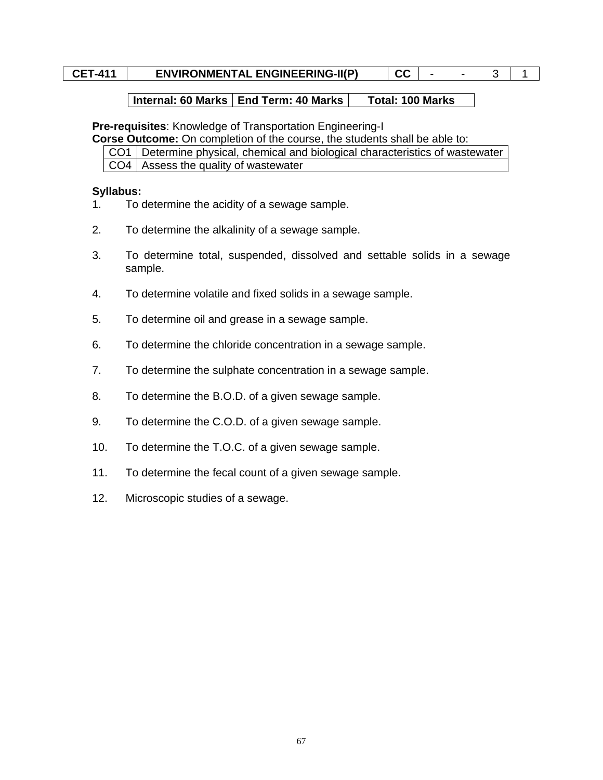# **CET-411** ENVIRONMENTAL ENGINEERING-II(P)  $|CC|$  - - 3 1 1

#### **Internal: 60 Marks | End Term: 40 Marks | Total: 100 Marks**

**Pre-requisites**: Knowledge of Transportation Engineering-I

**Corse Outcome:** On completion of the course, the students shall be able to:

CO1 Determine physical, chemical and biological characteristics of wastewater  $CO4$  Assess the quality of wastewater

#### **Syllabus:**

- 1. To determine the acidity of a sewage sample.
- 2. To determine the alkalinity of a sewage sample.
- 3. To determine total, suspended, dissolved and settable solids in a sewage sample.
- 4. To determine volatile and fixed solids in a sewage sample.
- 5. To determine oil and grease in a sewage sample.
- 6. To determine the chloride concentration in a sewage sample.
- 7. To determine the sulphate concentration in a sewage sample.
- 8. To determine the B.O.D. of a given sewage sample.
- 9. To determine the C.O.D. of a given sewage sample.
- 10. To determine the T.O.C. of a given sewage sample.
- 11. To determine the fecal count of a given sewage sample.
- 12. Microscopic studies of a sewage.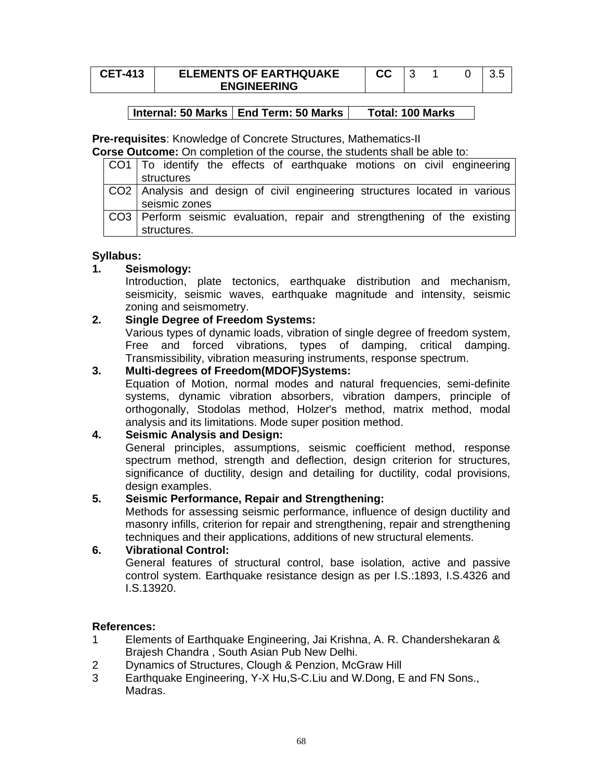| <b>CET-413</b> | <b>ELEMENTS OF EARTHQUAKE</b> | تات |  |  |
|----------------|-------------------------------|-----|--|--|
|                | <b>ENGINEERING</b>            |     |  |  |

**Pre-requisites**: Knowledge of Concrete Structures, Mathematics-II

**Corse Outcome:** On completion of the course, the students shall be able to:

| CO1   To identify the effects of earthquake motions on civil engineering                        |
|-------------------------------------------------------------------------------------------------|
| structures                                                                                      |
| CO2   Analysis and design of civil engineering structures located in various  <br>seismic zones |
|                                                                                                 |
| CO3   Perform seismic evaluation, repair and strengthening of the existing                      |
| structures.                                                                                     |

## **Syllabus:**

## **1. Seismology:**

Introduction, plate tectonics, earthquake distribution and mechanism, seismicity, seismic waves, earthquake magnitude and intensity, seismic zoning and seismometry.

# **2. Single Degree of Freedom Systems:**

Various types of dynamic loads, vibration of single degree of freedom system, Free and forced vibrations, types of damping, critical damping. Transmissibility, vibration measuring instruments, response spectrum.

## **3. Multi-degrees of Freedom(MDOF)Systems:**

Equation of Motion, normal modes and natural frequencies, semi-definite systems, dynamic vibration absorbers, vibration dampers, principle of orthogonally, Stodolas method, Holzer's method, matrix method, modal analysis and its limitations. Mode super position method.

## **4. Seismic Analysis and Design:**

General principles, assumptions, seismic coefficient method, response spectrum method, strength and deflection, design criterion for structures, significance of ductility, design and detailing for ductility, codal provisions, design examples.

## **5. Seismic Performance, Repair and Strengthening:**

Methods for assessing seismic performance, influence of design ductility and masonry infills, criterion for repair and strengthening, repair and strengthening techniques and their applications, additions of new structural elements.

## **6. Vibrational Control:**

General features of structural control, base isolation, active and passive control system. Earthquake resistance design as per I.S.:1893, I.S.4326 and I.S.13920.

- 1 Elements of Earthquake Engineering, Jai Krishna, A. R. Chandershekaran & Brajesh Chandra , South Asian Pub New Delhi.
- 2 Dynamics of Structures, Clough & Penzion, McGraw Hill
- 3 Earthquake Engineering, Y-X Hu,S-C.Liu and W.Dong, E and FN Sons., Madras.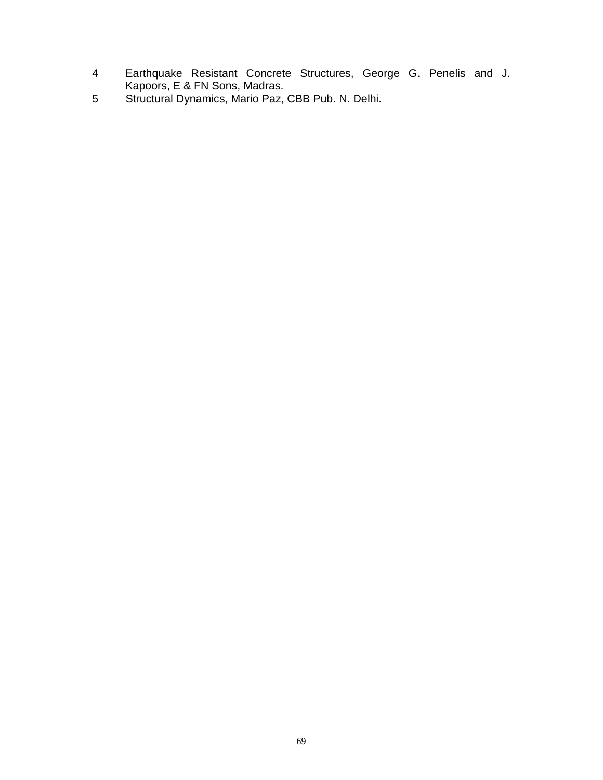- 4 Earthquake Resistant Concrete Structures, George G. Penelis and J. Kapoors, E & FN Sons, Madras.
- 5 Structural Dynamics, Mario Paz, CBB Pub. N. Delhi.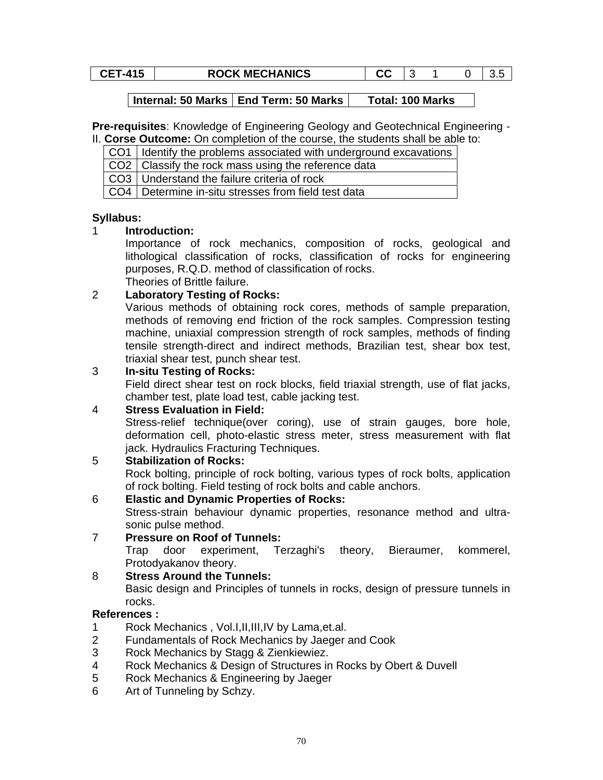**CET-415** ROCK MECHANICS CET-415 ROCK MECHANICS

Internal: 50 Marks | End Term: 50 Marks | Total: 100 Marks

**Pre-requisites**: Knowledge of Engineering Geology and Geotechnical Engineering - II. **Corse Outcome:** On completion of the course, the students shall be able to:

CO1 | Identify the problems associated with underground excavations

 $CO2$  Classify the rock mass using the reference data

CO3 Understand the failure criteria of rock

CO4 Determine in-situ stresses from field test data

# **Syllabus:**

# 1 **Introduction:**

Importance of rock mechanics, composition of rocks, geological and lithological classification of rocks, classification of rocks for engineering purposes, R.Q.D. method of classification of rocks.

Theories of Brittle failure.

# 2 **Laboratory Testing of Rocks:**

Various methods of obtaining rock cores, methods of sample preparation, methods of removing end friction of the rock samples. Compression testing machine, uniaxial compression strength of rock samples, methods of finding tensile strength-direct and indirect methods, Brazilian test, shear box test, triaxial shear test, punch shear test.

# 3 **In-situ Testing of Rocks:**

Field direct shear test on rock blocks, field triaxial strength, use of flat jacks, chamber test, plate load test, cable jacking test.

# 4 **Stress Evaluation in Field:**

Stress-relief technique(over coring), use of strain gauges, bore hole, deformation cell, photo-elastic stress meter, stress measurement with flat jack. Hydraulics Fracturing Techniques.

# 5 **Stabilization of Rocks:**

Rock bolting, principle of rock bolting, various types of rock bolts, application of rock bolting. Field testing of rock bolts and cable anchors.

## 6 **Elastic and Dynamic Properties of Rocks:**

Stress-strain behaviour dynamic properties, resonance method and ultrasonic pulse method.

# 7 **Pressure on Roof of Tunnels:**

Trap door experiment, Terzaghi's theory, Bieraumer, kommerel, Protodyakanov theory.

# 8 **Stress Around the Tunnels:**

Basic design and Principles of tunnels in rocks, design of pressure tunnels in rocks.

- 1 Rock Mechanics , Vol.I,II,III,IV by Lama,et.al.
- 2 Fundamentals of Rock Mechanics by Jaeger and Cook
- 3 Rock Mechanics by Stagg & Zienkiewiez.
- 4 Rock Mechanics & Design of Structures in Rocks by Obert & Duvell
- 5 Rock Mechanics & Engineering by Jaeger
- 6 Art of Tunneling by Schzy.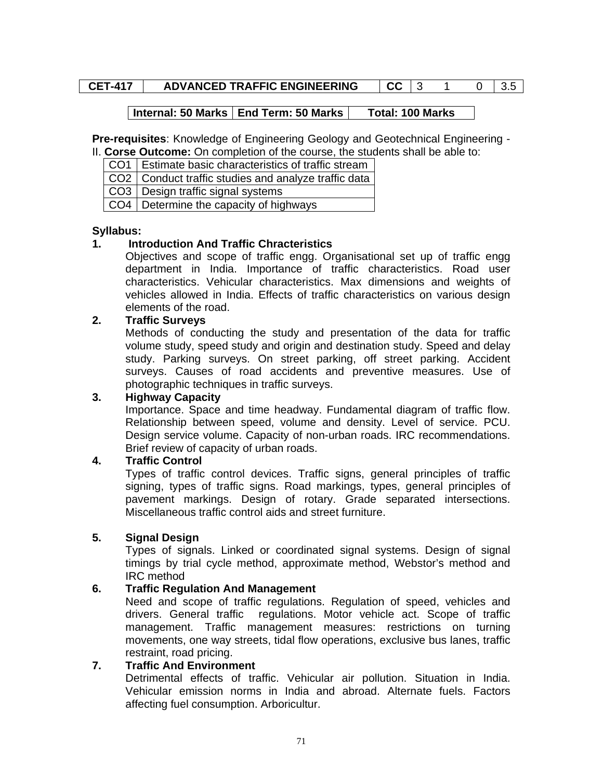# **CET-417 ADVANCED TRAFFIC ENGINEERING CC 3 1 0 3.5**

## **Internal: 50 Marks | End Term: 50 Marks | Total: 100 Marks**

**Pre-requisites**: Knowledge of Engineering Geology and Geotechnical Engineering -

II. **Corse Outcome:** On completion of the course, the students shall be able to:

CO1 | Estimate basic characteristics of traffic stream

 $CO2$  Conduct traffic studies and analyze traffic data

CO3 | Design traffic signal systems

CO4 Determine the capacity of highways

## **Syllabus:**

## **1. Introduction And Traffic Chracteristics**

Objectives and scope of traffic engg. Organisational set up of traffic engg department in India. Importance of traffic characteristics. Road user characteristics. Vehicular characteristics. Max dimensions and weights of vehicles allowed in India. Effects of traffic characteristics on various design elements of the road.

## **2. Traffic Surveys**

Methods of conducting the study and presentation of the data for traffic volume study, speed study and origin and destination study. Speed and delay study. Parking surveys. On street parking, off street parking. Accident surveys. Causes of road accidents and preventive measures. Use of photographic techniques in traffic surveys.

## **3. Highway Capacity**

Importance. Space and time headway. Fundamental diagram of traffic flow. Relationship between speed, volume and density. Level of service. PCU. Design service volume. Capacity of non-urban roads. IRC recommendations. Brief review of capacity of urban roads.

## **4. Traffic Control**

Types of traffic control devices. Traffic signs, general principles of traffic signing, types of traffic signs. Road markings, types, general principles of pavement markings. Design of rotary. Grade separated intersections. Miscellaneous traffic control aids and street furniture.

## **5. Signal Design**

Types of signals. Linked or coordinated signal systems. Design of signal timings by trial cycle method, approximate method, Webstor's method and IRC method

# **6. Traffic Regulation And Management**

Need and scope of traffic regulations. Regulation of speed, vehicles and drivers. General traffic regulations. Motor vehicle act. Scope of traffic management. Traffic management measures: restrictions on turning movements, one way streets, tidal flow operations, exclusive bus lanes, traffic restraint, road pricing.

## **7. Traffic And Environment**

Detrimental effects of traffic. Vehicular air pollution. Situation in India. Vehicular emission norms in India and abroad. Alternate fuels. Factors affecting fuel consumption. Arboricultur.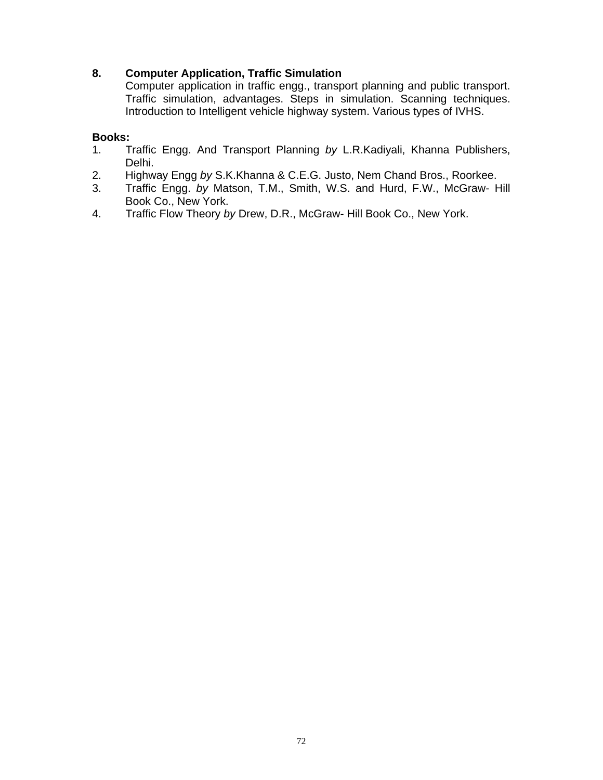# **8. Computer Application, Traffic Simulation**

Computer application in traffic engg., transport planning and public transport. Traffic simulation, advantages. Steps in simulation. Scanning techniques. Introduction to Intelligent vehicle highway system. Various types of IVHS.

## **Books:**

- 1. Traffic Engg. And Transport Planning *by* L.R.Kadiyali, Khanna Publishers, Delhi.
- 2. Highway Engg *by* S.K.Khanna & C.E.G. Justo, Nem Chand Bros., Roorkee.
- 3. Traffic Engg. *by* Matson, T.M., Smith, W.S. and Hurd, F.W., McGraw- Hill Book Co., New York.
- 4. Traffic Flow Theory *by* Drew, D.R., McGraw- Hill Book Co., New York.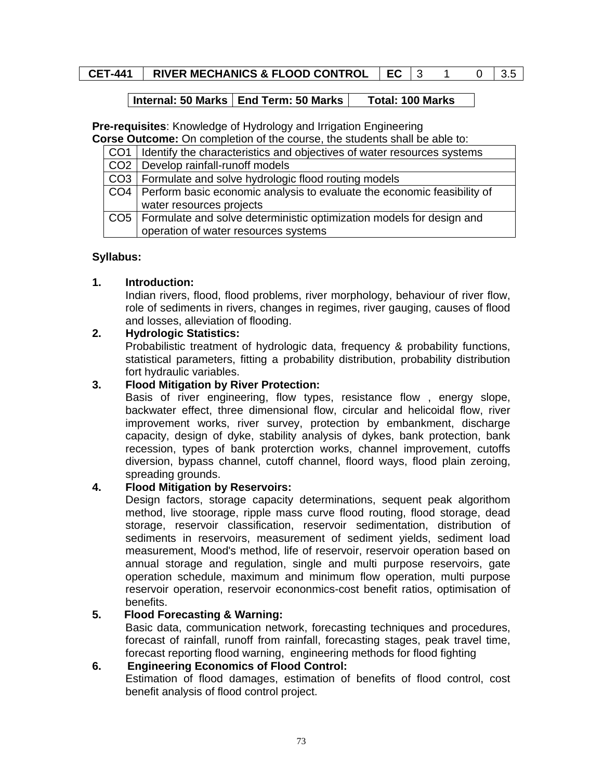# **CET-441 | RIVER MECHANICS & FLOOD CONTROL | EC | 3 1 0 | 3.5**

#### **Internal: 50 Marks | End Term: 50 Marks | Total: 100 Marks**

**Pre-requisites**: Knowledge of Hydrology and Irrigation Engineering

**Corse Outcome:** On completion of the course, the students shall be able to:

| CO1   Identify the characteristics and objectives of water resources systems  |
|-------------------------------------------------------------------------------|
| CO <sub>2</sub>   Develop rainfall-runoff models                              |
| CO3   Formulate and solve hydrologic flood routing models                     |
| CO4   Perform basic economic analysis to evaluate the economic feasibility of |
| water resources projects                                                      |
| CO5   Formulate and solve deterministic optimization models for design and    |
| operation of water resources systems                                          |

# **Syllabus:**

# **1. Introduction:**

Indian rivers, flood, flood problems, river morphology, behaviour of river flow, role of sediments in rivers, changes in regimes, river gauging, causes of flood and losses, alleviation of flooding.

# **2. Hydrologic Statistics:**

Probabilistic treatment of hydrologic data, frequency & probability functions, statistical parameters, fitting a probability distribution, probability distribution fort hydraulic variables.

## **3. Flood Mitigation by River Protection:**

Basis of river engineering, flow types, resistance flow , energy slope, backwater effect, three dimensional flow, circular and helicoidal flow, river improvement works, river survey, protection by embankment, discharge capacity, design of dyke, stability analysis of dykes, bank protection, bank recession, types of bank proterction works, channel improvement, cutoffs diversion, bypass channel, cutoff channel, floord ways, flood plain zeroing, spreading grounds.

# **4. Flood Mitigation by Reservoirs:**

Design factors, storage capacity determinations, sequent peak algorithom method, live stoorage, ripple mass curve flood routing, flood storage, dead storage, reservoir classification, reservoir sedimentation, distribution of sediments in reservoirs, measurement of sediment yields, sediment load measurement, Mood's method, life of reservoir, reservoir operation based on annual storage and regulation, single and multi purpose reservoirs, gate operation schedule, maximum and minimum flow operation, multi purpose reservoir operation, reservoir econonmics-cost benefit ratios, optimisation of benefits.

# **5. Flood Forecasting & Warning:**

Basic data, communication network, forecasting techniques and procedures, forecast of rainfall, runoff from rainfall, forecasting stages, peak travel time, forecast reporting flood warning, engineering methods for flood fighting

# **6. Engineering Economics of Flood Control:**

Estimation of flood damages, estimation of benefits of flood control, cost benefit analysis of flood control project.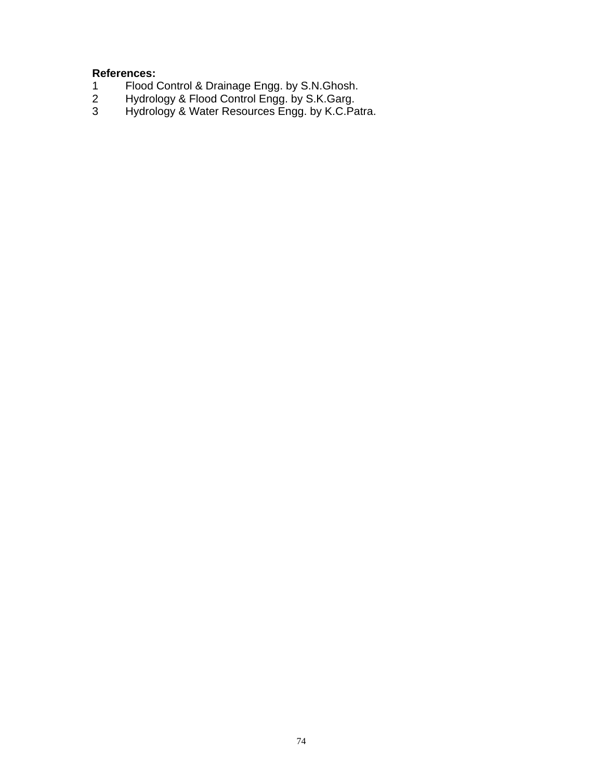- 1 Flood Control & Drainage Engg. by S.N.Ghosh.
- 2 Hydrology & Flood Control Engg. by S.K.Garg.
- 3 Hydrology & Water Resources Engg. by K.C.Patra.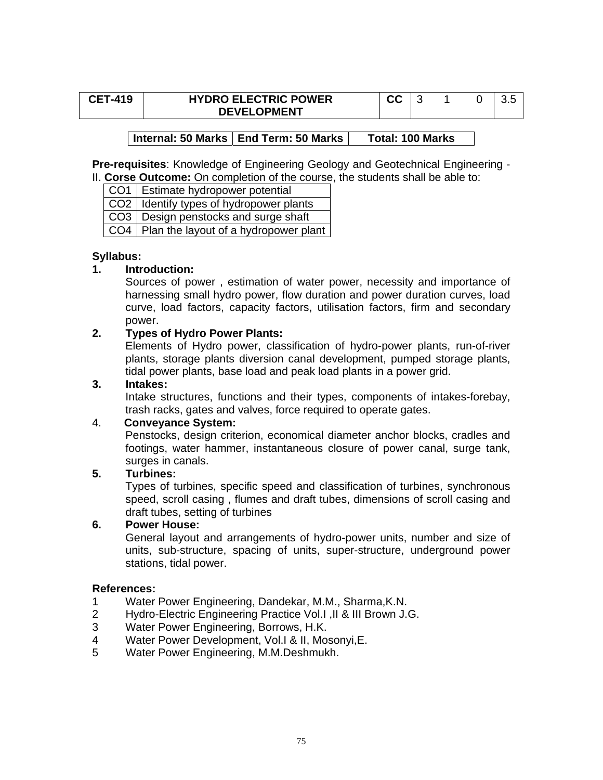| <b>CET-419</b> | <b>HYDRO ELECTRIC POWER</b> | cc |  |  |
|----------------|-----------------------------|----|--|--|
|                | <b>DEVELOPMENT</b>          |    |  |  |

# Internal: 50 Marks | End Term: 50 Marks | Total: 100 Marks

**Pre-requisites**: Knowledge of Engineering Geology and Geotechnical Engineering - II. **Corse Outcome:** On completion of the course, the students shall be able to:

CO1 Estimate hydropower potential CO2 | Identify types of hydropower plants CO3 | Design penstocks and surge shaft CO4 | Plan the layout of a hydropower plant

#### **Syllabus:**

#### **1. Introduction:**

Sources of power , estimation of water power, necessity and importance of harnessing small hydro power, flow duration and power duration curves, load curve, load factors, capacity factors, utilisation factors, firm and secondary power.

# **2. Types of Hydro Power Plants:**

Elements of Hydro power, classification of hydro-power plants, run-of-river plants, storage plants diversion canal development, pumped storage plants, tidal power plants, base load and peak load plants in a power grid.

# **3. Intakes:**

Intake structures, functions and their types, components of intakes-forebay, trash racks, gates and valves, force required to operate gates.

#### 4. **Conveyance System:**

Penstocks, design criterion, economical diameter anchor blocks, cradles and footings, water hammer, instantaneous closure of power canal, surge tank, surges in canals.

# **5. Turbines:**

Types of turbines, specific speed and classification of turbines, synchronous speed, scroll casing , flumes and draft tubes, dimensions of scroll casing and draft tubes, setting of turbines

#### **6. Power House:**

General layout and arrangements of hydro-power units, number and size of units, sub-structure, spacing of units, super-structure, underground power stations, tidal power.

- 1 Water Power Engineering, Dandekar, M.M., Sharma,K.N.
- 2 Hydro-Electric Engineering Practice Vol.I ,II & III Brown J.G.
- 3 Water Power Engineering, Borrows, H.K.
- 4 Water Power Development, Vol.I & II, Mosonyi,E.
- 5 Water Power Engineering, M.M.Deshmukh.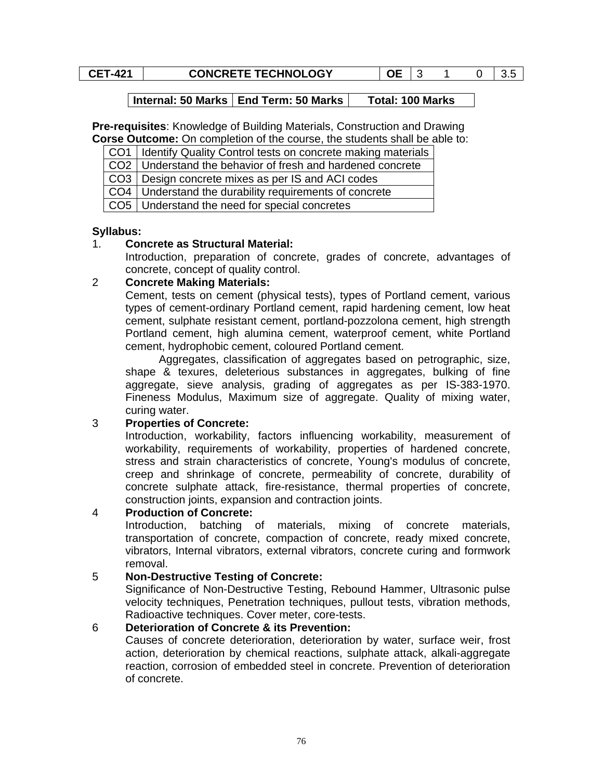# **CET-421** CONCRETE TECHNOLOGY 0E 3 1 0 3.5

### **Internal: 50 Marks | End Term: 50 Marks | Total: 100 Marks**

**Pre-requisites**: Knowledge of Building Materials, Construction and Drawing **Corse Outcome:** On completion of the course, the students shall be able to:

CO1 | Identify Quality Control tests on concrete making materials

CO2 Understand the behavior of fresh and hardened concrete

CO3 Design concrete mixes as per IS and ACI codes

CO4 Understand the durability requirements of concrete

CO5 Understand the need for special concretes

#### **Syllabus:**

# 1. **Concrete as Structural Material:**

Introduction, preparation of concrete, grades of concrete, advantages of concrete, concept of quality control.

#### 2 **Concrete Making Materials:**

Cement, tests on cement (physical tests), types of Portland cement, various types of cement-ordinary Portland cement, rapid hardening cement, low heat cement, sulphate resistant cement, portland-pozzolona cement, high strength Portland cement, high alumina cement, waterproof cement, white Portland cement, hydrophobic cement, coloured Portland cement.

Aggregates, classification of aggregates based on petrographic, size, shape & texures, deleterious substances in aggregates, bulking of fine aggregate, sieve analysis, grading of aggregates as per IS-383-1970. Fineness Modulus, Maximum size of aggregate. Quality of mixing water, curing water.

# 3 **Properties of Concrete:**

Introduction, workability, factors influencing workability, measurement of workability, requirements of workability, properties of hardened concrete, stress and strain characteristics of concrete, Young's modulus of concrete, creep and shrinkage of concrete, permeability of concrete, durability of concrete sulphate attack, fire-resistance, thermal properties of concrete, construction joints, expansion and contraction joints.

#### 4 **Production of Concrete:**

Introduction, batching of materials, mixing of concrete materials, transportation of concrete, compaction of concrete, ready mixed concrete, vibrators, Internal vibrators, external vibrators, concrete curing and formwork removal.

#### 5 **Non-Destructive Testing of Concrete:**

Significance of Non-Destructive Testing, Rebound Hammer, Ultrasonic pulse velocity techniques, Penetration techniques, pullout tests, vibration methods, Radioactive techniques. Cover meter, core-tests.

# 6 **Deterioration of Concrete & its Prevention:**

Causes of concrete deterioration, deterioration by water, surface weir, frost action, deterioration by chemical reactions, sulphate attack, alkali-aggregate reaction, corrosion of embedded steel in concrete. Prevention of deterioration of concrete.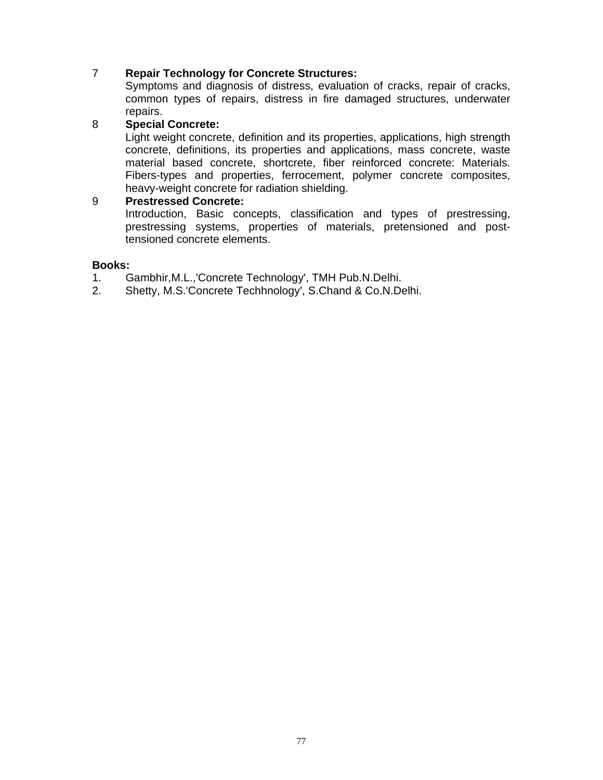# 7 **Repair Technology for Concrete Structures:**

Symptoms and diagnosis of distress, evaluation of cracks, repair of cracks, common types of repairs, distress in fire damaged structures, underwater repairs.

## 8 **Special Concrete:**

Light weight concrete, definition and its properties, applications, high strength concrete, definitions, its properties and applications, mass concrete, waste material based concrete, shortcrete, fiber reinforced concrete: Materials. Fibers-types and properties, ferrocement, polymer concrete composites, heavy-weight concrete for radiation shielding.

#### 9 **Prestressed Concrete:**

Introduction, Basic concepts, classification and types of prestressing, prestressing systems, properties of materials, pretensioned and posttensioned concrete elements.

#### **Books:**

- 1. Gambhir,M.L.,'Concrete Technology', TMH Pub.N.Delhi.
- 2. Shetty, M.S.'Concrete Techhnology', S.Chand & Co.N.Delhi.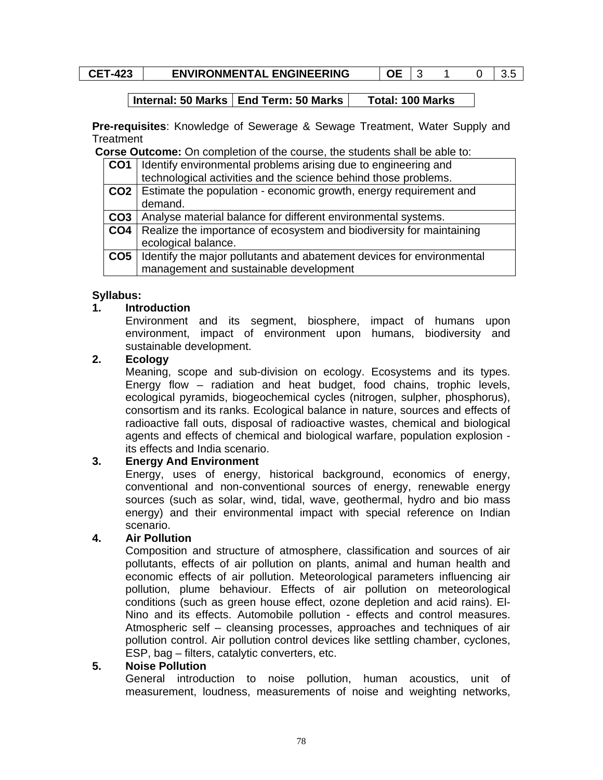|  | `<br>. .<br>-- |
|--|----------------|
|--|----------------|

# **ENVIRONMENTAL ENGINEERING | OE | 3 1 0 | 3.5**

#### **Internal: 50 Marks | End Term: 50 Marks | Total: 100 Marks**

**Pre-requisites**: Knowledge of Sewerage & Sewage Treatment, Water Supply and **Treatment** 

**Corse Outcome:** On completion of the course, the students shall be able to:

| CO <sub>1</sub> | Identify environmental problems arising due to engineering and        |
|-----------------|-----------------------------------------------------------------------|
|                 | technological activities and the science behind those problems.       |
| CO2             | Estimate the population - economic growth, energy requirement and     |
|                 | demand.                                                               |
| CO3             | Analyse material balance for different environmental systems.         |
| CO <sub>4</sub> | Realize the importance of ecosystem and biodiversity for maintaining  |
|                 | ecological balance.                                                   |
| CO <sub>5</sub> | Identify the major pollutants and abatement devices for environmental |
|                 | management and sustainable development                                |

#### **Syllabus:**

#### **1. Introduction**

Environment and its segment, biosphere, impact of humans upon environment, impact of environment upon humans, biodiversity and sustainable development.

#### **2. Ecology**

Meaning, scope and sub-division on ecology. Ecosystems and its types. Energy flow – radiation and heat budget, food chains, trophic levels, ecological pyramids, biogeochemical cycles (nitrogen, sulpher, phosphorus), consortism and its ranks. Ecological balance in nature, sources and effects of radioactive fall outs, disposal of radioactive wastes, chemical and biological agents and effects of chemical and biological warfare, population explosion its effects and India scenario.

# **3. Energy And Environment**

Energy, uses of energy, historical background, economics of energy, conventional and non-conventional sources of energy, renewable energy sources (such as solar, wind, tidal, wave, geothermal, hydro and bio mass energy) and their environmental impact with special reference on Indian scenario.

# **4. Air Pollution**

Composition and structure of atmosphere, classification and sources of air pollutants, effects of air pollution on plants, animal and human health and economic effects of air pollution. Meteorological parameters influencing air pollution, plume behaviour. Effects of air pollution on meteorological conditions (such as green house effect, ozone depletion and acid rains). El-Nino and its effects. Automobile pollution - effects and control measures. Atmospheric self – cleansing processes, approaches and techniques of air pollution control. Air pollution control devices like settling chamber, cyclones, ESP, bag – filters, catalytic converters, etc.

#### **5. Noise Pollution**

General introduction to noise pollution, human acoustics, unit of measurement, loudness, measurements of noise and weighting networks,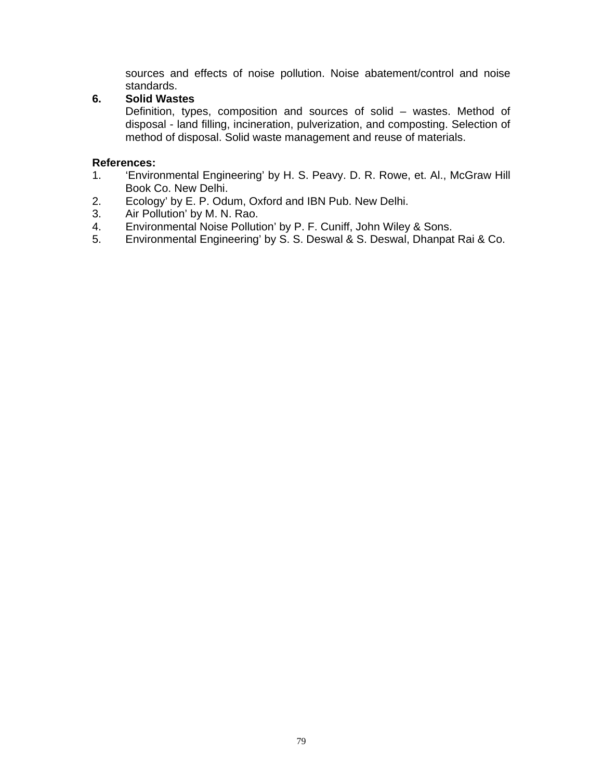sources and effects of noise pollution. Noise abatement/control and noise standards.

# **6. Solid Wastes**

Definition, types, composition and sources of solid – wastes. Method of disposal - land filling, incineration, pulverization, and composting. Selection of method of disposal. Solid waste management and reuse of materials.

- 1. 'Environmental Engineering' by H. S. Peavy. D. R. Rowe, et. Al., McGraw Hill Book Co. New Delhi.
- 2. Ecology' by E. P. Odum, Oxford and IBN Pub. New Delhi.
- 3. Air Pollution' by M. N. Rao.
- 4. Environmental Noise Pollution' by P. F. Cuniff, John Wiley & Sons.
- 5. Environmental Engineering' by S. S. Deswal & S. Deswal, Dhanpat Rai & Co.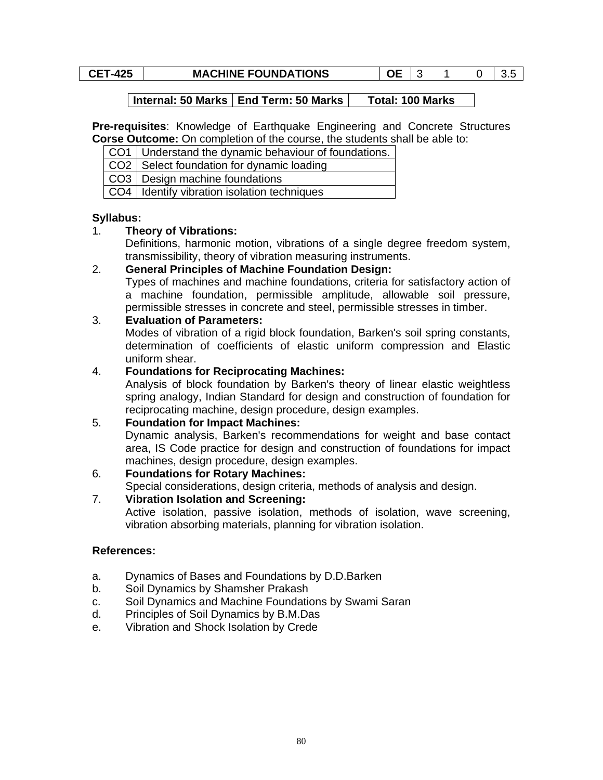# **CET-425** MACHINE FOUNDATIONS OE 3 1 0 3.5

#### **Internal: 50 Marks | End Term: 50 Marks | Total: 100 Marks**

**Pre-requisites**: Knowledge of Earthquake Engineering and Concrete Structures **Corse Outcome:** On completion of the course, the students shall be able to:

 $CO2$  Select foundation for dynamic loading

CO3 Design machine foundations

CO4 | Identify vibration isolation techniques

#### **Syllabus:**

#### 1. **Theory of Vibrations:**

Definitions, harmonic motion, vibrations of a single degree freedom system, transmissibility, theory of vibration measuring instruments.

#### 2. **General Principles of Machine Foundation Design:**

Types of machines and machine foundations, criteria for satisfactory action of a machine foundation, permissible amplitude, allowable soil pressure, permissible stresses in concrete and steel, permissible stresses in timber.

#### 3. **Evaluation of Parameters:**

Modes of vibration of a rigid block foundation, Barken's soil spring constants, determination of coefficients of elastic uniform compression and Elastic uniform shear.

#### 4. **Foundations for Reciprocating Machines:**

Analysis of block foundation by Barken's theory of linear elastic weightless spring analogy, Indian Standard for design and construction of foundation for reciprocating machine, design procedure, design examples.

# 5. **Foundation for Impact Machines:**

Dynamic analysis, Barken's recommendations for weight and base contact area, IS Code practice for design and construction of foundations for impact machines, design procedure, design examples.

# 6. **Foundations for Rotary Machines:**

Special considerations, design criteria, methods of analysis and design. 7. **Vibration Isolation and Screening:** 

Active isolation, passive isolation, methods of isolation, wave screening, vibration absorbing materials, planning for vibration isolation.

- a. Dynamics of Bases and Foundations by D.D.Barken
- b. Soil Dynamics by Shamsher Prakash
- c. Soil Dynamics and Machine Foundations by Swami Saran
- d. Principles of Soil Dynamics by B.M.Das
- e. Vibration and Shock Isolation by Crede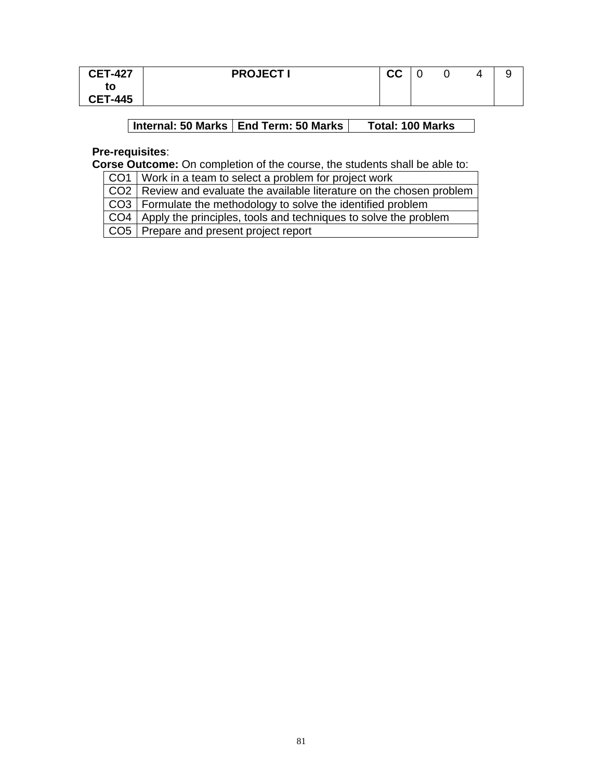| <b>CET-427</b> | <b>PROJECT I</b> | <u>rr</u><br><u>uu</u> |  |  |
|----------------|------------------|------------------------|--|--|
| to             |                  |                        |  |  |
| <b>CET-445</b> |                  |                        |  |  |

# **Internal: 50 Marks | End Term: 50 Marks | Total: 100 Marks**

# **Pre-requisites**:

**Corse Outcome:** On completion of the course, the students shall be able to:

CO1 | Work in a team to select a problem for project work

CO2 Review and evaluate the available literature on the chosen problem

CO3 Formulate the methodology to solve the identified problem

CO4 Apply the principles, tools and techniques to solve the problem

CO5 Prepare and present project report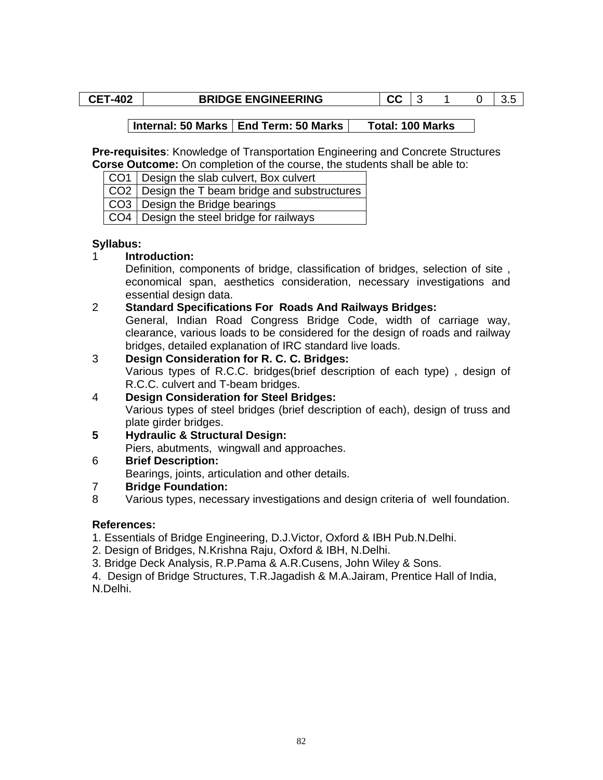#### **CET-402** BRIDGE ENGINEERING CC 3 1 0 3.5

# Internal: 50 Marks | End Term: 50 Marks | Total: 100 Marks

**Pre-requisites**: Knowledge of Transportation Engineering and Concrete Structures **Corse Outcome:** On completion of the course, the students shall be able to:

CO1 | Design the slab culvert, Box culvert

 $CO2$  Design the T beam bridge and substructures

CO3 | Design the Bridge bearings

CO4 | Design the steel bridge for railways

#### **Syllabus:**

# 1 **Introduction:**

Definition, components of bridge, classification of bridges, selection of site , economical span, aesthetics consideration, necessary investigations and essential design data.

#### 2 **Standard Specifications For Roads And Railways Bridges:**

General, Indian Road Congress Bridge Code, width of carriage way, clearance, various loads to be considered for the design of roads and railway bridges, detailed explanation of IRC standard live loads.

- 3 **Design Consideration for R. C. C. Bridges:** Various types of R.C.C. bridges(brief description of each type) , design of R.C.C. culvert and T-beam bridges.
- 4 **Design Consideration for Steel Bridges:** Various types of steel bridges (brief description of each), design of truss and plate girder bridges.
- **5 Hydraulic & Structural Design:**

Piers, abutments, wingwall and approaches.

6 **Brief Description:**

Bearings, joints, articulation and other details.

# 7 **Bridge Foundation:**

8 Various types, necessary investigations and design criteria of well foundation.

# **References:**

1. Essentials of Bridge Engineering, D.J.Victor, Oxford & IBH Pub.N.Delhi.

- 2. Design of Bridges, N.Krishna Raju, Oxford & IBH, N.Delhi.
- 3. Bridge Deck Analysis, R.P.Pama & A.R.Cusens, John Wiley & Sons.

4. Design of Bridge Structures, T.R.Jagadish & M.A.Jairam, Prentice Hall of India, N.Delhi.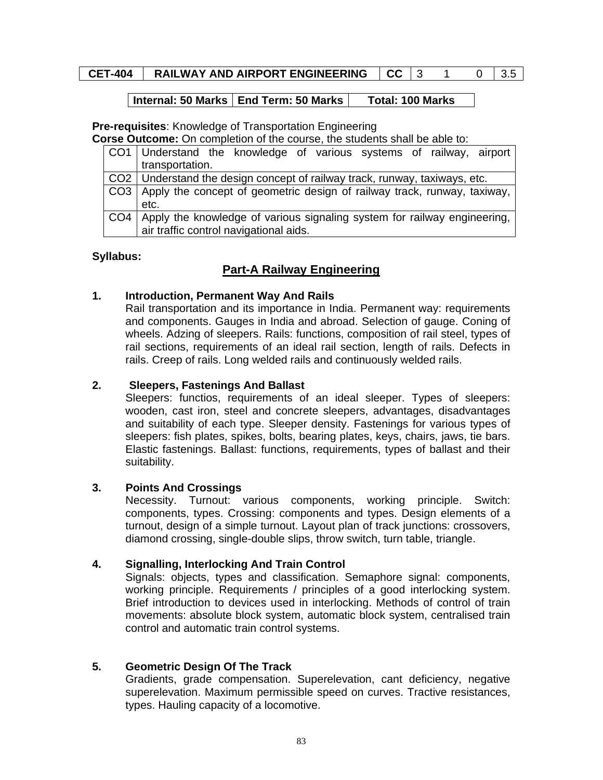# **CET-404 | RAILWAY AND AIRPORT ENGINEERING | CC | 3 1 0 | 3.5**

#### **Internal: 50 Marks End Term: 50 Marks Total: 100 Marks**

# **Pre-requisites**: Knowledge of Transportation Engineering

**Corse Outcome:** On completion of the course, the students shall be able to:

|     | CO1   Understand the knowledge of various systems of railway, airport        |
|-----|------------------------------------------------------------------------------|
|     | transportation.                                                              |
|     | CO2   Understand the design concept of railway track, runway, taxiways, etc. |
|     | CO3 Apply the concept of geometric design of railway track, runway, taxiway, |
|     | etc.                                                                         |
| CO4 | Apply the knowledge of various signaling system for railway engineering,     |
|     | air traffic control navigational aids.                                       |

#### **Syllabus:**

# **Part-A Railway Engineering**

#### **1. Introduction, Permanent Way And Rails**

Rail transportation and its importance in India. Permanent way: requirements and components. Gauges in India and abroad. Selection of gauge. Coning of wheels. Adzing of sleepers. Rails: functions, composition of rail steel, types of rail sections, requirements of an ideal rail section, length of rails. Defects in rails. Creep of rails. Long welded rails and continuously welded rails.

# **2. Sleepers, Fastenings And Ballast**

Sleepers: functios, requirements of an ideal sleeper. Types of sleepers: wooden, cast iron, steel and concrete sleepers, advantages, disadvantages and suitability of each type. Sleeper density. Fastenings for various types of sleepers: fish plates, spikes, bolts, bearing plates, keys, chairs, jaws, tie bars. Elastic fastenings. Ballast: functions, requirements, types of ballast and their suitability.

# **3. Points And Crossings**

Necessity. Turnout: various components, working principle. Switch: components, types. Crossing: components and types. Design elements of a turnout, design of a simple turnout. Layout plan of track junctions: crossovers, diamond crossing, single-double slips, throw switch, turn table, triangle.

#### **4. Signalling, Interlocking And Train Control**

Signals: objects, types and classification. Semaphore signal: components, working principle. Requirements / principles of a good interlocking system. Brief introduction to devices used in interlocking. Methods of control of train movements: absolute block system, automatic block system, centralised train control and automatic train control systems.

# **5. Geometric Design Of The Track**

Gradients, grade compensation. Superelevation, cant deficiency, negative superelevation. Maximum permissible speed on curves. Tractive resistances, types. Hauling capacity of a locomotive.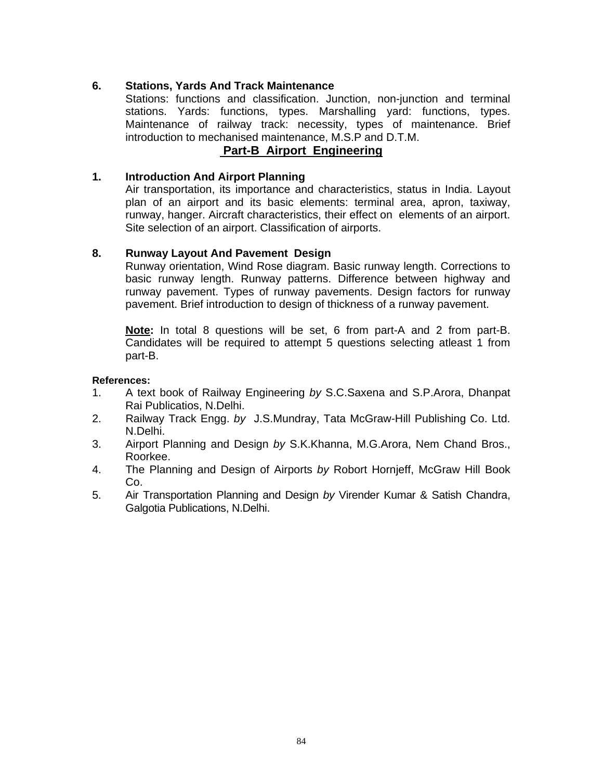# **6. Stations, Yards And Track Maintenance**

Stations: functions and classification. Junction, non-junction and terminal stations. Yards: functions, types. Marshalling yard: functions, types. Maintenance of railway track: necessity, types of maintenance. Brief introduction to mechanised maintenance, M.S.P and D.T.M.

# **Part-B Airport Engineering**

# **1. Introduction And Airport Planning**

Air transportation, its importance and characteristics, status in India. Layout plan of an airport and its basic elements: terminal area, apron, taxiway, runway, hanger. Aircraft characteristics, their effect on elements of an airport. Site selection of an airport. Classification of airports.

# **8. Runway Layout And Pavement Design**

Runway orientation, Wind Rose diagram. Basic runway length. Corrections to basic runway length. Runway patterns. Difference between highway and runway pavement. Types of runway pavements. Design factors for runway pavement. Brief introduction to design of thickness of a runway pavement.

**Note:** In total 8 questions will be set, 6 from part-A and 2 from part-B. Candidates will be required to attempt 5 questions selecting atleast 1 from part-B.

- 1. A text book of Railway Engineering *by* S.C.Saxena and S.P.Arora, Dhanpat Rai Publicatios, N.Delhi.
- 2. Railway Track Engg. *by* J.S.Mundray, Tata McGraw-Hill Publishing Co. Ltd. N.Delhi.
- 3. Airport Planning and Design *by* S.K.Khanna, M.G.Arora, Nem Chand Bros., Roorkee.
- 4. The Planning and Design of Airports *by* Robort Hornjeff, McGraw Hill Book Co.
- 5. Air Transportation Planning and Design *by* Virender Kumar & Satish Chandra, Galgotia Publications, N.Delhi.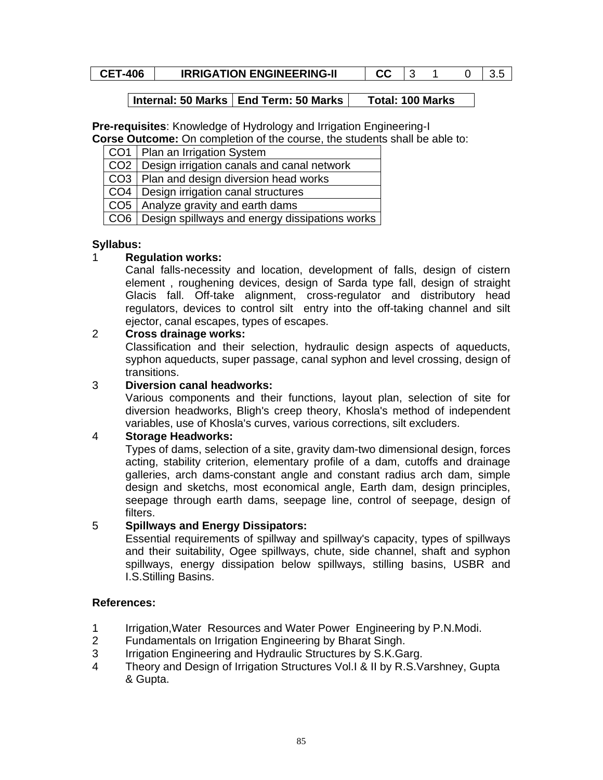| uu | <b>CET-406</b> | <b>IRRIGATION ENGINEERING-II</b> | rr. |  |  |  |  |
|----|----------------|----------------------------------|-----|--|--|--|--|
|----|----------------|----------------------------------|-----|--|--|--|--|

# Internal: 50 Marks | End Term: 50 Marks | Total: 100 Marks

**Pre-requisites**: Knowledge of Hydrology and Irrigation Engineering-I

**Corse Outcome:** On completion of the course, the students shall be able to:

| CO1   Plan an Irrigation System                      |
|------------------------------------------------------|
| CO2   Design irrigation canals and canal network     |
| CO3   Plan and design diversion head works           |
| CO4   Design irrigation canal structures             |
| CO5   Analyze gravity and earth dams                 |
| CO6   Design spillways and energy dissipations works |

# **Syllabus:**

# 1 **Regulation works:**

Canal falls-necessity and location, development of falls, design of cistern element , roughening devices, design of Sarda type fall, design of straight Glacis fall. Off-take alignment, cross-regulator and distributory head regulators, devices to control silt entry into the off-taking channel and silt ejector, canal escapes, types of escapes.

# 2 **Cross drainage works:**

Classification and their selection, hydraulic design aspects of aqueducts, syphon aqueducts, super passage, canal syphon and level crossing, design of transitions.

# 3 **Diversion canal headworks:**

Various components and their functions, layout plan, selection of site for diversion headworks, Bligh's creep theory, Khosla's method of independent variables, use of Khosla's curves, various corrections, silt excluders.

# 4 **Storage Headworks:**

Types of dams, selection of a site, gravity dam-two dimensional design, forces acting, stability criterion, elementary profile of a dam, cutoffs and drainage galleries, arch dams-constant angle and constant radius arch dam, simple design and sketchs, most economical angle, Earth dam, design principles, seepage through earth dams, seepage line, control of seepage, design of filters.

# 5 **Spillways and Energy Dissipators:**

Essential requirements of spillway and spillway's capacity, types of spillways and their suitability, Ogee spillways, chute, side channel, shaft and syphon spillways, energy dissipation below spillways, stilling basins, USBR and I.S.Stilling Basins.

- 1 Irrigation,Water Resources and Water Power Engineering by P.N.Modi.
- 2 Fundamentals on Irrigation Engineering by Bharat Singh.
- 3 Irrigation Engineering and Hydraulic Structures by S.K.Garg.
- 4 Theory and Design of Irrigation Structures Vol.I & II by R.S.Varshney, Gupta & Gupta.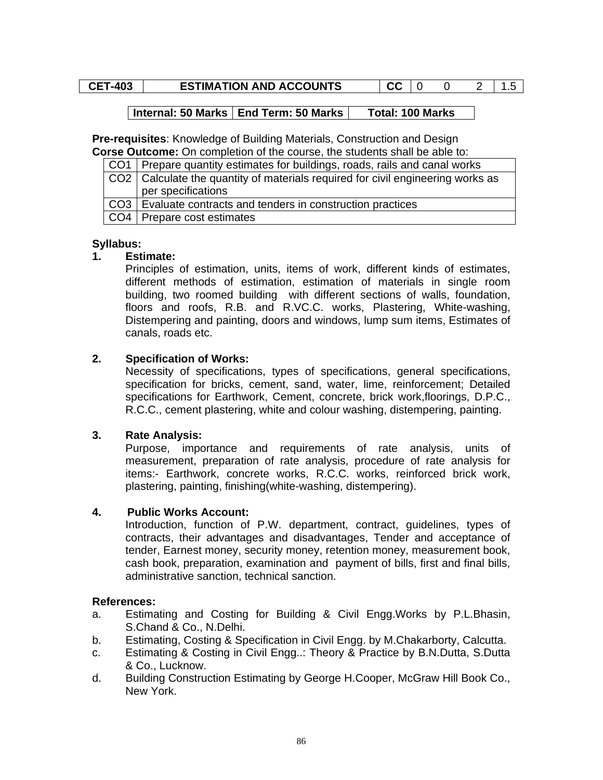# **CET-403 ESTIMATION AND ACCOUNTS CC** 0 0 2 1.5

# Internal: 50 Marks | End Term: 50 Marks | Total: 100 Marks

**Pre-requisites**: Knowledge of Building Materials, Construction and Design **Corse Outcome:** On completion of the course, the students shall be able to:

| CO1 Prepare quantity estimates for buildings, roads, rails and canal works        |
|-----------------------------------------------------------------------------------|
| CO2   Calculate the quantity of materials required for civil engineering works as |
| per specifications                                                                |
| CO3   Evaluate contracts and tenders in construction practices                    |
| CO4   Prepare cost estimates                                                      |

#### **Syllabus:**

#### **1. Estimate:**

Principles of estimation, units, items of work, different kinds of estimates, different methods of estimation, estimation of materials in single room building, two roomed building with different sections of walls, foundation, floors and roofs, R.B. and R.VC.C. works, Plastering, White-washing, Distempering and painting, doors and windows, lump sum items, Estimates of canals, roads etc.

#### **2. Specification of Works:**

Necessity of specifications, types of specifications, general specifications, specification for bricks, cement, sand, water, lime, reinforcement; Detailed specifications for Earthwork, Cement, concrete, brick work,floorings, D.P.C., R.C.C., cement plastering, white and colour washing, distempering, painting.

# **3. Rate Analysis:**

Purpose, importance and requirements of rate analysis, units of measurement, preparation of rate analysis, procedure of rate analysis for items:- Earthwork, concrete works, R.C.C. works, reinforced brick work, plastering, painting, finishing(white-washing, distempering).

#### **4. Public Works Account:**

Introduction, function of P.W. department, contract, guidelines, types of contracts, their advantages and disadvantages, Tender and acceptance of tender, Earnest money, security money, retention money, measurement book, cash book, preparation, examination and payment of bills, first and final bills, administrative sanction, technical sanction.

- a. Estimating and Costing for Building & Civil Engg.Works by P.L.Bhasin, S.Chand & Co., N.Delhi.
- b. Estimating, Costing & Specification in Civil Engg. by M.Chakarborty, Calcutta.
- c. Estimating & Costing in Civil Engg..: Theory & Practice by B.N.Dutta, S.Dutta & Co., Lucknow.
- d. Building Construction Estimating by George H.Cooper, McGraw Hill Book Co., New York.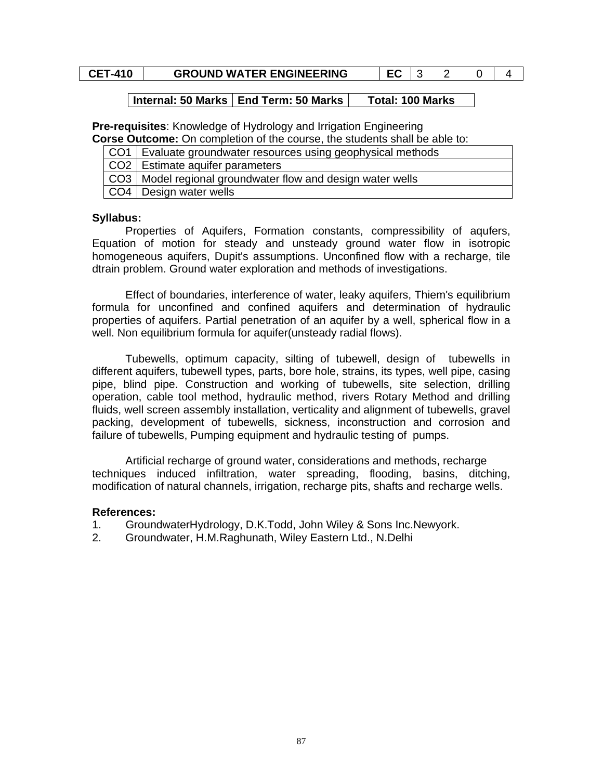# **CET-410** GROUND WATER ENGINEERING EC 3 2 0 4

#### **Internal: 50 Marks | End Term: 50 Marks | Total: 100 Marks**

**Pre-requisites**: Knowledge of Hydrology and Irrigation Engineering

|  |  |  |  | <b>Corse Outcome:</b> On completion of the course, the students shall be able to: |
|--|--|--|--|-----------------------------------------------------------------------------------|
|  |  |  |  |                                                                                   |

| CO1   Evaluate groundwater resources using geophysical methods |
|----------------------------------------------------------------|
| CO2   Estimate aquifer parameters                              |
| CO3   Model regional groundwater flow and design water wells   |
| CO4   Design water wells                                       |

#### **Syllabus:**

 Properties of Aquifers, Formation constants, compressibility of aqufers, Equation of motion for steady and unsteady ground water flow in isotropic homogeneous aquifers, Dupit's assumptions. Unconfined flow with a recharge, tile dtrain problem. Ground water exploration and methods of investigations.

 Effect of boundaries, interference of water, leaky aquifers, Thiem's equilibrium formula for unconfined and confined aquifers and determination of hydraulic properties of aquifers. Partial penetration of an aquifer by a well, spherical flow in a well. Non equilibrium formula for aquifer(unsteady radial flows).

Tubewells, optimum capacity, silting of tubewell, design of tubewells in different aquifers, tubewell types, parts, bore hole, strains, its types, well pipe, casing pipe, blind pipe. Construction and working of tubewells, site selection, drilling operation, cable tool method, hydraulic method, rivers Rotary Method and drilling fluids, well screen assembly installation, verticality and alignment of tubewells, gravel packing, development of tubewells, sickness, inconstruction and corrosion and failure of tubewells, Pumping equipment and hydraulic testing of pumps.

Artificial recharge of ground water, considerations and methods, recharge techniques induced infiltration, water spreading, flooding, basins, ditching, modification of natural channels, irrigation, recharge pits, shafts and recharge wells.

- 1. GroundwaterHydrology, D.K.Todd, John Wiley & Sons Inc.Newyork.
- 2. Groundwater, H.M.Raghunath, Wiley Eastern Ltd., N.Delhi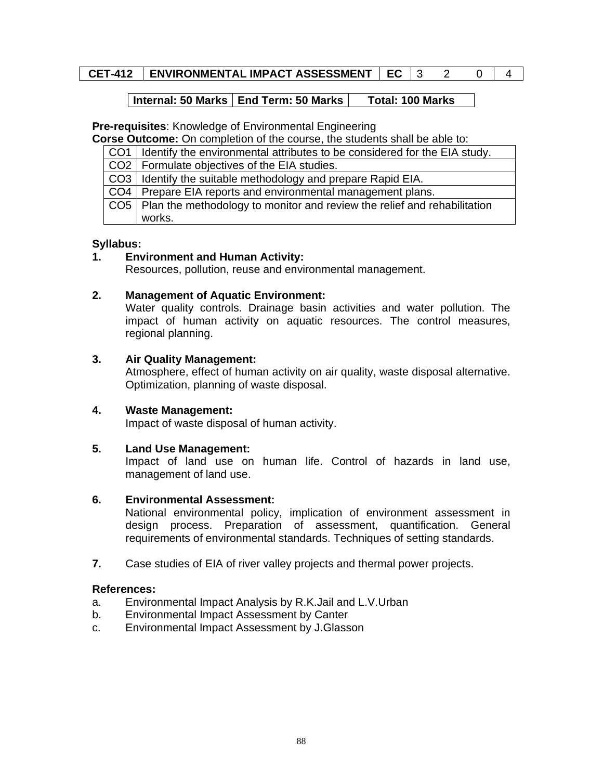# **CET-412 ENVIRONMENTAL IMPACT ASSESSMENT | EC | 3 2 0 | 4**

# **Internal: 50 Marks | End Term: 50 Marks | Total: 100 Marks**

**Pre-requisites**: Knowledge of Environmental Engineering

**Corse Outcome:** On completion of the course, the students shall be able to:

| CO1   Identify the environmental attributes to be considered for the EIA study. |
|---------------------------------------------------------------------------------|
| CO2   Formulate objectives of the EIA studies.                                  |
| CO3   Identify the suitable methodology and prepare Rapid EIA.                  |
| CO4   Prepare EIA reports and environmental management plans.                   |
| CO5   Plan the methodology to monitor and review the relief and rehabilitation  |
| works.                                                                          |

#### **Syllabus:**

# **1. Environment and Human Activity:**

Resources, pollution, reuse and environmental management.

# **2. Management of Aquatic Environment:**

Water quality controls. Drainage basin activities and water pollution. The impact of human activity on aquatic resources. The control measures, regional planning.

#### **3. Air Quality Management:**

Atmosphere, effect of human activity on air quality, waste disposal alternative. Optimization, planning of waste disposal.

# **4. Waste Management:**

Impact of waste disposal of human activity.

# **5. Land Use Management:**

Impact of land use on human life. Control of hazards in land use, management of land use.

# **6. Environmental Assessment:**

National environmental policy, implication of environment assessment in design process. Preparation of assessment, quantification. General requirements of environmental standards. Techniques of setting standards.

**7.** Case studies of EIA of river valley projects and thermal power projects.

- a. Environmental Impact Analysis by R.K.Jail and L.V.Urban
- b. Environmental Impact Assessment by Canter
- c. Environmental Impact Assessment by J.Glasson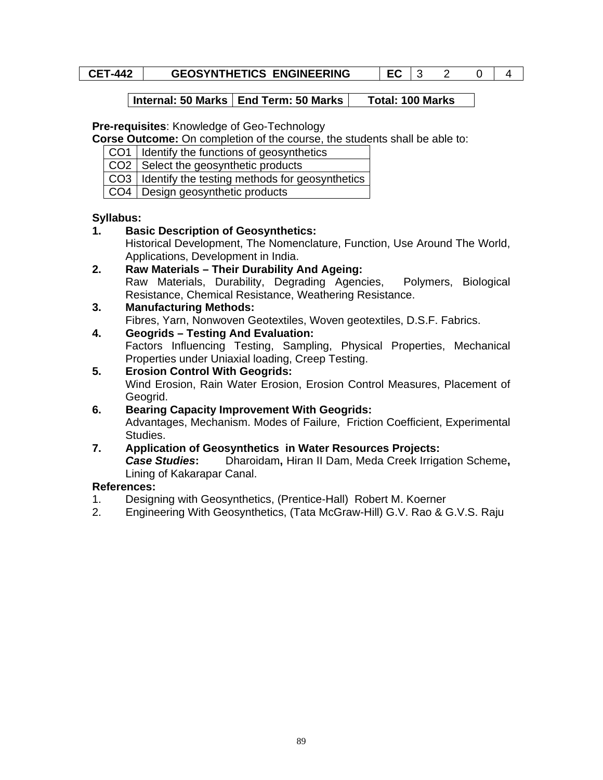# **CET-442** GEOSYNTHETICS ENGINEERING EC 3 2 0 4

# **Internal: 50 Marks | End Term: 50 Marks | Total: 100 Marks**

#### **Pre-requisites**: Knowledge of Geo-Technology

**Corse Outcome:** On completion of the course, the students shall be able to:

CO1 | Identify the functions of geosynthetics

 $CO2$  Select the geosynthetic products

- CO3 | Identify the testing methods for geosynthetics
- CO4 Design geosynthetic products

# **Syllabus:**

- **1. Basic Description of Geosynthetics:** 
	- Historical Development, The Nomenclature, Function, Use Around The World, Applications, Development in India.
- **2. Raw Materials Their Durability And Ageing:**  Raw Materials, Durability, Degrading Agencies, Polymers, Biological Resistance, Chemical Resistance, Weathering Resistance.

# **3. Manufacturing Methods:**

Fibres, Yarn, Nonwoven Geotextiles, Woven geotextiles, D.S.F. Fabrics.

**4. Geogrids – Testing And Evaluation:** 

Factors Influencing Testing, Sampling, Physical Properties, Mechanical Properties under Uniaxial loading, Creep Testing.

**5. Erosion Control With Geogrids:** 

Wind Erosion, Rain Water Erosion, Erosion Control Measures, Placement of Geogrid.

- **6. Bearing Capacity Improvement With Geogrids:**  Advantages, Mechanism. Modes of Failure, Friction Coefficient, Experimental Studies.
- **7. Application of Geosynthetics in Water Resources Projects:**  *Case Studies***:** Dharoidam**,** Hiran II Dam, Meda Creek Irrigation Scheme**,**  Lining of Kakarapar Canal.

- 1. Designing with Geosynthetics, (Prentice-Hall) Robert M. Koerner
- 2. Engineering With Geosynthetics, (Tata McGraw-Hill) G.V. Rao & G.V.S. Raju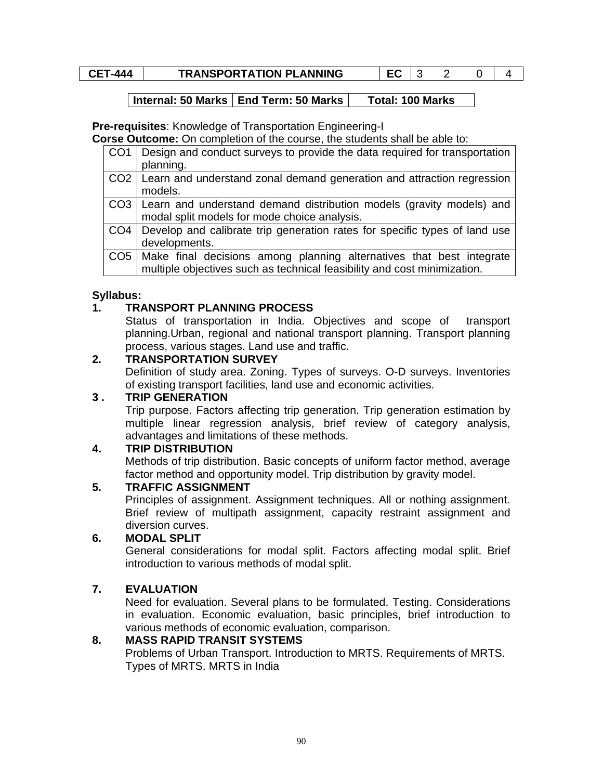# **CET-444** TRANSPORTATION PLANNING EC 3 2 0 4

# **Internal: 50 Marks | End Term: 50 Marks | Total: 100 Marks**

**Pre-requisites**: Knowledge of Transportation Engineering-I

**Corse Outcome:** On completion of the course, the students shall be able to:

| CO <sub>1</sub> | Design and conduct surveys to provide the data required for transportation   |
|-----------------|------------------------------------------------------------------------------|
|                 | planning.                                                                    |
|                 | CO2   Learn and understand zonal demand generation and attraction regression |
|                 | models.                                                                      |
|                 | CO3   Learn and understand demand distribution models (gravity models) and   |
|                 | modal split models for mode choice analysis.                                 |
| CO4             | Develop and calibrate trip generation rates for specific types of land use   |
|                 | developments.                                                                |
|                 | CO5   Make final decisions among planning alternatives that best integrate   |
|                 | multiple objectives such as technical feasibility and cost minimization.     |

# **Syllabus:**

# **1. TRANSPORT PLANNING PROCESS**

Status of transportation in India. Objectives and scope of transport planning.Urban, regional and national transport planning. Transport planning process, various stages. Land use and traffic.

# **2. TRANSPORTATION SURVEY**

Definition of study area. Zoning. Types of surveys. O-D surveys. Inventories of existing transport facilities, land use and economic activities.

# **3 . TRIP GENERATION**

Trip purpose. Factors affecting trip generation. Trip generation estimation by multiple linear regression analysis, brief review of category analysis, advantages and limitations of these methods.

# **4. TRIP DISTRIBUTION**

Methods of trip distribution. Basic concepts of uniform factor method, average factor method and opportunity model. Trip distribution by gravity model.

# **5. TRAFFIC ASSIGNMENT**

Principles of assignment. Assignment techniques. All or nothing assignment. Brief review of multipath assignment, capacity restraint assignment and diversion curves.

# **6. MODAL SPLIT**

General considerations for modal split. Factors affecting modal split. Brief introduction to various methods of modal split.

# **7. EVALUATION**

Need for evaluation. Several plans to be formulated. Testing. Considerations in evaluation. Economic evaluation, basic principles, brief introduction to various methods of economic evaluation, comparison.

# **8. MASS RAPID TRANSIT SYSTEMS**

Problems of Urban Transport. Introduction to MRTS. Requirements of MRTS. Types of MRTS. MRTS in India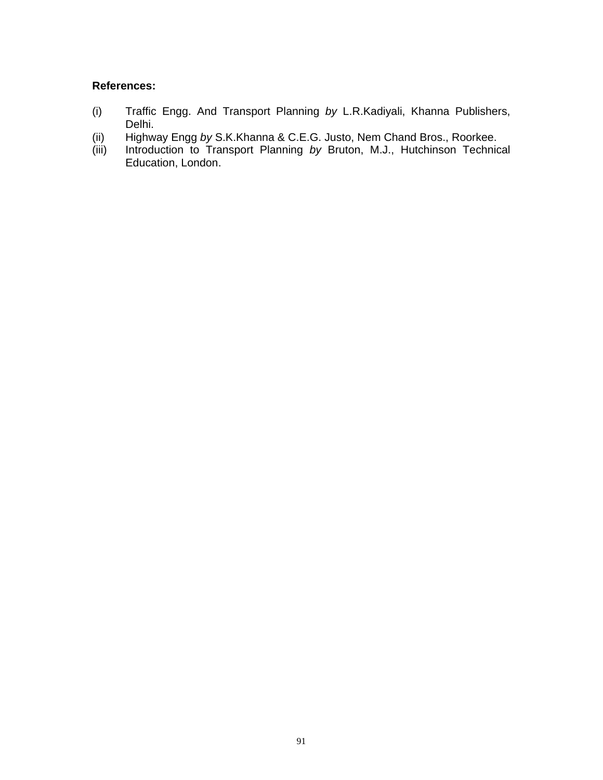- (i) Traffic Engg. And Transport Planning *by* L.R.Kadiyali, Khanna Publishers, Delhi.
- (ii) Highway Engg *by* S.K.Khanna & C.E.G. Justo, Nem Chand Bros., Roorkee.
- (iii) Introduction to Transport Planning *by* Bruton, M.J., Hutchinson Technical Education, London.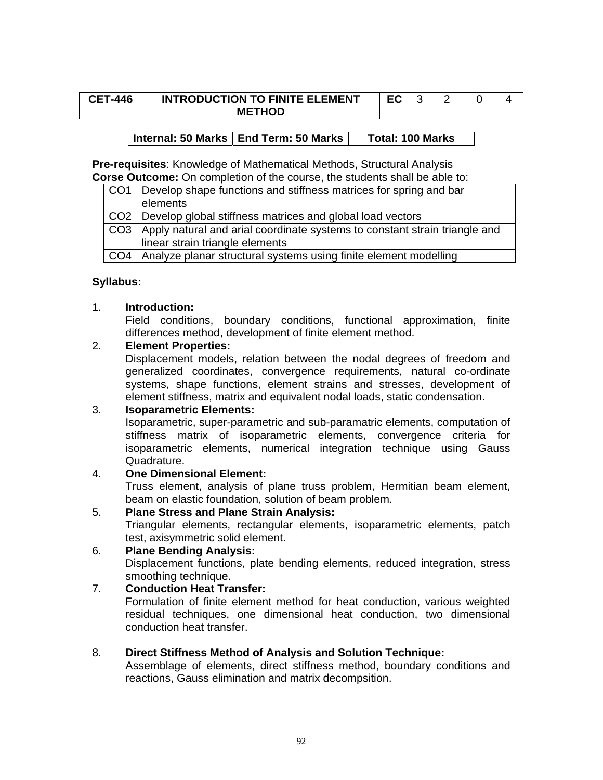| <b>CET-446</b> | <b>INTRODUCTION TO FINITE ELEMENT</b> |  |  |  |
|----------------|---------------------------------------|--|--|--|
|                | <b>METHOD</b>                         |  |  |  |

# Internal: 50 Marks | End Term: 50 Marks | Total: 100 Marks

**Pre-requisites**: Knowledge of Mathematical Methods, Structural Analysis **Corse Outcome:** On completion of the course, the students shall be able to:

| CO1 | Develop shape functions and stiffness matrices for spring and bar          |
|-----|----------------------------------------------------------------------------|
|     | elements                                                                   |
|     | CO2 Develop global stiffness matrices and global load vectors              |
| CO3 | Apply natural and arial coordinate systems to constant strain triangle and |
|     | linear strain triangle elements                                            |
|     | CO4   Analyze planar structural systems using finite element modelling     |

# **Syllabus:**

# 1. **Introduction:**

Field conditions, boundary conditions, functional approximation, finite differences method, development of finite element method.

# 2. **Element Properties:**

Displacement models, relation between the nodal degrees of freedom and generalized coordinates, convergence requirements, natural co-ordinate systems, shape functions, element strains and stresses, development of element stiffness, matrix and equivalent nodal loads, static condensation.

# 3. **Isoparametric Elements:**

Isoparametric, super-parametric and sub-paramatric elements, computation of stiffness matrix of isoparametric elements, convergence criteria for isoparametric elements, numerical integration technique using Gauss Quadrature.

# 4. **One Dimensional Element:**

Truss element, analysis of plane truss problem, Hermitian beam element, beam on elastic foundation, solution of beam problem.

# 5. **Plane Stress and Plane Strain Analysis:**

Triangular elements, rectangular elements, isoparametric elements, patch test, axisymmetric solid element.

# 6. **Plane Bending Analysis:**

Displacement functions, plate bending elements, reduced integration, stress smoothing technique.

# 7. **Conduction Heat Transfer:**

Formulation of finite element method for heat conduction, various weighted residual techniques, one dimensional heat conduction, two dimensional conduction heat transfer.

# 8. **Direct Stiffness Method of Analysis and Solution Technique:**

Assemblage of elements, direct stiffness method, boundary conditions and reactions, Gauss elimination and matrix decompsition.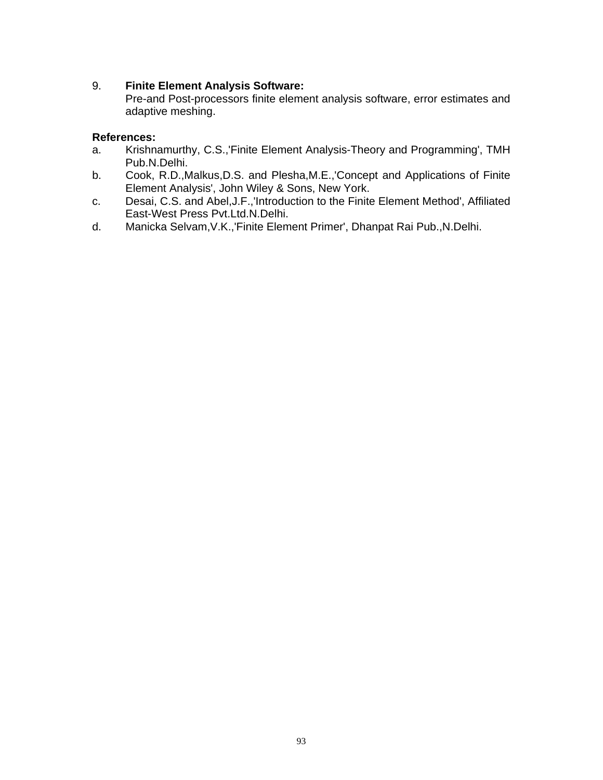# 9. **Finite Element Analysis Software:**

Pre-and Post-processors finite element analysis software, error estimates and adaptive meshing.

- a. Krishnamurthy, C.S.,'Finite Element Analysis-Theory and Programming', TMH Pub.N.Delhi.
- b. Cook, R.D.,Malkus,D.S. and Plesha,M.E.,'Concept and Applications of Finite Element Analysis', John Wiley & Sons, New York.
- c. Desai, C.S. and Abel,J.F.,'Introduction to the Finite Element Method', Affiliated East-West Press Pvt.Ltd.N.Delhi.
- d. Manicka Selvam,V.K.,'Finite Element Primer', Dhanpat Rai Pub.,N.Delhi.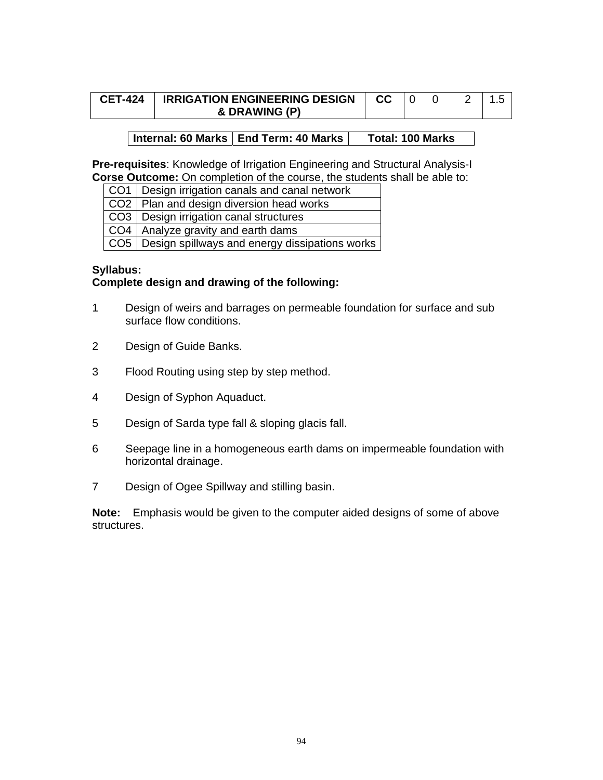| <b>CET-424</b> | <b>IRRIGATION ENGINEERING DESIGN</b> | CC. |  |  |
|----------------|--------------------------------------|-----|--|--|
|                | & DRAWING (P)                        |     |  |  |

# Internal: 60 Marks | End Term: 40 Marks | Total: 100 Marks

**Pre-requisites**: Knowledge of Irrigation Engineering and Structural Analysis-I **Corse Outcome:** On completion of the course, the students shall be able to:

- CO1 Design irrigation canals and canal network
- CO2 | Plan and design diversion head works

CO3 | Design irrigation canal structures

 $CO4$  Analyze gravity and earth dams

 $CO5$  Design spillways and energy dissipations works

#### **Syllabus:**

# **Complete design and drawing of the following:**

- 1 Design of weirs and barrages on permeable foundation for surface and sub surface flow conditions.
- 2 Design of Guide Banks.
- 3 Flood Routing using step by step method.
- 4 Design of Syphon Aquaduct.
- 5 Design of Sarda type fall & sloping glacis fall.
- 6 Seepage line in a homogeneous earth dams on impermeable foundation with horizontal drainage.
- 7 Design of Ogee Spillway and stilling basin.

**Note:** Emphasis would be given to the computer aided designs of some of above structures.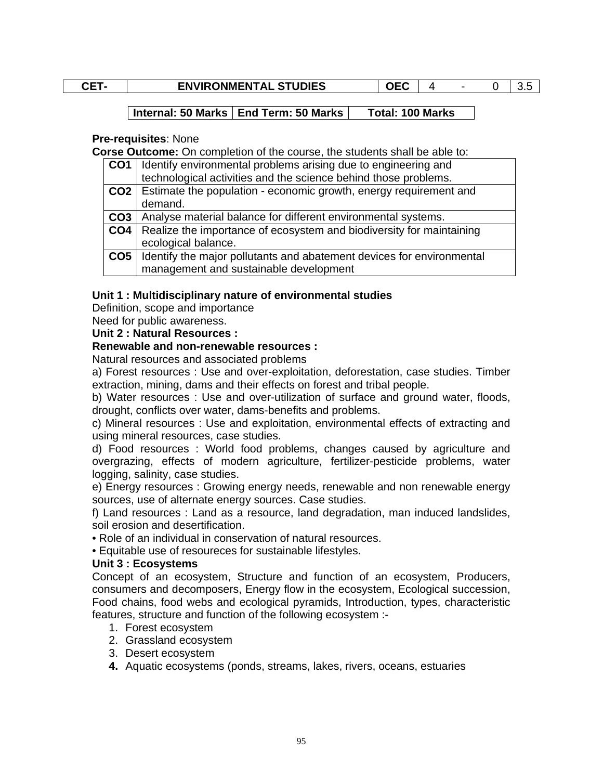| ٠        |  |
|----------|--|
| .,<br>۰. |  |

# **ENVIRONMENTAL STUDIES**  $\begin{array}{|c|c|c|c|c|c|}\n\hline\n\end{array}$  **CEC** | 4 - 0 | 3.5

# Internal: 50 Marks | End Term: 50 Marks | Total: 100 Marks

#### **Pre-requisites**: None

**Corse Outcome:** On completion of the course, the students shall be able to:

| CO <sub>1</sub> | Identify environmental problems arising due to engineering and        |
|-----------------|-----------------------------------------------------------------------|
|                 | technological activities and the science behind those problems.       |
| CO2             | Estimate the population - economic growth, energy requirement and     |
|                 | demand.                                                               |
| CO3             | Analyse material balance for different environmental systems.         |
| CO <sub>4</sub> | Realize the importance of ecosystem and biodiversity for maintaining  |
|                 | ecological balance.                                                   |
| CO <sub>5</sub> | Identify the major pollutants and abatement devices for environmental |
|                 | management and sustainable development                                |

# **Unit 1 : Multidisciplinary nature of environmental studies**

Definition, scope and importance

Need for public awareness.

#### **Unit 2 : Natural Resources :**

#### **Renewable and non-renewable resources :**

Natural resources and associated problems

a) Forest resources : Use and over-exploitation, deforestation, case studies. Timber extraction, mining, dams and their effects on forest and tribal people.

b) Water resources : Use and over-utilization of surface and ground water, floods, drought, conflicts over water, dams-benefits and problems.

c) Mineral resources : Use and exploitation, environmental effects of extracting and using mineral resources, case studies.

d) Food resources : World food problems, changes caused by agriculture and overgrazing, effects of modern agriculture, fertilizer-pesticide problems, water logging, salinity, case studies.

e) Energy resources : Growing energy needs, renewable and non renewable energy sources, use of alternate energy sources. Case studies.

f) Land resources : Land as a resource, land degradation, man induced landslides, soil erosion and desertification.

• Role of an individual in conservation of natural resources.

• Equitable use of resoureces for sustainable lifestyles.

# **Unit 3 : Ecosystems**

Concept of an ecosystem, Structure and function of an ecosystem, Producers, consumers and decomposers, Energy flow in the ecosystem, Ecological succession, Food chains, food webs and ecological pyramids, Introduction, types, characteristic features, structure and function of the following ecosystem :-

- 1. Forest ecosystem
- 2. Grassland ecosystem
- 3. Desert ecosystem
- **4.** Aquatic ecosystems (ponds, streams, lakes, rivers, oceans, estuaries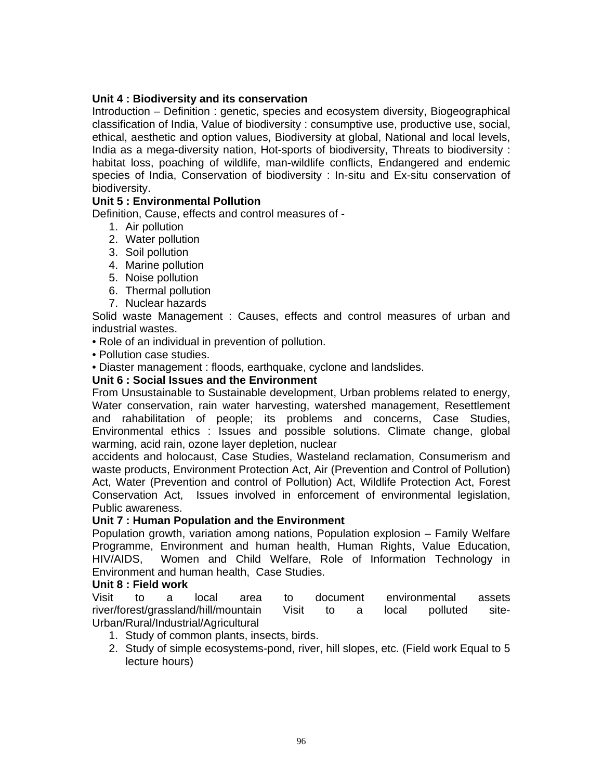# **Unit 4 : Biodiversity and its conservation**

Introduction – Definition : genetic, species and ecosystem diversity, Biogeographical classification of India, Value of biodiversity : consumptive use, productive use, social, ethical, aesthetic and option values, Biodiversity at global, National and local levels, India as a mega-diversity nation, Hot-sports of biodiversity, Threats to biodiversity : habitat loss, poaching of wildlife, man-wildlife conflicts, Endangered and endemic species of India, Conservation of biodiversity : In-situ and Ex-situ conservation of biodiversity.

# **Unit 5 : Environmental Pollution**

Definition, Cause, effects and control measures of -

- 1. Air pollution
- 2. Water pollution
- 3. Soil pollution
- 4. Marine pollution
- 5. Noise pollution
- 6. Thermal pollution
- 7. Nuclear hazards

Solid waste Management : Causes, effects and control measures of urban and industrial wastes.

• Role of an individual in prevention of pollution.

• Pollution case studies.

• Diaster management : floods, earthquake, cyclone and landslides.

# **Unit 6 : Social Issues and the Environment**

From Unsustainable to Sustainable development, Urban problems related to energy, Water conservation, rain water harvesting, watershed management, Resettlement and rahabilitation of people; its problems and concerns, Case Studies, Environmental ethics : Issues and possible solutions. Climate change, global warming, acid rain, ozone layer depletion, nuclear

accidents and holocaust, Case Studies, Wasteland reclamation, Consumerism and waste products, Environment Protection Act, Air (Prevention and Control of Pollution) Act, Water (Prevention and control of Pollution) Act, Wildlife Protection Act, Forest Conservation Act, Issues involved in enforcement of environmental legislation, Public awareness.

# **Unit 7 : Human Population and the Environment**

Population growth, variation among nations, Population explosion – Family Welfare Programme, Environment and human health, Human Rights, Value Education, HIV/AIDS, Women and Child Welfare, Role of Information Technology in Environment and human health, Case Studies.

# **Unit 8 : Field work**

Visit to a local area to document environmental assets river/forest/grassland/hill/mountain Visit to a local polluted site-Urban/Rural/Industrial/Agricultural

- 1. Study of common plants, insects, birds.
- 2. Study of simple ecosystems-pond, river, hill slopes, etc. (Field work Equal to 5 lecture hours)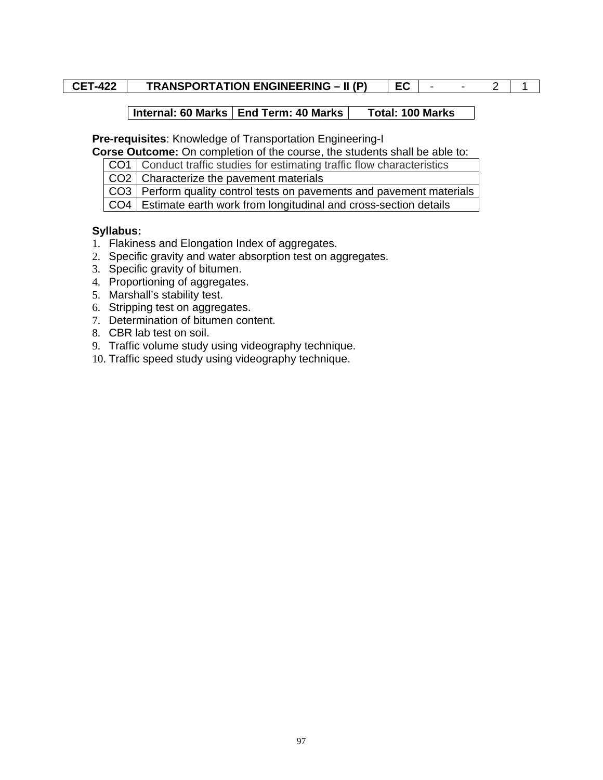# **CET-422 TRANSPORTATION ENGINEERING – II (P) EC** - - 2 1

# Internal: 60 Marks | End Term: 40 Marks | Total: 100 Marks

**Pre-requisites**: Knowledge of Transportation Engineering-I

**Corse Outcome:** On completion of the course, the students shall be able to:

CO1 Conduct traffic studies for estimating traffic flow characteristics

 $CO2$  Characterize the pavement materials

CO3 Perform quality control tests on pavements and pavement materials

CO4 Estimate earth work from longitudinal and cross-section details

# **Syllabus:**

- 1. Flakiness and Elongation Index of aggregates.
- 2. Specific gravity and water absorption test on aggregates.
- 3. Specific gravity of bitumen.
- 4. Proportioning of aggregates.
- 5. Marshall's stability test.
- 6. Stripping test on aggregates.
- 7. Determination of bitumen content.
- 8. CBR lab test on soil.
- 9. Traffic volume study using videography technique.
- 10. Traffic speed study using videography technique.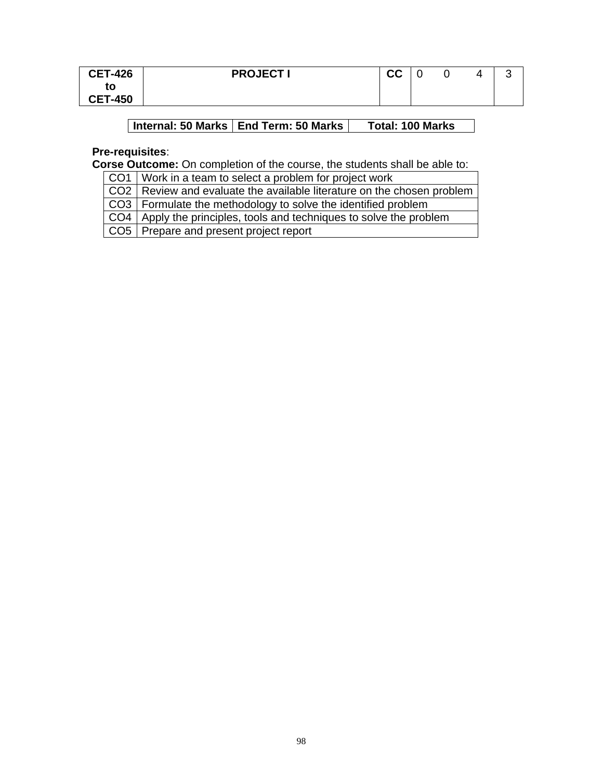| <b>CET-426</b> | <b>PROJECTI</b> | <u>rr</u><br>◡◡ |  |  |
|----------------|-----------------|-----------------|--|--|
| to             |                 |                 |  |  |
| <b>CET-450</b> |                 |                 |  |  |

# **Internal: 50 Marks | End Term: 50 Marks | Total: 100 Marks**

# **Pre-requisites**:

**Corse Outcome:** On completion of the course, the students shall be able to:

CO1 | Work in a team to select a problem for project work

CO2 Review and evaluate the available literature on the chosen problem

CO3 Formulate the methodology to solve the identified problem

CO4 Apply the principles, tools and techniques to solve the problem

CO5 Prepare and present project report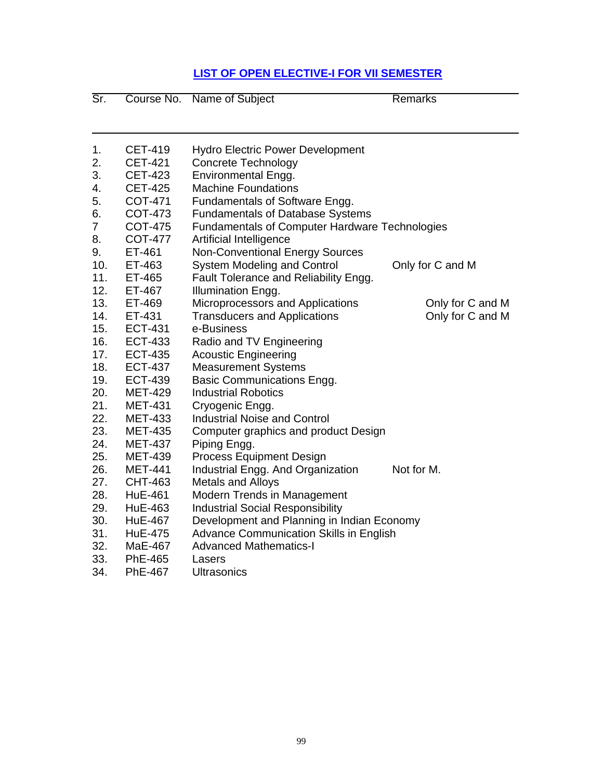# **LIST OF OPEN ELECTIVE-I FOR VII SEMESTER**

| Sr.            |                | Course No. Name of Subject                            | <b>Remarks</b>   |
|----------------|----------------|-------------------------------------------------------|------------------|
|                |                |                                                       |                  |
| 1.             | <b>CET-419</b> | <b>Hydro Electric Power Development</b>               |                  |
| 2.             | <b>CET-421</b> | Concrete Technology                                   |                  |
| 3.             | <b>CET-423</b> | Environmental Engg.                                   |                  |
| 4.             | <b>CET-425</b> | <b>Machine Foundations</b>                            |                  |
| 5.             | COT-471        | Fundamentals of Software Engg.                        |                  |
| 6.             | COT-473        | <b>Fundamentals of Database Systems</b>               |                  |
| $\overline{7}$ | <b>COT-475</b> | <b>Fundamentals of Computer Hardware Technologies</b> |                  |
| 8.             | <b>COT-477</b> | Artificial Intelligence                               |                  |
| 9.             | ET-461         | <b>Non-Conventional Energy Sources</b>                |                  |
| 10.            | ET-463         | System Modeling and Control                           | Only for C and M |
| 11.            | ET-465         | Fault Tolerance and Reliability Engg.                 |                  |
| 12.            | ET-467         | Illumination Engg.                                    |                  |
| 13.            | ET-469         | Microprocessors and Applications                      | Only for C and M |
| 14.            | ET-431         | <b>Transducers and Applications</b>                   | Only for C and M |
| 15.            | <b>ECT-431</b> | e-Business                                            |                  |
| 16.            | <b>ECT-433</b> | Radio and TV Engineering                              |                  |
| 17.            | <b>ECT-435</b> | <b>Acoustic Engineering</b>                           |                  |
| 18.            | <b>ECT-437</b> | <b>Measurement Systems</b>                            |                  |
| 19.            | <b>ECT-439</b> | Basic Communications Engg.                            |                  |
| 20.            | <b>MET-429</b> | <b>Industrial Robotics</b>                            |                  |
| 21.            | <b>MET-431</b> | Cryogenic Engg.                                       |                  |
| 22.            | <b>MET-433</b> | <b>Industrial Noise and Control</b>                   |                  |
| 23.            | <b>MET-435</b> | Computer graphics and product Design                  |                  |
| 24.            | <b>MET-437</b> | Piping Engg.                                          |                  |
| 25.            | <b>MET-439</b> | <b>Process Equipment Design</b>                       |                  |
| 26.            | <b>MET-441</b> | Industrial Engg. And Organization                     | Not for M.       |
| 27.            | <b>CHT-463</b> | <b>Metals and Alloys</b>                              |                  |
| 28.            | <b>HuE-461</b> | Modern Trends in Management                           |                  |
| 29.            | <b>HuE-463</b> | <b>Industrial Social Responsibility</b>               |                  |
| 30.            | <b>HuE-467</b> | Development and Planning in Indian Economy            |                  |
| 31.            | <b>HuE-475</b> | Advance Communication Skills in English               |                  |
| 32.            | MaE-467        | <b>Advanced Mathematics-I</b>                         |                  |
| 33.            | PhE-465        | Lasers                                                |                  |
| 34.            | <b>PhE-467</b> | <b>Ultrasonics</b>                                    |                  |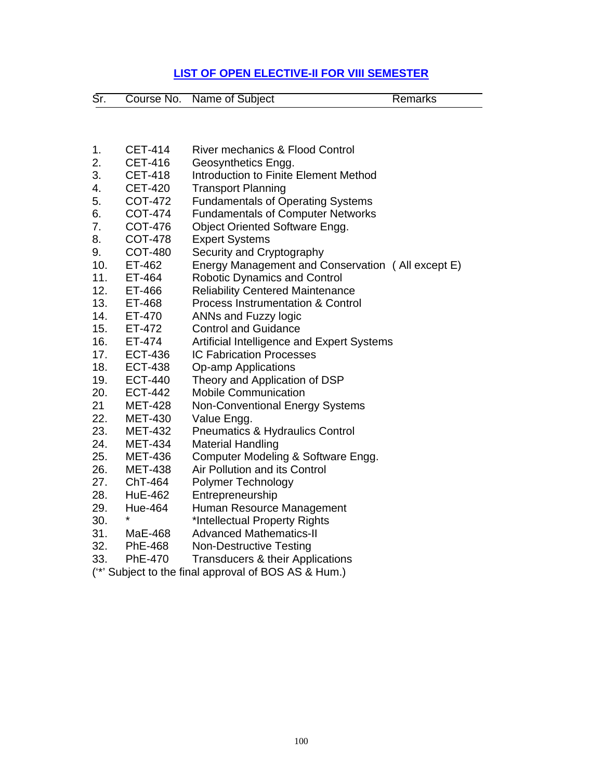# **LIST OF OPEN ELECTIVE-II FOR VIII SEMESTER**

| Sr. | Course No. Name of Subject | Remarks |
|-----|----------------------------|---------|

| 1.  | <b>CET-414</b> | <b>River mechanics &amp; Flood Control</b>                   |
|-----|----------------|--------------------------------------------------------------|
| 2.  | <b>CET-416</b> | Geosynthetics Engg.                                          |
| 3.  | <b>CET-418</b> | Introduction to Finite Element Method                        |
| 4.  | <b>CET-420</b> | <b>Transport Planning</b>                                    |
| 5.  | <b>COT-472</b> | <b>Fundamentals of Operating Systems</b>                     |
| 6.  | <b>COT-474</b> | <b>Fundamentals of Computer Networks</b>                     |
| 7.  | <b>COT-476</b> | <b>Object Oriented Software Engg.</b>                        |
| 8.  | <b>COT-478</b> | <b>Expert Systems</b>                                        |
| 9.  | <b>COT-480</b> | Security and Cryptography                                    |
| 10. | ET-462         | Energy Management and Conservation (All except E)            |
| 11. | ET-464         | <b>Robotic Dynamics and Control</b>                          |
| 12. | ET-466         | <b>Reliability Centered Maintenance</b>                      |
| 13. | ET-468         | <b>Process Instrumentation &amp; Control</b>                 |
| 14. | ET-470         | ANNs and Fuzzy logic                                         |
| 15. | ET-472         | <b>Control and Guidance</b>                                  |
| 16. | ET-474         | Artificial Intelligence and Expert Systems                   |
| 17. | <b>ECT-436</b> | <b>IC Fabrication Processes</b>                              |
| 18. | <b>ECT-438</b> |                                                              |
| 19. | <b>ECT-440</b> | <b>Op-amp Applications</b>                                   |
| 20. |                | Theory and Application of DSP<br><b>Mobile Communication</b> |
|     | <b>ECT-442</b> |                                                              |
| 21  | <b>MET-428</b> | <b>Non-Conventional Energy Systems</b>                       |
| 22. | <b>MET-430</b> | Value Engg.                                                  |
| 23. | <b>MET-432</b> | <b>Pneumatics &amp; Hydraulics Control</b>                   |
| 24. | <b>MET-434</b> | <b>Material Handling</b>                                     |
| 25. | <b>MET-436</b> | Computer Modeling & Software Engg.                           |
| 26. | <b>MET-438</b> | Air Pollution and its Control                                |
| 27. | ChT-464        | Polymer Technology                                           |
| 28. | <b>HuE-462</b> | Entrepreneurship                                             |
| 29. | Hue-464<br>¥   | Human Resource Management                                    |
| 30. |                | *Intellectual Property Rights                                |
| 31. | MaE-468        | <b>Advanced Mathematics-II</b>                               |
| 32. | <b>PhE-468</b> | <b>Non-Destructive Testing</b>                               |
| 33. | PhE-470        | Transducers & their Applications                             |
|     |                | (**' Subject to the final approval of BOS AS & Hum.)         |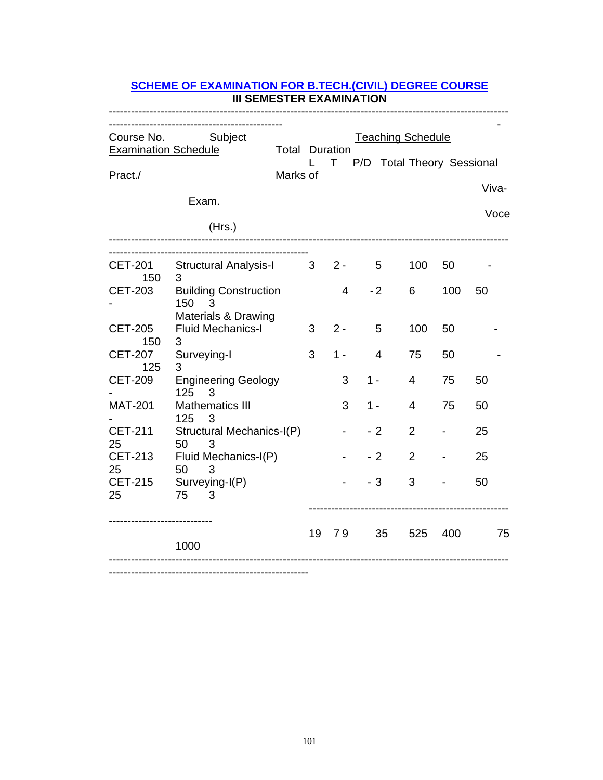| III SEMESTER EXAMINATION                                              |                                                                         |                                   |              |       |      |                |                                                          |           |       |  |
|-----------------------------------------------------------------------|-------------------------------------------------------------------------|-----------------------------------|--------------|-------|------|----------------|----------------------------------------------------------|-----------|-------|--|
| Course No. Subject<br><b>Examination Schedule</b><br>Pract./<br>Exam. |                                                                         | <b>Total Duration</b><br>Marks of | $\mathbf{L}$ |       |      |                | <b>Teaching Schedule</b><br>T P/D Total Theory Sessional |           | Viva- |  |
|                                                                       | (Hrs.)                                                                  |                                   |              |       |      |                |                                                          |           | Voce  |  |
| 150<br><b>CET-203</b>                                                 | CET-201 Structural Analysis-I 3 2-<br>3<br><b>Building Construction</b> |                                   |              | 4     |      | 5<br>$-2$      | 100<br>6                                                 | 50<br>100 | 50    |  |
| <b>CET-205</b><br>150                                                 | 150<br>3<br>Materials & Drawing<br><b>Fluid Mechanics-I</b><br>3        |                                   | 3            | $2 -$ |      | 5              | 100                                                      | 50        |       |  |
| <b>CET-207</b><br>125                                                 | Surveying-I<br>3                                                        |                                   | 3            | $1 -$ |      | $\overline{4}$ | 75                                                       | 50        |       |  |
| <b>CET-209</b>                                                        | <b>Engineering Geology</b><br>125<br>3                                  |                                   |              | 3     | 1 -  |                | 4                                                        | 75        | 50    |  |
| <b>MAT-201</b>                                                        | Mathematics III<br>125<br>3                                             |                                   |              | 3     | 1 -  |                | $\overline{4}$                                           | 75        | 50    |  |
| <b>CET-211</b><br>25                                                  | Structural Mechanics-I(P)<br>50<br>3                                    |                                   |              |       | $-2$ |                | $\overline{2}$                                           |           | 25    |  |
| 25                                                                    | CET-213 Fluid Mechanics-I(P)<br>50<br>3                                 |                                   |              |       | $-2$ |                | $\overline{2}$                                           |           | 25    |  |
| 25                                                                    | CET-215 Surveying-I(P)<br>75<br>3                                       |                                   |              |       | $-3$ |                | 3                                                        |           | 50    |  |
|                                                                       | 1000                                                                    |                                   | 19           |       | 79   | 35             | 525                                                      | 400       | 75    |  |

# **SCHEME OF EXAMINATION FOR B.TECH.(CIVIL) DEGREE COURSE III SEMESTER EXAMINATION**

------------------------------------------------------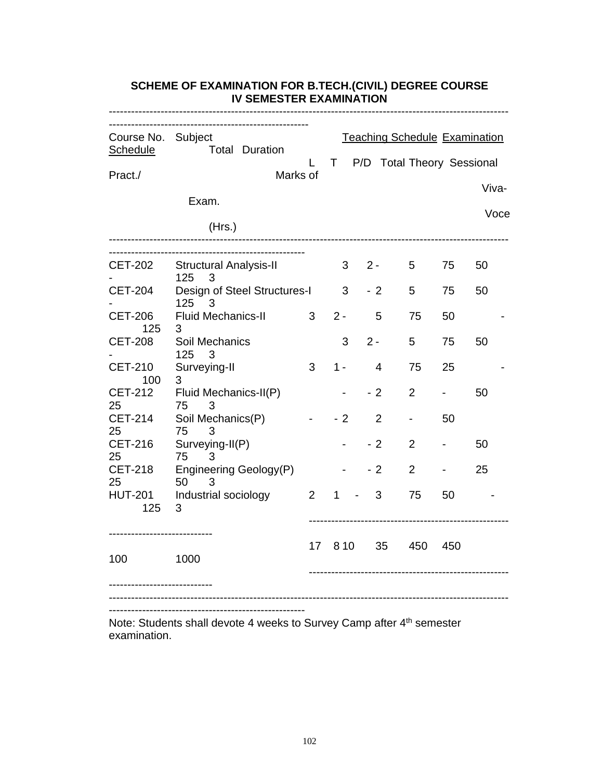| Course No. Subject<br>Schedule | <b>Total Duration</b>                     | L               | T.    | <b>Teaching Schedule Examination</b><br>P/D Total Theory Sessional |                |     |       |
|--------------------------------|-------------------------------------------|-----------------|-------|--------------------------------------------------------------------|----------------|-----|-------|
| Pract./                        |                                           | Marks of        |       |                                                                    |                |     |       |
|                                | Exam.                                     |                 |       |                                                                    |                |     | Viva- |
|                                |                                           |                 |       |                                                                    |                |     | Voce  |
|                                | (Hrs.)                                    |                 |       |                                                                    |                |     |       |
| CET-202                        | <b>Structural Analysis-II</b>             |                 | 3     | $2 -$                                                              | 5              | 75  | 50    |
|                                | 125<br>3                                  |                 |       |                                                                    |                |     |       |
| <b>CET-204</b>                 | Design of Steel Structures-I<br>125<br>-3 |                 | 3     | $-2$                                                               | 5              | 75  | 50    |
| <b>CET-206</b><br>125          | <b>Fluid Mechanics-II</b><br>3            | 3               | $2 -$ | 5                                                                  | 75             | 50  |       |
| <b>CET-208</b>                 | Soil Mechanics<br>125<br>3                |                 | 3     | $2 -$                                                              | 5              | 75  | 50    |
| <b>CET-210</b><br>100          | Surveying-II<br>3                         | 3               | 1 -   | 4                                                                  | 75             | 25  |       |
| <b>CET-212</b><br>25           | Fluid Mechanics-II(P)<br>75<br>3          |                 |       | - 2                                                                | $\overline{2}$ |     | 50    |
| <b>CET-214</b><br>25           | Soil Mechanics(P)<br>75<br>3              | $\blacksquare$  | - 2   | $\overline{2}$                                                     | $\blacksquare$ | 50  |       |
| <b>CET-216</b><br>25           | Surveying-II(P)<br>75<br>3                |                 |       | $-2$                                                               | $\overline{2}$ |     | 50    |
| <b>CET-218</b><br>25           | Engineering Geology(P)<br>50<br>3         |                 |       | - 2                                                                | $\overline{2}$ |     | 25    |
| <b>HUT-201</b><br>125          | Industrial sociology<br>3                 | $\overline{2}$  | 1     | 3                                                                  | 75             | 50  |       |
| 100                            | 1000                                      | 17 <sup>7</sup> | 8 10  | 35 <sup>5</sup>                                                    | 450            | 450 |       |
|                                |                                           |                 |       |                                                                    |                |     |       |

**SCHEME OF EXAMINATION FOR B.TECH.(CIVIL) DEGREE COURSE IV SEMESTER EXAMINATION**

Note: Students shall devote 4 weeks to Survey Camp after 4<sup>th</sup> semester examination.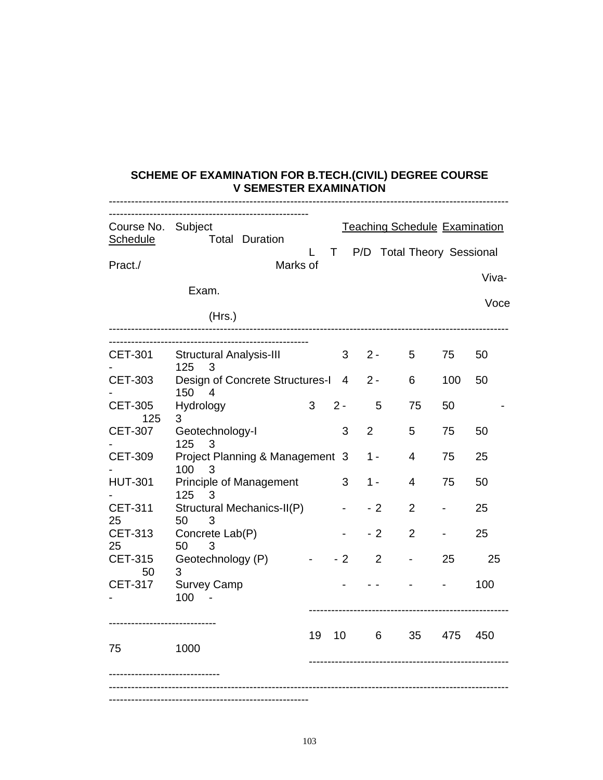#### **SCHEME OF EXAMINATION FOR B.TECH.(CIVIL) DEGREE COURSE V SEMESTER EXAMINATION**

|                                       | -----------------------------                 |    |                 |                |                                      |     |       |
|---------------------------------------|-----------------------------------------------|----|-----------------|----------------|--------------------------------------|-----|-------|
| Course No. Subject<br><b>Schedule</b> | <b>Total Duration</b>                         |    |                 |                | <b>Teaching Schedule Examination</b> |     |       |
| Pract./                               | Marks of                                      | L  | T               |                | P/D Total Theory Sessional           |     |       |
|                                       |                                               |    |                 |                |                                      |     | Viva- |
|                                       | Exam.                                         |    |                 |                |                                      |     | Voce  |
| --------------------------            | (Hrs.)                                        |    |                 |                |                                      |     |       |
| CET-301                               | <b>Structural Analysis-III</b>                |    | 3               | $2 -$          | $5\overline{)}$                      | 75  | 50    |
| <b>CET-303</b>                        | 125<br>3<br>Design of Concrete Structures-I 4 |    |                 | $2 -$          | 6                                    | 100 | 50    |
| <b>CET-305</b><br>125                 | 150<br>$\overline{4}$<br>Hydrology<br>3       | 3  | $2 -$           | 5              | 75                                   | 50  |       |
| <b>CET-307</b>                        | Geotechnology-I<br>125<br>3                   |    | 3               | 2              | 5                                    | 75  | 50    |
| <b>CET-309</b>                        | Project Planning & Management 3<br>100<br>3   |    |                 | 1 -            | $\overline{4}$                       | 75  | 25    |
| <b>HUT-301</b>                        | Principle of Management<br>125<br>3           |    | 3               | 1 -            | 4                                    | 75  | 50    |
| <b>CET-311</b><br>25                  | Structural Mechanics-II(P)<br>50<br>3         |    |                 | - 2            | $\overline{2}$                       |     | 25    |
| <b>CET-313</b><br>25                  | Concrete Lab(P)<br>50<br>3                    |    |                 | - 2            | $\overline{2}$                       |     | 25    |
| <b>CET-315</b><br>50                  | Geotechnology (P)<br>3                        |    | - 2             | $\overline{2}$ |                                      | 25  | 25    |
| <b>CET-317</b>                        | <b>Survey Camp</b><br>100                     |    |                 |                |                                      |     | 100   |
| --------------<br>75                  | 1000                                          | 19 | 10 <sup>1</sup> | 6              | 35                                   | 475 | 450   |
|                                       |                                               |    |                 |                |                                      |     |       |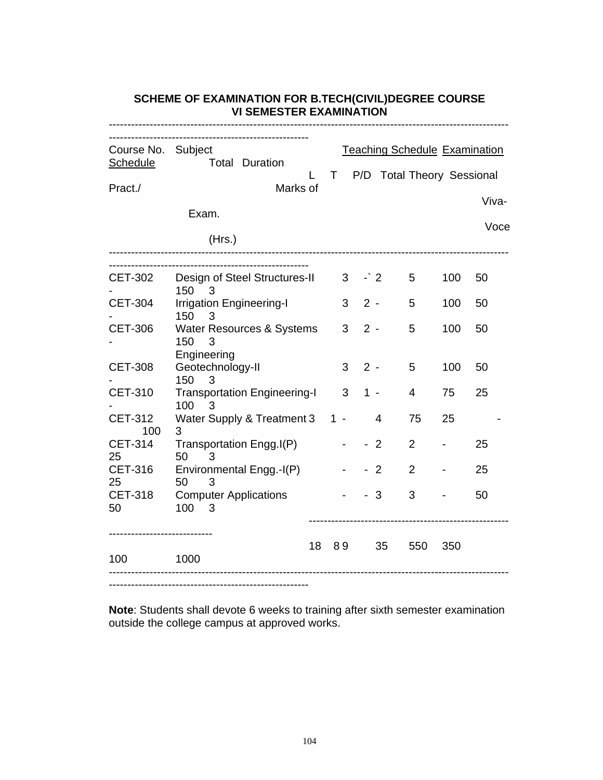| Course No. Subject    |                                                      |    |    | <b>Teaching Schedule Examination</b> |      |                            |     |       |
|-----------------------|------------------------------------------------------|----|----|--------------------------------------|------|----------------------------|-----|-------|
| <b>Schedule</b>       | <b>Total Duration</b>                                |    | T  |                                      |      | P/D Total Theory Sessional |     |       |
| Pract./               | Marks of                                             |    |    |                                      |      |                            |     | Viva- |
|                       | Exam.                                                |    |    |                                      |      |                            |     |       |
|                       | (Hrs.)                                               |    |    |                                      |      |                            |     | Voce  |
| <b>CET-302</b>        | Design of Steel Structures-II<br>150<br>3            |    |    | $3 \rightarrow 2$                    |      | 5                          | 100 | 50    |
| <b>CET-304</b>        | <b>Irrigation Engineering-I</b><br>150<br>3          |    | 3  | $2 -$                                |      | 5                          | 100 | 50    |
| <b>CET-306</b>        | Water Resources & Systems<br>150<br>3<br>Engineering |    | 3  | $2 -$                                |      | 5                          | 100 | 50    |
| <b>CET-308</b>        | Geotechnology-II<br>150<br>3                         |    | 3  | $2 -$                                |      | 5                          | 100 | 50    |
| <b>CET-310</b>        | <b>Transportation Engineering-I</b><br>100<br>3      |    | 3  | $1 -$                                |      | $\overline{4}$             | 75  | 25    |
| <b>CET-312</b><br>100 | Water Supply & Treatment 3 1 -<br>3                  |    |    |                                      | 4    | 75                         | 25  |       |
| <b>CET-314</b><br>25  | Transportation Engg.I(P)<br>50<br>3                  |    |    |                                      | $-2$ | $\overline{2}$             |     | 25    |
| <b>CET-316</b><br>25  | Environmental Engg.-I(P)<br>50<br>3                  |    |    |                                      | $-2$ | $\overline{2}$             |     | 25    |
| <b>CET-318</b><br>50  | <b>Computer Applications</b><br>$100 \t 3$           |    |    |                                      | -3   | 3                          |     | 50    |
| 100                   | 1000                                                 | 18 | 89 |                                      | 35   | 550                        | 350 |       |

# **SCHEME OF EXAMINATION FOR B.TECH(CIVIL)DEGREE COURSE VI SEMESTER EXAMINATION**

------------------------------------------------------

**Note**: Students shall devote 6 weeks to training after sixth semester examination outside the college campus at approved works.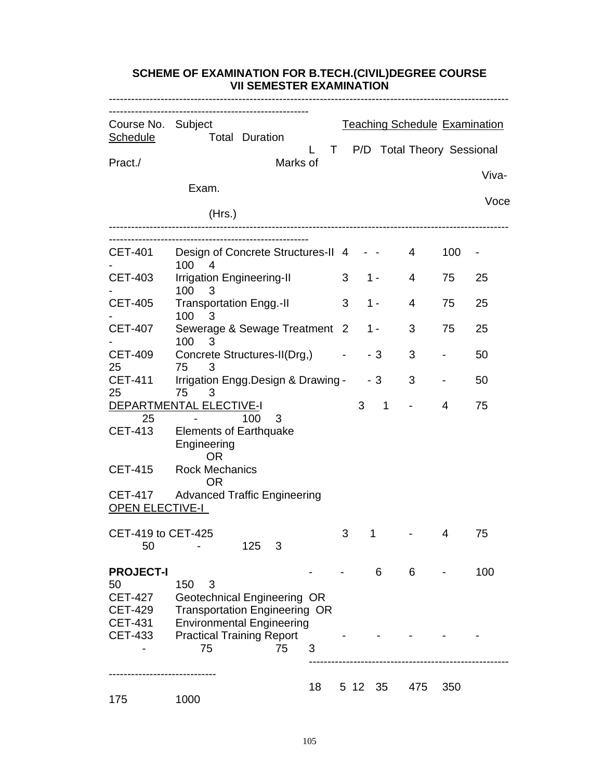| VII SEMESTER EXAMINATION                                             |                                                                                                                                                   |          |    |                |         |   |                            |                |                                      |  |
|----------------------------------------------------------------------|---------------------------------------------------------------------------------------------------------------------------------------------------|----------|----|----------------|---------|---|----------------------------|----------------|--------------------------------------|--|
| Course No. Subject<br><b>Schedule</b>                                | <b>Total Duration</b>                                                                                                                             |          |    |                |         |   |                            |                | <b>Teaching Schedule Examination</b> |  |
| Pract./                                                              |                                                                                                                                                   | Marks of | T. |                |         |   | P/D Total Theory Sessional |                |                                      |  |
|                                                                      | Exam.                                                                                                                                             |          |    |                |         |   |                            |                | Viva-                                |  |
|                                                                      | (Hrs.)                                                                                                                                            |          |    |                |         |   |                            |                | Voce                                 |  |
|                                                                      |                                                                                                                                                   |          |    |                |         |   |                            |                |                                      |  |
| <b>CET-401</b>                                                       | Design of Concrete Structures-II 4 - -<br>100<br>$\overline{4}$                                                                                   |          |    |                |         |   | 4                          | 100            | ۰                                    |  |
| <b>CET-403</b>                                                       | <b>Irrigation Engineering-II</b><br>100<br>3                                                                                                      |          |    | 3              | $1 -$   |   | 4                          | 75             | 25                                   |  |
| <b>CET-405</b>                                                       | <b>Transportation Engg.-II</b><br>100<br>3                                                                                                        |          |    | 3              | $1 -$   |   | 4                          | 75             | 25                                   |  |
| <b>CET-407</b>                                                       | Sewerage & Sewage Treatment<br>100<br>3                                                                                                           |          |    | $\overline{2}$ | 1 -     |   | 3                          | 75             | 25                                   |  |
| <b>CET-409</b><br>25                                                 | Concrete Structures-II(Drg,)<br>75<br>3                                                                                                           |          |    |                | - 3     |   | 3                          |                | 50                                   |  |
| <b>CET-411</b><br>25                                                 | Irrigation Engg.Design & Drawing -<br>75<br>3                                                                                                     |          |    |                | - 3     |   | 3                          | $\blacksquare$ | 50                                   |  |
|                                                                      | <b>DEPARTMENTAL ELECTIVE-I</b>                                                                                                                    |          |    |                | 3       | 1 |                            | 4              | 75                                   |  |
| 25<br><b>CET-413</b>                                                 | 100<br><b>Elements of Earthquake</b><br>Engineering<br><b>OR</b>                                                                                  | 3        |    |                |         |   |                            |                |                                      |  |
| <b>CET-415</b>                                                       | <b>Rock Mechanics</b><br>OR                                                                                                                       |          |    |                |         |   |                            |                |                                      |  |
| <b>CET-417</b><br><b>OPEN ELECTIVE-I</b>                             | <b>Advanced Traffic Engineering</b>                                                                                                               |          |    |                |         |   |                            |                |                                      |  |
| CET-419 to CET-425<br>50                                             | 125                                                                                                                                               | 3        |    | 3              | 1       |   |                            | 4              | 75                                   |  |
| <b>PROJECT-I</b><br>50                                               | 150<br>3                                                                                                                                          |          |    |                |         | 6 | 6                          |                | 100                                  |  |
| <b>CET-427</b><br><b>CET-429</b><br><b>CET-431</b><br><b>CET-433</b> | Geotechnical Engineering OR<br><b>Transportation Engineering OR</b><br><b>Environmental Engineering</b><br><b>Practical Training Report</b><br>75 | 75       | 3  |                |         |   |                            |                |                                      |  |
|                                                                      |                                                                                                                                                   |          |    |                |         |   |                            |                |                                      |  |
| 175                                                                  | 1000                                                                                                                                              |          | 18 |                | 5 12 35 |   | 475                        | 350            |                                      |  |

# **SCHEME OF EXAMINATION FOR B.TECH.(CIVIL)DEGREE COURSE VII SEMESTER EXAMINATION**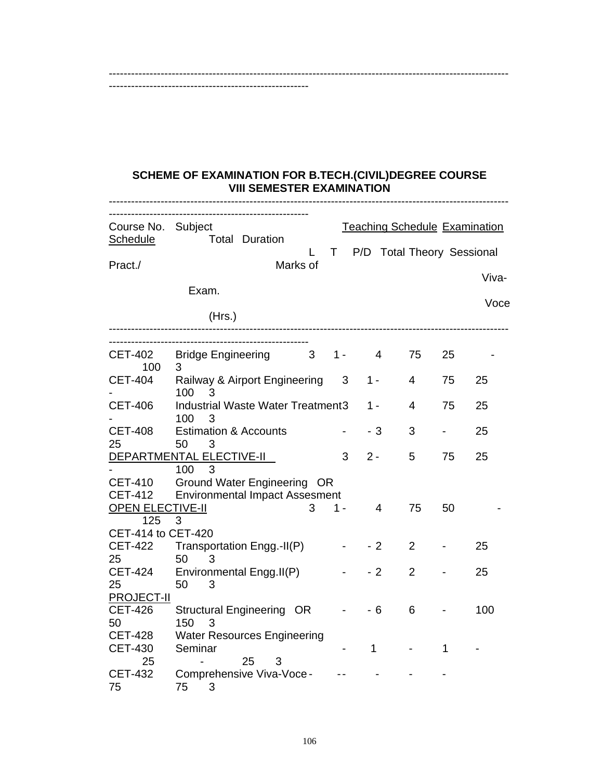#### **SCHEME OF EXAMINATION FOR B.TECH.(CIVIL)DEGREE COURSE VIII SEMESTER EXAMINATION**

------------------------------------------------------------------------------------------------------------

------------------------------------------------------

| Course No. Subject<br>Schedule      | <b>Total Duration</b>                                                |     | <b>Teaching Schedule Examination</b> |                |    |       |
|-------------------------------------|----------------------------------------------------------------------|-----|--------------------------------------|----------------|----|-------|
| Pract./                             | Marks of                                                             | T.  | P/D Total Theory Sessional           |                |    |       |
|                                     |                                                                      |     |                                      |                |    | Viva- |
|                                     | Exam.                                                                |     |                                      |                |    |       |
|                                     | (Hrs.)                                                               |     |                                      |                |    | Voce  |
|                                     |                                                                      |     |                                      |                |    |       |
| <b>CET-402</b><br>100               | <b>Bridge Engineering</b><br>3 <sup>7</sup><br>3                     | 1 - | $\overline{4}$                       | 75             | 25 |       |
| <b>CET-404</b>                      | Railway & Airport Engineering<br>100<br>3                            | 3   | 1 -                                  | 4              | 75 | 25    |
| <b>CET-406</b>                      | <b>Industrial Waste Water Treatment3</b><br>100<br>3                 |     | 1 -                                  | 4              | 75 | 25    |
| <b>CET-408</b><br>25                | <b>Estimation &amp; Accounts</b><br>50<br>3                          |     | $-3$                                 | 3              |    | 25    |
|                                     | DEPARTMENTAL ELECTIVE-II                                             | 3   | $2 -$                                | 5              | 75 | 25    |
|                                     | 100<br>3                                                             |     |                                      |                |    |       |
| <b>CET-410</b><br><b>CET-412</b>    | Ground Water Engineering OR<br><b>Environmental Impact Assesment</b> |     |                                      |                |    |       |
| <b>OPEN ELECTIVE-II</b>             | З                                                                    | 1 - | 4                                    | 75             | 50 |       |
| 125                                 | 3                                                                    |     |                                      |                |    |       |
| CET-414 to CET-420                  |                                                                      |     |                                      |                |    |       |
| <b>CET-422</b>                      | Transportation Engg.-II(P)                                           |     | - 2                                  | $\overline{2}$ |    | 25    |
| 25                                  | 50<br>3                                                              |     |                                      |                |    |       |
| <b>CET-424</b>                      | Environmental Engg.II(P)                                             |     | $-2$                                 | $\overline{2}$ |    | 25    |
| 25                                  | 50<br>3                                                              |     |                                      |                |    |       |
| <b>PROJECT-II</b><br><b>CET-426</b> | Structural Engineering OR                                            |     | $-6$                                 | 6              |    | 100   |
| 50                                  | 150<br>3                                                             |     |                                      |                |    |       |
| <b>CET-428</b>                      | <b>Water Resources Engineering</b>                                   |     |                                      |                |    |       |
| <b>CET-430</b>                      | Seminar                                                              |     | 1                                    |                | 1  |       |
| 25                                  | 25<br>3                                                              |     |                                      |                |    |       |
| <b>CET-432</b><br>75                | Comprehensive Viva-Voce -<br>75<br>3                                 |     |                                      |                |    |       |
|                                     |                                                                      |     |                                      |                |    |       |